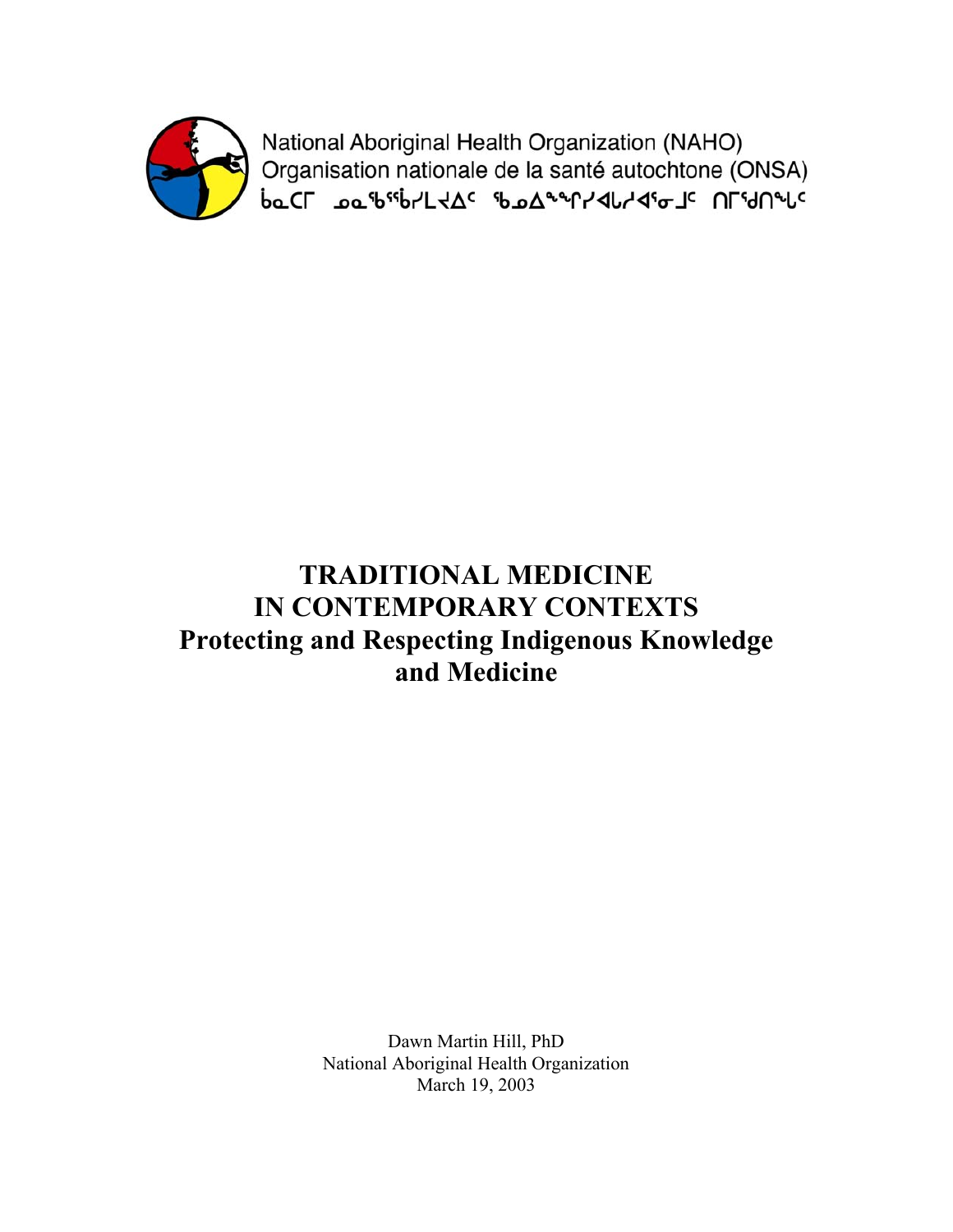

National Aboriginal Health Organization (NAHO) Organisation nationale de la santé autochtone (ONSA)<br>baCL هه "b"b"L + A" مهالك مكاسمة المكاسمة المكاسمة المكاسمة المكاسمة المكاسمة المكاسمة المكاسمة المكاسمة المك

# **TRADITIONAL MEDICINE IN CONTEMPORARY CONTEXTS Protecting and Respecting Indigenous Knowledge and Medicine**

Dawn Martin Hill, PhD National Aboriginal Health Organization March 19, 2003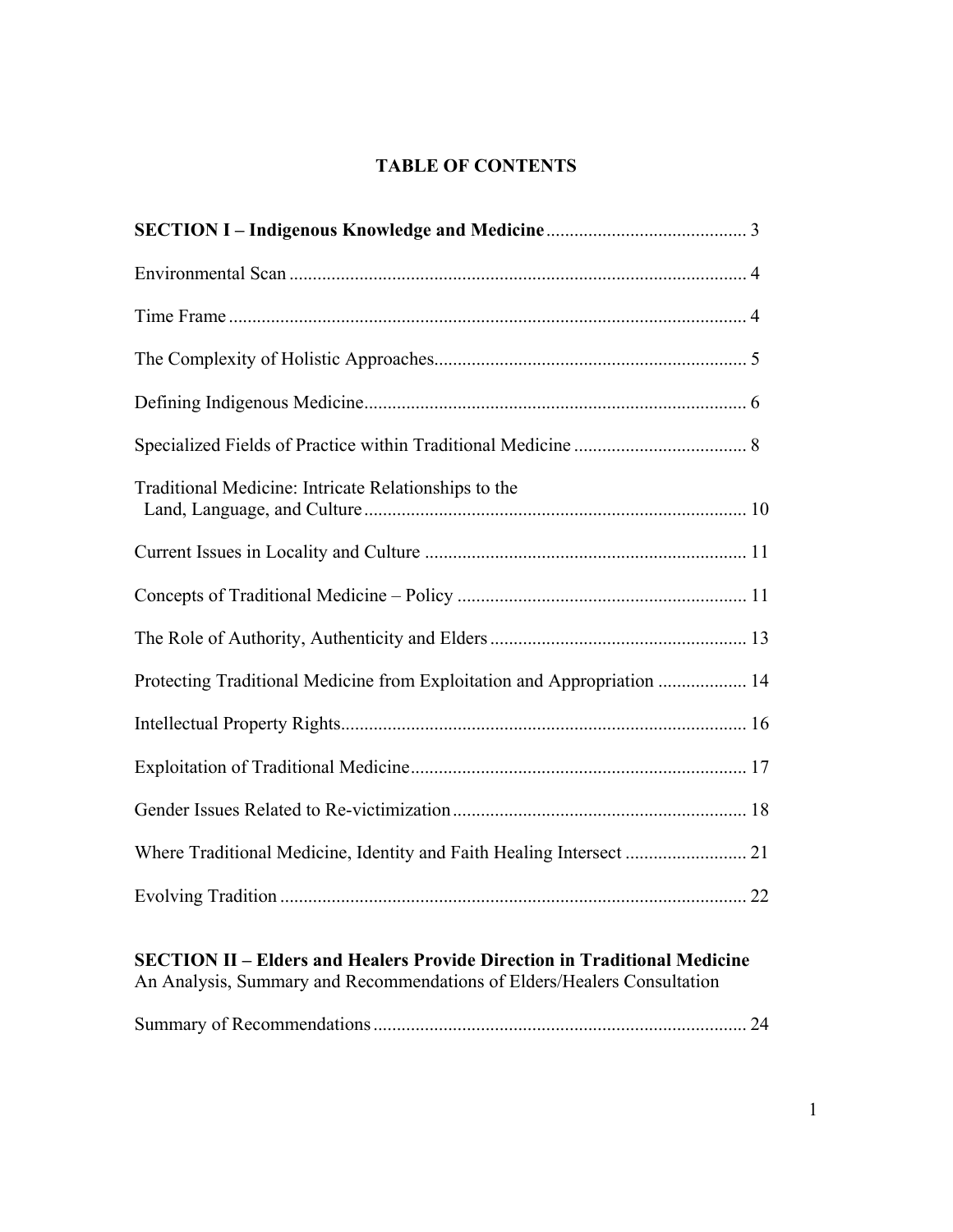## **TABLE OF CONTENTS**

| Protecting Traditional Medicine from Exploitation and Appropriation  14 |
|-------------------------------------------------------------------------|
|                                                                         |
|                                                                         |
|                                                                         |
| Where Traditional Medicine, Identity and Faith Healing Intersect  21    |
|                                                                         |
|                                                                         |

## **SECTION II – Elders and Healers Provide Direction in Traditional Medicine**

An Analysis, Summary and Recommendations of Elders/Healers Consultation

|--|--|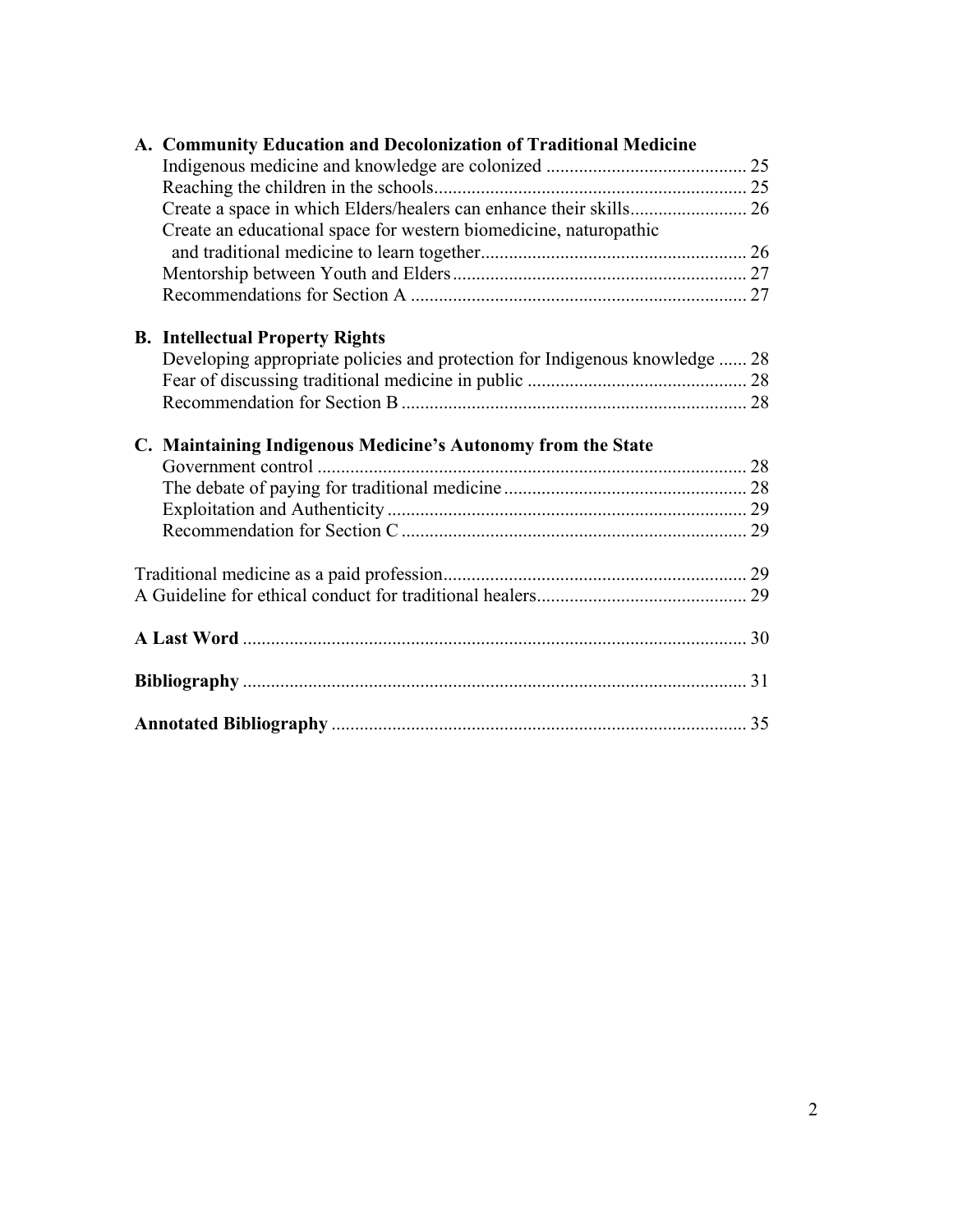| A. Community Education and Decolonization of Traditional Medicine           |  |
|-----------------------------------------------------------------------------|--|
|                                                                             |  |
|                                                                             |  |
|                                                                             |  |
| Create an educational space for western biomedicine, naturopathic           |  |
|                                                                             |  |
|                                                                             |  |
|                                                                             |  |
| <b>B.</b> Intellectual Property Rights                                      |  |
| Developing appropriate policies and protection for Indigenous knowledge  28 |  |
|                                                                             |  |
|                                                                             |  |
| C. Maintaining Indigenous Medicine's Autonomy from the State                |  |
|                                                                             |  |
|                                                                             |  |
|                                                                             |  |
|                                                                             |  |
|                                                                             |  |
|                                                                             |  |
|                                                                             |  |
|                                                                             |  |
|                                                                             |  |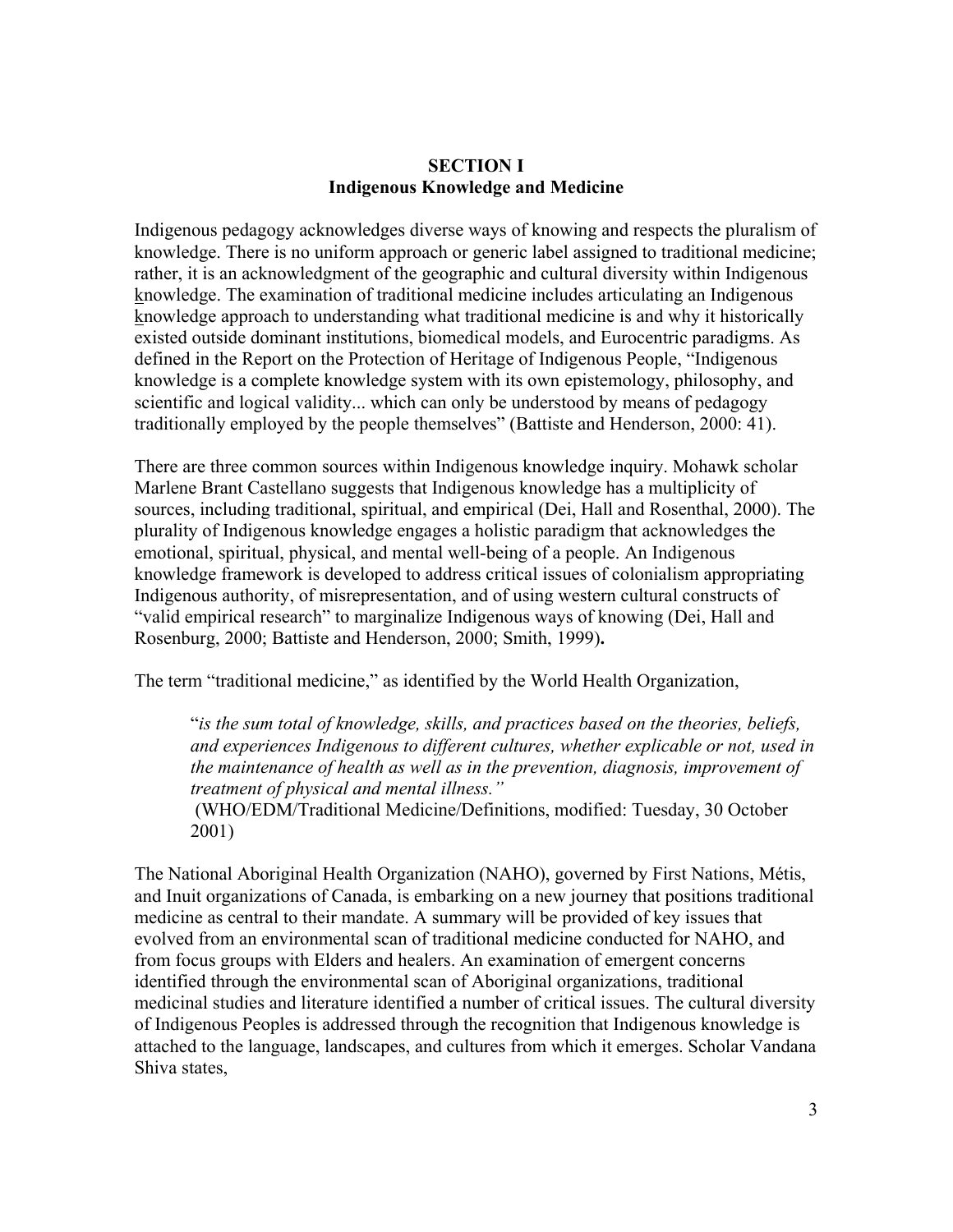#### **SECTION I Indigenous Knowledge and Medicine**

Indigenous pedagogy acknowledges diverse ways of knowing and respects the pluralism of knowledge. There is no uniform approach or generic label assigned to traditional medicine; rather, it is an acknowledgment of the geographic and cultural diversity within Indigenous knowledge. The examination of traditional medicine includes articulating an Indigenous knowledge approach to understanding what traditional medicine is and why it historically existed outside dominant institutions, biomedical models, and Eurocentric paradigms. As defined in the Report on the Protection of Heritage of Indigenous People, "Indigenous knowledge is a complete knowledge system with its own epistemology, philosophy, and scientific and logical validity... which can only be understood by means of pedagogy traditionally employed by the people themselves" (Battiste and Henderson, 2000: 41).

There are three common sources within Indigenous knowledge inquiry. Mohawk scholar Marlene Brant Castellano suggests that Indigenous knowledge has a multiplicity of sources, including traditional, spiritual, and empirical (Dei, Hall and Rosenthal, 2000). The plurality of Indigenous knowledge engages a holistic paradigm that acknowledges the emotional, spiritual, physical, and mental well-being of a people. An Indigenous knowledge framework is developed to address critical issues of colonialism appropriating Indigenous authority, of misrepresentation, and of using western cultural constructs of "valid empirical research" to marginalize Indigenous ways of knowing (Dei, Hall and Rosenburg, 2000; Battiste and Henderson, 2000; Smith, 1999)**.**

The term "traditional medicine," as identified by the World Health Organization,

"*is the sum total of knowledge, skills, and practices based on the theories, beliefs, and experiences Indigenous to different cultures, whether explicable or not, used in the maintenance of health as well as in the prevention, diagnosis, improvement of treatment of physical and mental illness."* 

(WHO/EDM/Traditional Medicine/Definitions, modified: Tuesday, 30 October 2001)

The National Aboriginal Health Organization (NAHO), governed by First Nations, Métis, and Inuit organizations of Canada, is embarking on a new journey that positions traditional medicine as central to their mandate. A summary will be provided of key issues that evolved from an environmental scan of traditional medicine conducted for NAHO, and from focus groups with Elders and healers. An examination of emergent concerns identified through the environmental scan of Aboriginal organizations, traditional medicinal studies and literature identified a number of critical issues. The cultural diversity of Indigenous Peoples is addressed through the recognition that Indigenous knowledge is attached to the language, landscapes, and cultures from which it emerges. Scholar Vandana Shiva states,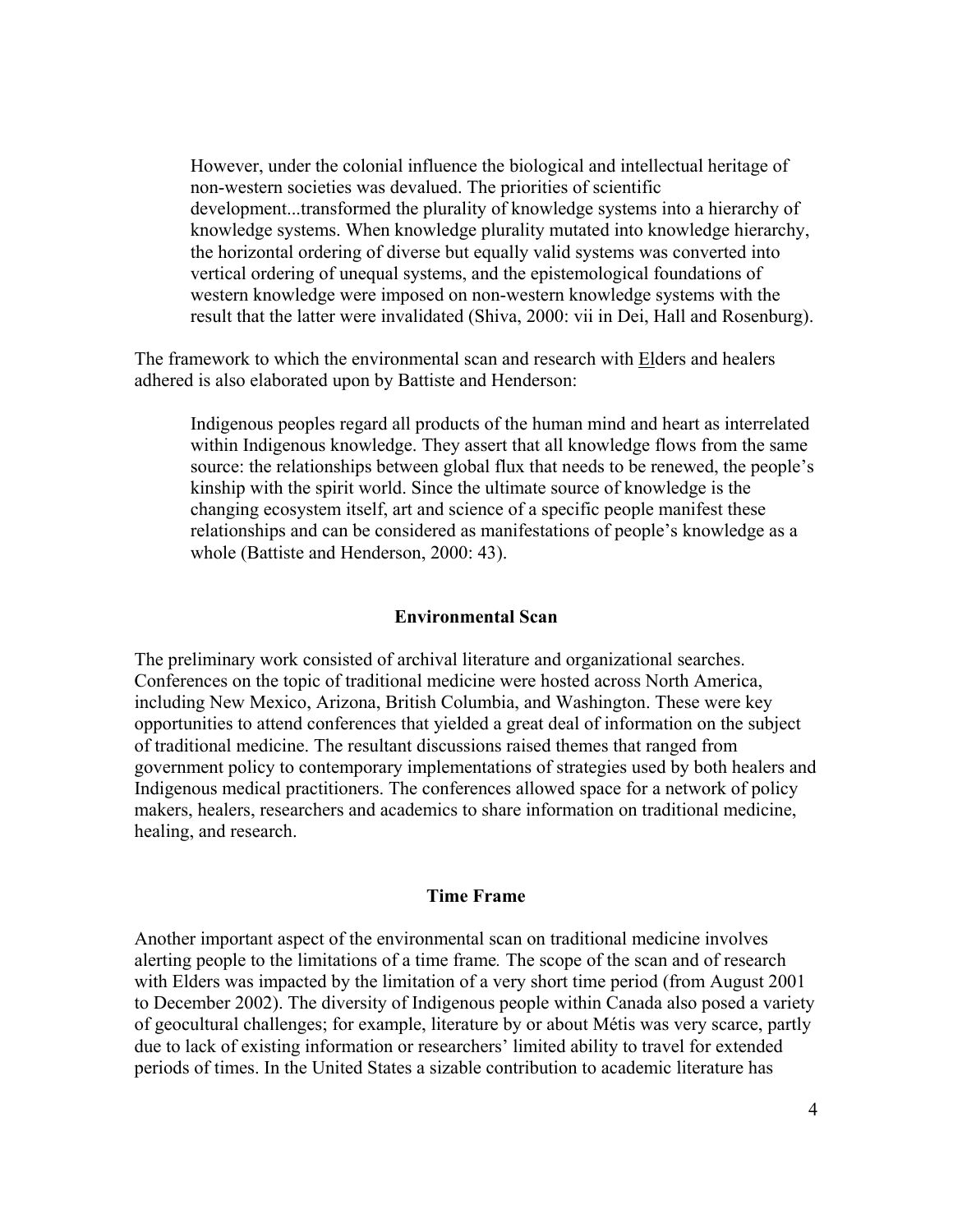However, under the colonial influence the biological and intellectual heritage of non-western societies was devalued. The priorities of scientific development...transformed the plurality of knowledge systems into a hierarchy of knowledge systems. When knowledge plurality mutated into knowledge hierarchy, the horizontal ordering of diverse but equally valid systems was converted into vertical ordering of unequal systems, and the epistemological foundations of western knowledge were imposed on non-western knowledge systems with the result that the latter were invalidated (Shiva, 2000: vii in Dei, Hall and Rosenburg).

The framework to which the environmental scan and research with Elders and healers adhered is also elaborated upon by Battiste and Henderson:

Indigenous peoples regard all products of the human mind and heart as interrelated within Indigenous knowledge. They assert that all knowledge flows from the same source: the relationships between global flux that needs to be renewed, the people's kinship with the spirit world. Since the ultimate source of knowledge is the changing ecosystem itself, art and science of a specific people manifest these relationships and can be considered as manifestations of people's knowledge as a whole (Battiste and Henderson, 2000: 43).

#### **Environmental Scan**

The preliminary work consisted of archival literature and organizational searches. Conferences on the topic of traditional medicine were hosted across North America, including New Mexico, Arizona, British Columbia, and Washington. These were key opportunities to attend conferences that yielded a great deal of information on the subject of traditional medicine. The resultant discussions raised themes that ranged from government policy to contemporary implementations of strategies used by both healers and Indigenous medical practitioners. The conferences allowed space for a network of policy makers, healers, researchers and academics to share information on traditional medicine, healing, and research.

#### **Time Frame**

Another important aspect of the environmental scan on traditional medicine involves alerting people to the limitations of a time frame*.* The scope of the scan and of research with Elders was impacted by the limitation of a very short time period (from August 2001 to December 2002). The diversity of Indigenous people within Canada also posed a variety of geocultural challenges; for example, literature by or about Métis was very scarce, partly due to lack of existing information or researchers' limited ability to travel for extended periods of times. In the United States a sizable contribution to academic literature has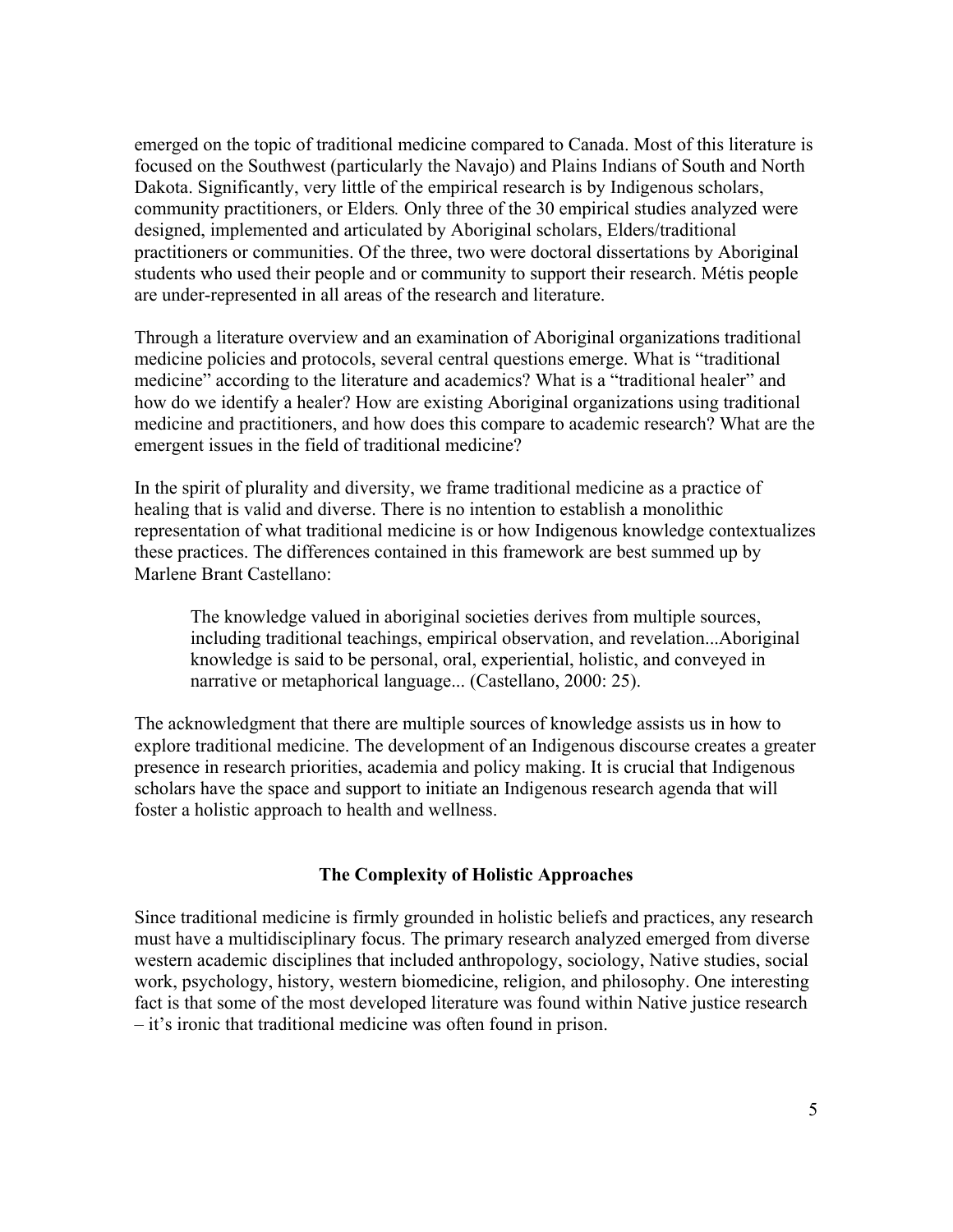emerged on the topic of traditional medicine compared to Canada. Most of this literature is focused on the Southwest (particularly the Navajo) and Plains Indians of South and North Dakota. Significantly, very little of the empirical research is by Indigenous scholars, community practitioners, or Elders*.* Only three of the 30 empirical studies analyzed were designed, implemented and articulated by Aboriginal scholars, Elders/traditional practitioners or communities. Of the three, two were doctoral dissertations by Aboriginal students who used their people and or community to support their research. Métis people are under-represented in all areas of the research and literature.

Through a literature overview and an examination of Aboriginal organizations traditional medicine policies and protocols, several central questions emerge. What is "traditional medicine" according to the literature and academics? What is a "traditional healer" and how do we identify a healer? How are existing Aboriginal organizations using traditional medicine and practitioners, and how does this compare to academic research? What are the emergent issues in the field of traditional medicine?

In the spirit of plurality and diversity, we frame traditional medicine as a practice of healing that is valid and diverse. There is no intention to establish a monolithic representation of what traditional medicine is or how Indigenous knowledge contextualizes these practices. The differences contained in this framework are best summed up by Marlene Brant Castellano:

The knowledge valued in aboriginal societies derives from multiple sources, including traditional teachings, empirical observation, and revelation...Aboriginal knowledge is said to be personal, oral, experiential, holistic, and conveyed in narrative or metaphorical language... (Castellano, 2000: 25).

The acknowledgment that there are multiple sources of knowledge assists us in how to explore traditional medicine. The development of an Indigenous discourse creates a greater presence in research priorities, academia and policy making. It is crucial that Indigenous scholars have the space and support to initiate an Indigenous research agenda that will foster a holistic approach to health and wellness.

#### **The Complexity of Holistic Approaches**

Since traditional medicine is firmly grounded in holistic beliefs and practices, any research must have a multidisciplinary focus. The primary research analyzed emerged from diverse western academic disciplines that included anthropology, sociology, Native studies, social work, psychology, history, western biomedicine, religion, and philosophy. One interesting fact is that some of the most developed literature was found within Native justice research – it's ironic that traditional medicine was often found in prison.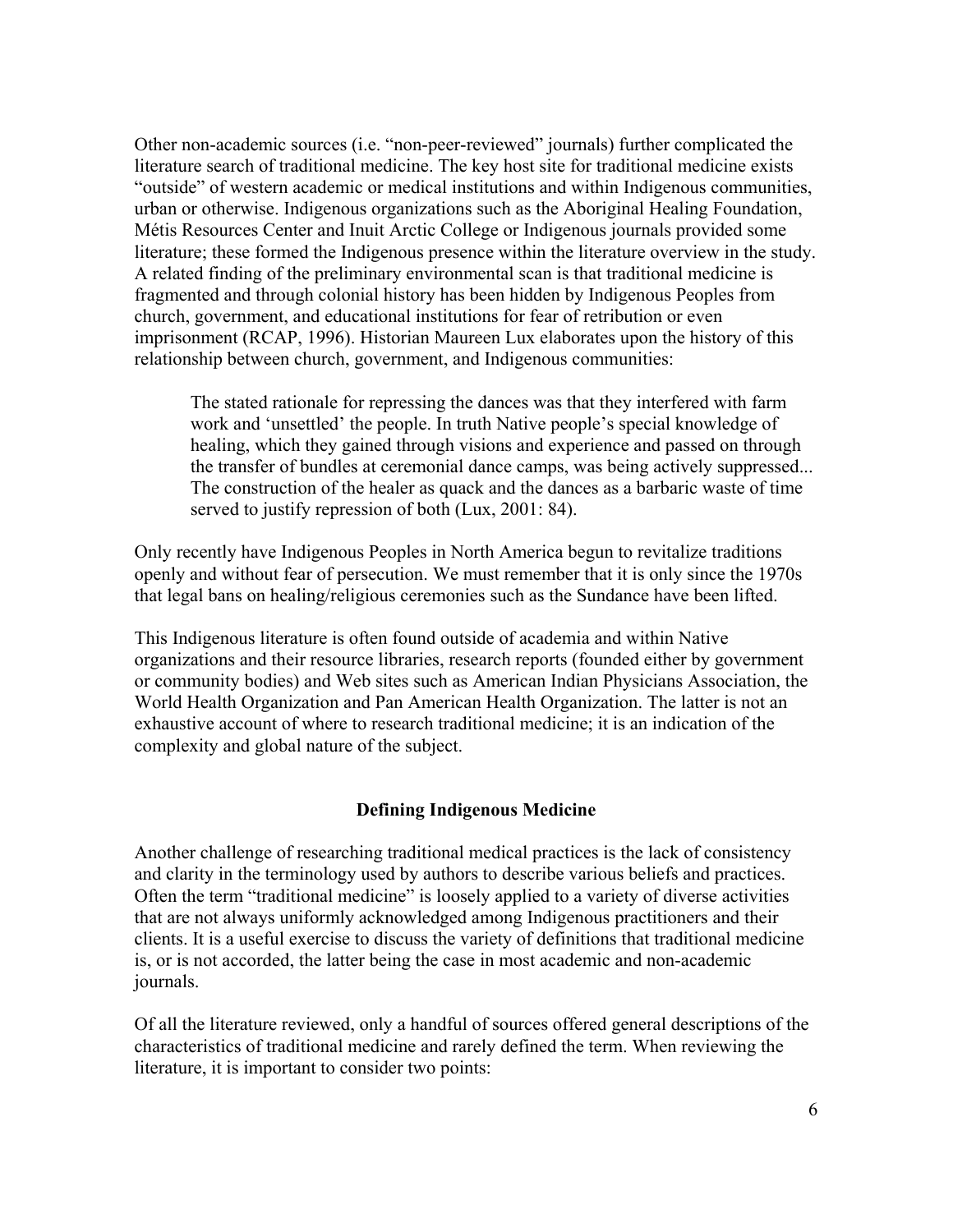Other non-academic sources (i.e. "non-peer-reviewed" journals) further complicated the literature search of traditional medicine. The key host site for traditional medicine exists "outside" of western academic or medical institutions and within Indigenous communities, urban or otherwise. Indigenous organizations such as the Aboriginal Healing Foundation, Métis Resources Center and Inuit Arctic College or Indigenous journals provided some literature; these formed the Indigenous presence within the literature overview in the study. A related finding of the preliminary environmental scan is that traditional medicine is fragmented and through colonial history has been hidden by Indigenous Peoples from church, government, and educational institutions for fear of retribution or even imprisonment (RCAP, 1996). Historian Maureen Lux elaborates upon the history of this relationship between church, government, and Indigenous communities:

The stated rationale for repressing the dances was that they interfered with farm work and 'unsettled' the people. In truth Native people's special knowledge of healing, which they gained through visions and experience and passed on through the transfer of bundles at ceremonial dance camps, was being actively suppressed... The construction of the healer as quack and the dances as a barbaric waste of time served to justify repression of both (Lux, 2001: 84).

Only recently have Indigenous Peoples in North America begun to revitalize traditions openly and without fear of persecution. We must remember that it is only since the 1970s that legal bans on healing/religious ceremonies such as the Sundance have been lifted.

This Indigenous literature is often found outside of academia and within Native organizations and their resource libraries, research reports (founded either by government or community bodies) and Web sites such as American Indian Physicians Association, the World Health Organization and Pan American Health Organization. The latter is not an exhaustive account of where to research traditional medicine; it is an indication of the complexity and global nature of the subject.

### **Defining Indigenous Medicine**

Another challenge of researching traditional medical practices is the lack of consistency and clarity in the terminology used by authors to describe various beliefs and practices. Often the term "traditional medicine" is loosely applied to a variety of diverse activities that are not always uniformly acknowledged among Indigenous practitioners and their clients. It is a useful exercise to discuss the variety of definitions that traditional medicine is, or is not accorded, the latter being the case in most academic and non-academic journals.

Of all the literature reviewed, only a handful of sources offered general descriptions of the characteristics of traditional medicine and rarely defined the term. When reviewing the literature, it is important to consider two points: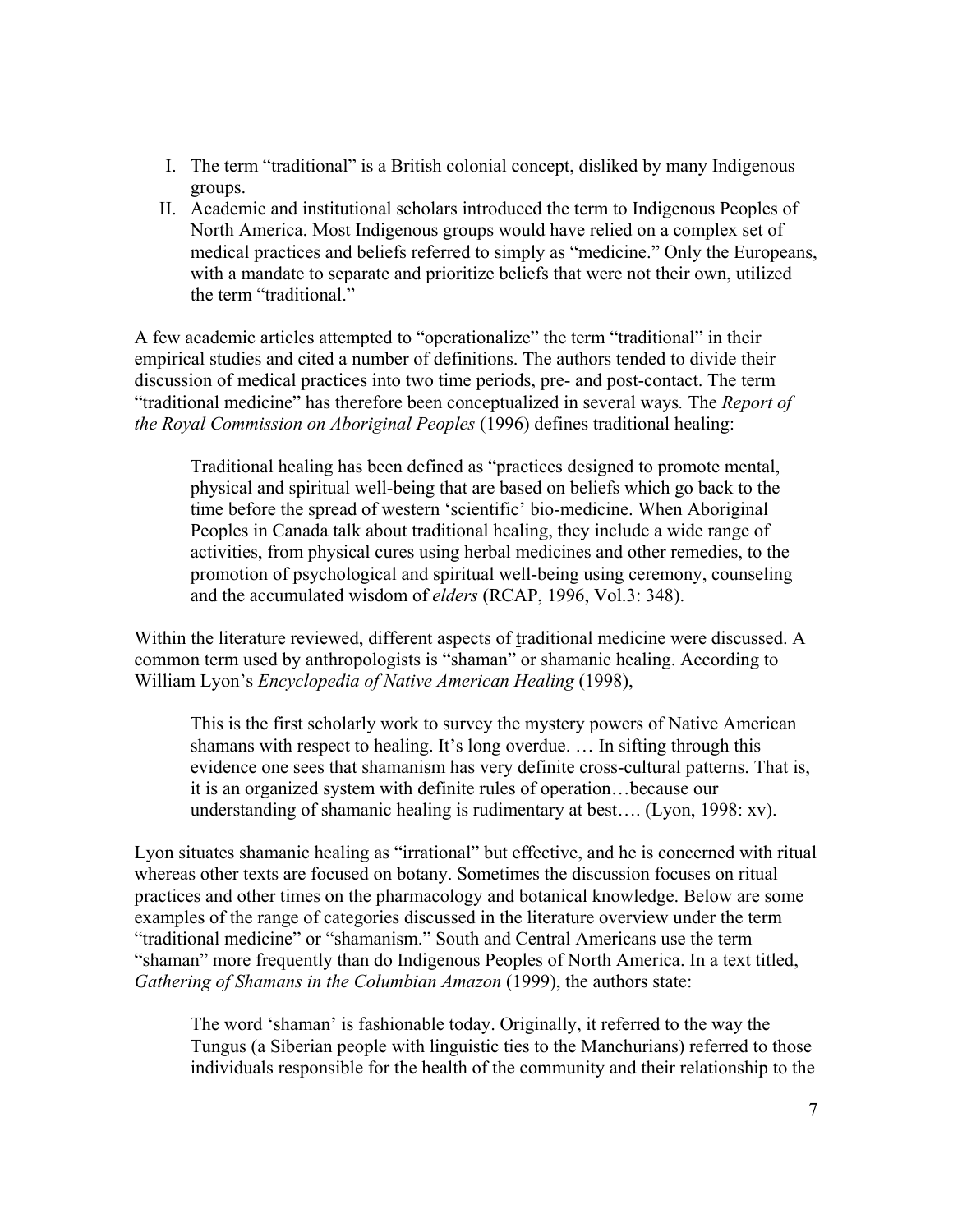- I. The term "traditional" is a British colonial concept, disliked by many Indigenous groups.
- II. Academic and institutional scholars introduced the term to Indigenous Peoples of North America. Most Indigenous groups would have relied on a complex set of medical practices and beliefs referred to simply as "medicine." Only the Europeans, with a mandate to separate and prioritize beliefs that were not their own, utilized the term "traditional."

A few academic articles attempted to "operationalize" the term "traditional" in their empirical studies and cited a number of definitions. The authors tended to divide their discussion of medical practices into two time periods, pre- and post-contact. The term "traditional medicine" has therefore been conceptualized in several ways*.* The *Report of the Royal Commission on Aboriginal Peoples* (1996) defines traditional healing:

Traditional healing has been defined as "practices designed to promote mental, physical and spiritual well-being that are based on beliefs which go back to the time before the spread of western 'scientific' bio-medicine. When Aboriginal Peoples in Canada talk about traditional healing, they include a wide range of activities, from physical cures using herbal medicines and other remedies, to the promotion of psychological and spiritual well-being using ceremony, counseling and the accumulated wisdom of *elders* (RCAP, 1996, Vol.3: 348).

Within the literature reviewed, different aspects of traditional medicine were discussed. A common term used by anthropologists is "shaman" or shamanic healing. According to William Lyon's *Encyclopedia of Native American Healing* (1998),

This is the first scholarly work to survey the mystery powers of Native American shamans with respect to healing. It's long overdue. … In sifting through this evidence one sees that shamanism has very definite cross-cultural patterns. That is, it is an organized system with definite rules of operation…because our understanding of shamanic healing is rudimentary at best…. (Lyon, 1998: xv).

Lyon situates shamanic healing as "irrational" but effective, and he is concerned with ritual whereas other texts are focused on botany. Sometimes the discussion focuses on ritual practices and other times on the pharmacology and botanical knowledge. Below are some examples of the range of categories discussed in the literature overview under the term "traditional medicine" or "shamanism." South and Central Americans use the term "shaman" more frequently than do Indigenous Peoples of North America. In a text titled, *Gathering of Shamans in the Columbian Amazon* (1999), the authors state:

The word 'shaman' is fashionable today. Originally, it referred to the way the Tungus (a Siberian people with linguistic ties to the Manchurians) referred to those individuals responsible for the health of the community and their relationship to the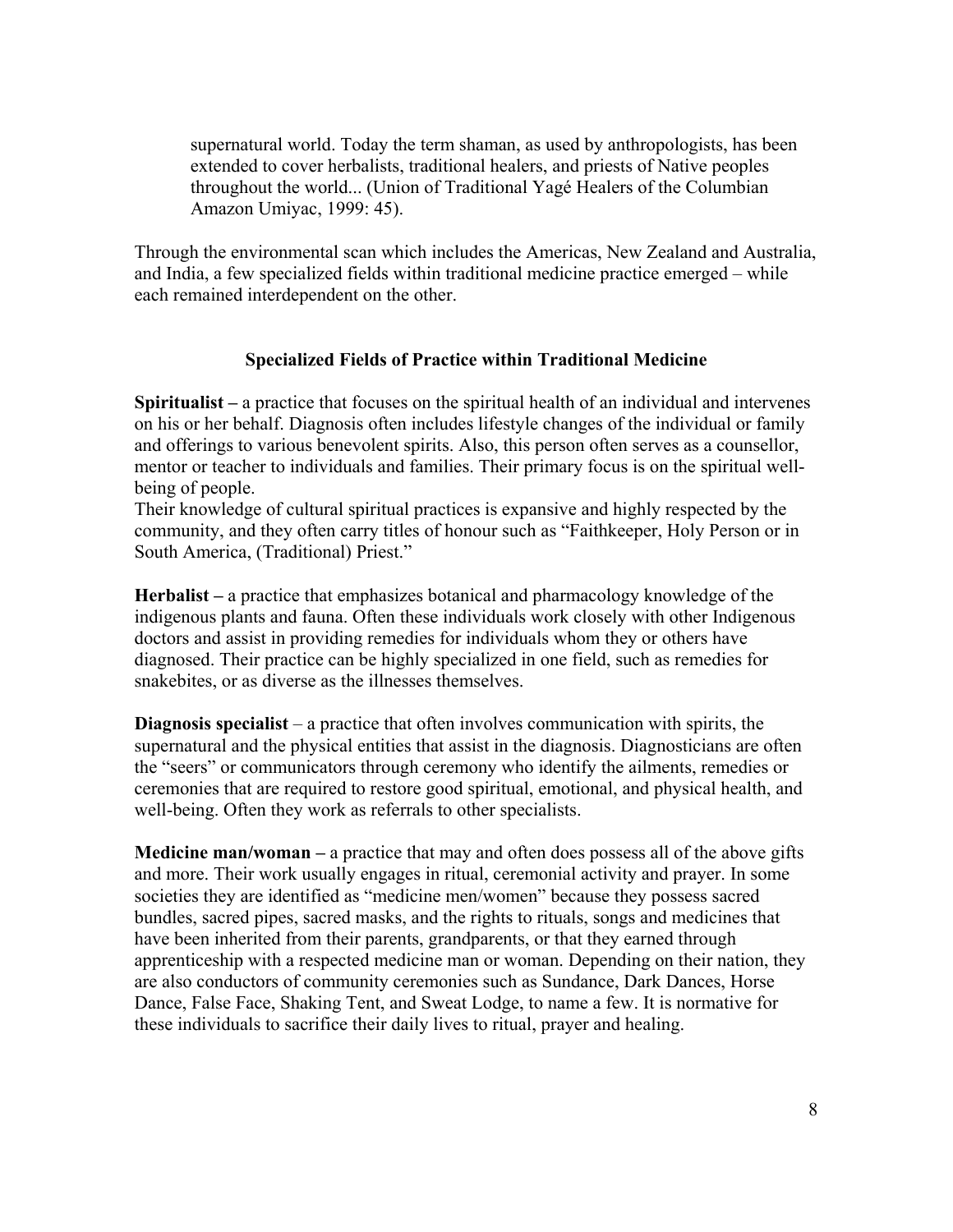supernatural world. Today the term shaman, as used by anthropologists, has been extended to cover herbalists, traditional healers, and priests of Native peoples throughout the world... (Union of Traditional Yagé Healers of the Columbian Amazon Umiyac, 1999: 45).

Through the environmental scan which includes the Americas, New Zealand and Australia, and India, a few specialized fields within traditional medicine practice emerged – while each remained interdependent on the other.

### **Specialized Fields of Practice within Traditional Medicine**

**Spiritualist –** a practice that focuses on the spiritual health of an individual and intervenes on his or her behalf. Diagnosis often includes lifestyle changes of the individual or family and offerings to various benevolent spirits. Also, this person often serves as a counsellor, mentor or teacher to individuals and families. Their primary focus is on the spiritual wellbeing of people.

Their knowledge of cultural spiritual practices is expansive and highly respected by the community, and they often carry titles of honour such as "Faithkeeper, Holy Person or in South America, (Traditional) Priest."

**Herbalist –** a practice that emphasizes botanical and pharmacology knowledge of the indigenous plants and fauna. Often these individuals work closely with other Indigenous doctors and assist in providing remedies for individuals whom they or others have diagnosed. Their practice can be highly specialized in one field, such as remedies for snakebites, or as diverse as the illnesses themselves.

**Diagnosis specialist** – a practice that often involves communication with spirits, the supernatural and the physical entities that assist in the diagnosis. Diagnosticians are often the "seers" or communicators through ceremony who identify the ailments, remedies or ceremonies that are required to restore good spiritual, emotional, and physical health, and well-being. Often they work as referrals to other specialists.

**Medicine man/woman –** a practice that may and often does possess all of the above gifts and more. Their work usually engages in ritual, ceremonial activity and prayer. In some societies they are identified as "medicine men/women" because they possess sacred bundles, sacred pipes, sacred masks, and the rights to rituals, songs and medicines that have been inherited from their parents, grandparents, or that they earned through apprenticeship with a respected medicine man or woman. Depending on their nation, they are also conductors of community ceremonies such as Sundance, Dark Dances, Horse Dance, False Face, Shaking Tent, and Sweat Lodge, to name a few. It is normative for these individuals to sacrifice their daily lives to ritual, prayer and healing.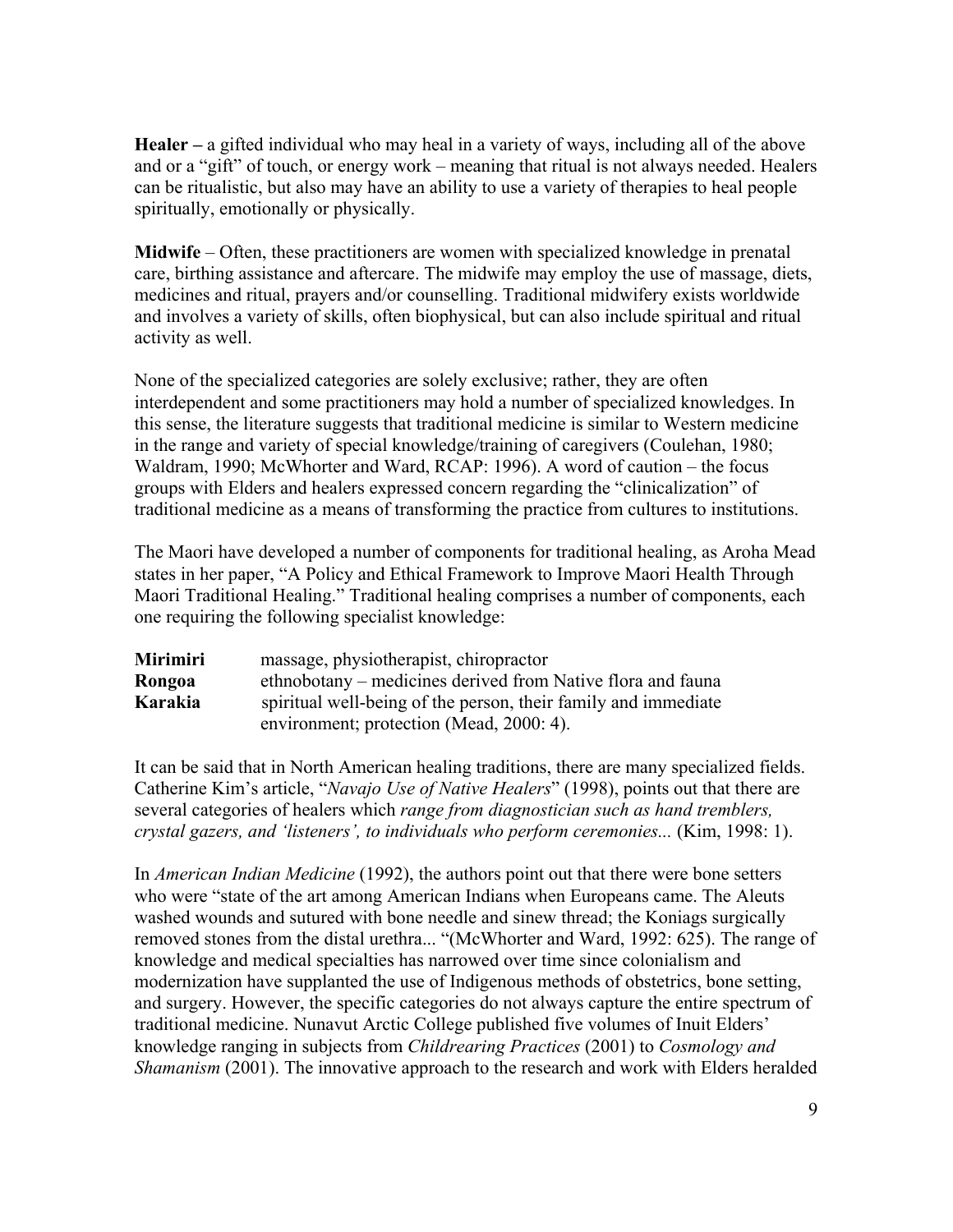**Healer –** a gifted individual who may heal in a variety of ways, including all of the above and or a "gift" of touch, or energy work – meaning that ritual is not always needed. Healers can be ritualistic, but also may have an ability to use a variety of therapies to heal people spiritually, emotionally or physically.

**Midwife** – Often, these practitioners are women with specialized knowledge in prenatal care, birthing assistance and aftercare. The midwife may employ the use of massage, diets, medicines and ritual, prayers and/or counselling. Traditional midwifery exists worldwide and involves a variety of skills, often biophysical, but can also include spiritual and ritual activity as well.

None of the specialized categories are solely exclusive; rather, they are often interdependent and some practitioners may hold a number of specialized knowledges. In this sense, the literature suggests that traditional medicine is similar to Western medicine in the range and variety of special knowledge/training of caregivers (Coulehan, 1980; Waldram, 1990; McWhorter and Ward, RCAP: 1996). A word of caution – the focus groups with Elders and healers expressed concern regarding the "clinicalization" of traditional medicine as a means of transforming the practice from cultures to institutions.

The Maori have developed a number of components for traditional healing, as Aroha Mead states in her paper, "A Policy and Ethical Framework to Improve Maori Health Through Maori Traditional Healing." Traditional healing comprises a number of components, each one requiring the following specialist knowledge:

| <b>Mirimiri</b> | massage, physiotherapist, chiropractor                         |
|-----------------|----------------------------------------------------------------|
| Rongoa          | ethnobotany – medicines derived from Native flora and fauna    |
| Karakia         | spiritual well-being of the person, their family and immediate |
|                 | environment; protection (Mead, 2000: 4).                       |

It can be said that in North American healing traditions, there are many specialized fields. Catherine Kim's article, "*Navajo Use of Native Healers*" (1998), points out that there are several categories of healers which *range from diagnostician such as hand tremblers, crystal gazers, and 'listeners', to individuals who perform ceremonies...* (Kim, 1998: 1).

In *American Indian Medicine* (1992), the authors point out that there were bone setters who were "state of the art among American Indians when Europeans came. The Aleuts washed wounds and sutured with bone needle and sinew thread; the Koniags surgically removed stones from the distal urethra... "(McWhorter and Ward, 1992: 625). The range of knowledge and medical specialties has narrowed over time since colonialism and modernization have supplanted the use of Indigenous methods of obstetrics, bone setting, and surgery. However, the specific categories do not always capture the entire spectrum of traditional medicine. Nunavut Arctic College published five volumes of Inuit Elders' knowledge ranging in subjects from *Childrearing Practices* (2001) to *Cosmology and Shamanism* (2001). The innovative approach to the research and work with Elders heralded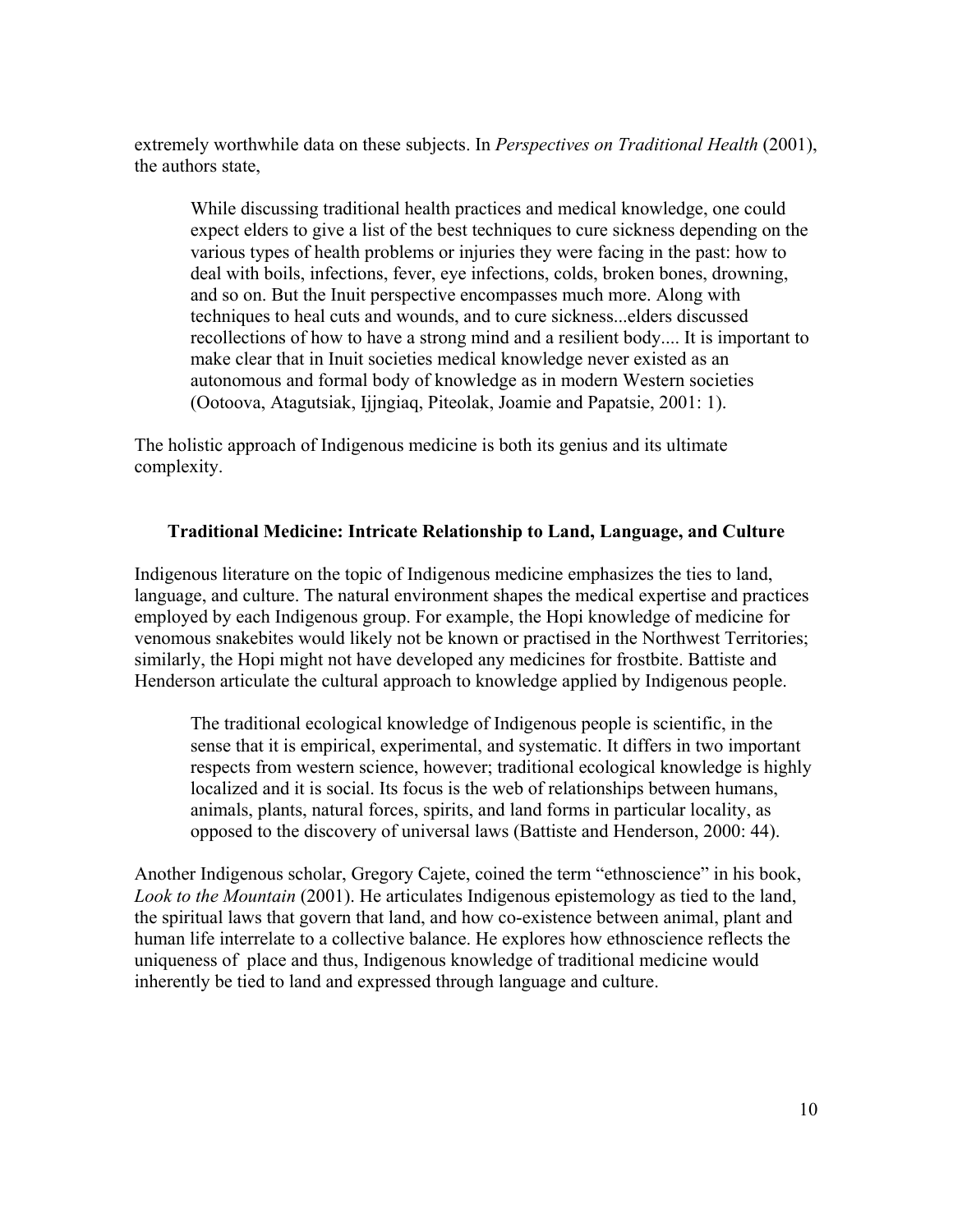extremely worthwhile data on these subjects. In *Perspectives on Traditional Health* (2001), the authors state,

While discussing traditional health practices and medical knowledge, one could expect elders to give a list of the best techniques to cure sickness depending on the various types of health problems or injuries they were facing in the past: how to deal with boils, infections, fever, eye infections, colds, broken bones, drowning, and so on. But the Inuit perspective encompasses much more. Along with techniques to heal cuts and wounds, and to cure sickness...elders discussed recollections of how to have a strong mind and a resilient body.... It is important to make clear that in Inuit societies medical knowledge never existed as an autonomous and formal body of knowledge as in modern Western societies (Ootoova, Atagutsiak, Ijjngiaq, Piteolak, Joamie and Papatsie, 2001: 1).

The holistic approach of Indigenous medicine is both its genius and its ultimate complexity.

### **Traditional Medicine: Intricate Relationship to Land, Language, and Culture**

Indigenous literature on the topic of Indigenous medicine emphasizes the ties to land, language, and culture. The natural environment shapes the medical expertise and practices employed by each Indigenous group. For example, the Hopi knowledge of medicine for venomous snakebites would likely not be known or practised in the Northwest Territories; similarly, the Hopi might not have developed any medicines for frostbite. Battiste and Henderson articulate the cultural approach to knowledge applied by Indigenous people.

The traditional ecological knowledge of Indigenous people is scientific, in the sense that it is empirical, experimental, and systematic. It differs in two important respects from western science, however; traditional ecological knowledge is highly localized and it is social. Its focus is the web of relationships between humans, animals, plants, natural forces, spirits, and land forms in particular locality, as opposed to the discovery of universal laws (Battiste and Henderson, 2000: 44).

Another Indigenous scholar, Gregory Cajete, coined the term "ethnoscience" in his book, *Look to the Mountain* (2001). He articulates Indigenous epistemology as tied to the land, the spiritual laws that govern that land, and how co-existence between animal, plant and human life interrelate to a collective balance. He explores how ethnoscience reflects the uniqueness of place and thus, Indigenous knowledge of traditional medicine would inherently be tied to land and expressed through language and culture.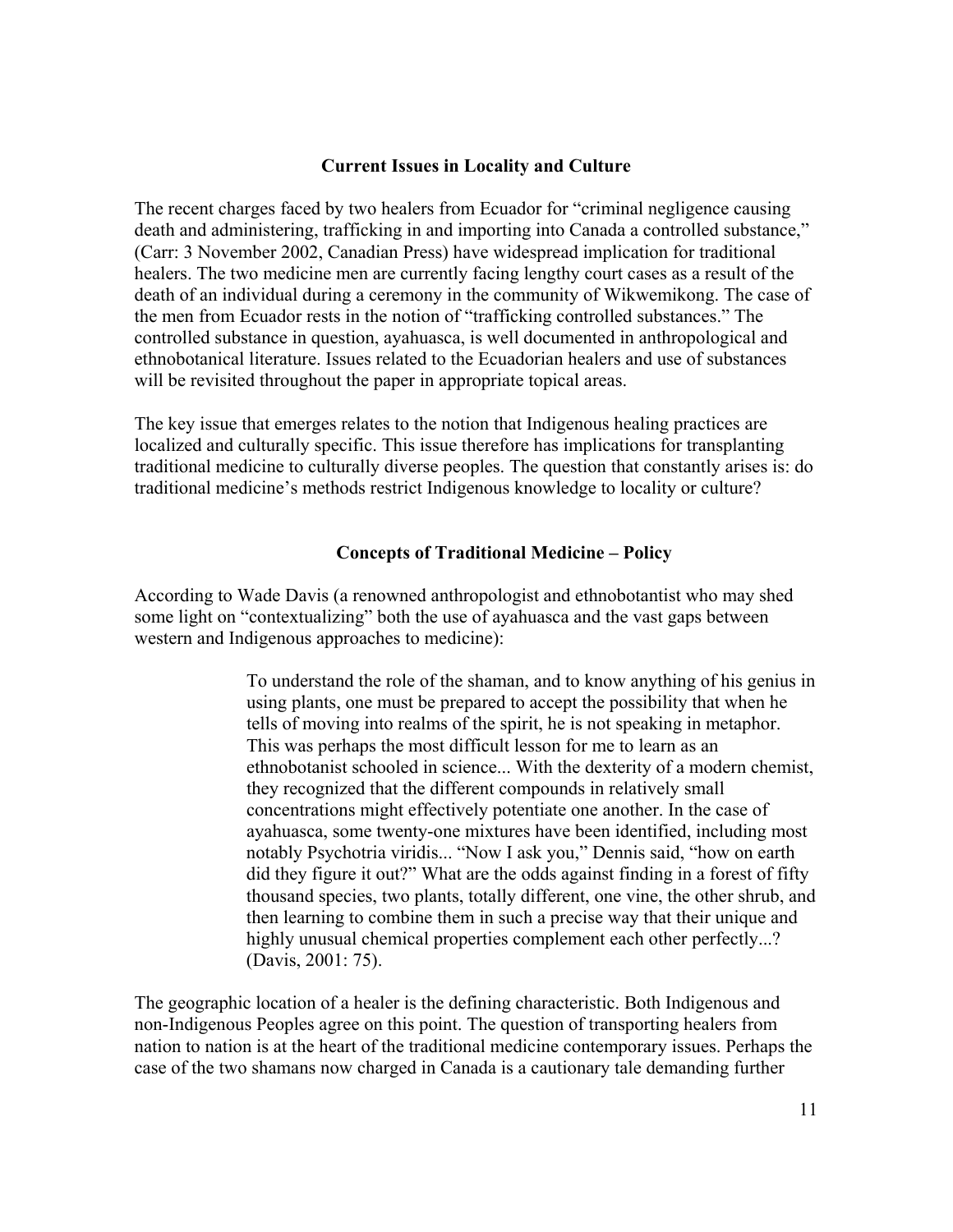#### **Current Issues in Locality and Culture**

The recent charges faced by two healers from Ecuador for "criminal negligence causing death and administering, trafficking in and importing into Canada a controlled substance," (Carr: 3 November 2002, Canadian Press) have widespread implication for traditional healers. The two medicine men are currently facing lengthy court cases as a result of the death of an individual during a ceremony in the community of Wikwemikong. The case of the men from Ecuador rests in the notion of "trafficking controlled substances." The controlled substance in question, ayahuasca, is well documented in anthropological and ethnobotanical literature. Issues related to the Ecuadorian healers and use of substances will be revisited throughout the paper in appropriate topical areas.

The key issue that emerges relates to the notion that Indigenous healing practices are localized and culturally specific. This issue therefore has implications for transplanting traditional medicine to culturally diverse peoples. The question that constantly arises is: do traditional medicine's methods restrict Indigenous knowledge to locality or culture?

#### **Concepts of Traditional Medicine – Policy**

According to Wade Davis (a renowned anthropologist and ethnobotantist who may shed some light on "contextualizing" both the use of ayahuasca and the vast gaps between western and Indigenous approaches to medicine):

> To understand the role of the shaman, and to know anything of his genius in using plants, one must be prepared to accept the possibility that when he tells of moving into realms of the spirit, he is not speaking in metaphor. This was perhaps the most difficult lesson for me to learn as an ethnobotanist schooled in science... With the dexterity of a modern chemist, they recognized that the different compounds in relatively small concentrations might effectively potentiate one another. In the case of ayahuasca, some twenty-one mixtures have been identified, including most notably Psychotria viridis... "Now I ask you," Dennis said, "how on earth did they figure it out?" What are the odds against finding in a forest of fifty thousand species, two plants, totally different, one vine, the other shrub, and then learning to combine them in such a precise way that their unique and highly unusual chemical properties complement each other perfectly...? (Davis, 2001: 75).

The geographic location of a healer is the defining characteristic. Both Indigenous and non-Indigenous Peoples agree on this point. The question of transporting healers from nation to nation is at the heart of the traditional medicine contemporary issues. Perhaps the case of the two shamans now charged in Canada is a cautionary tale demanding further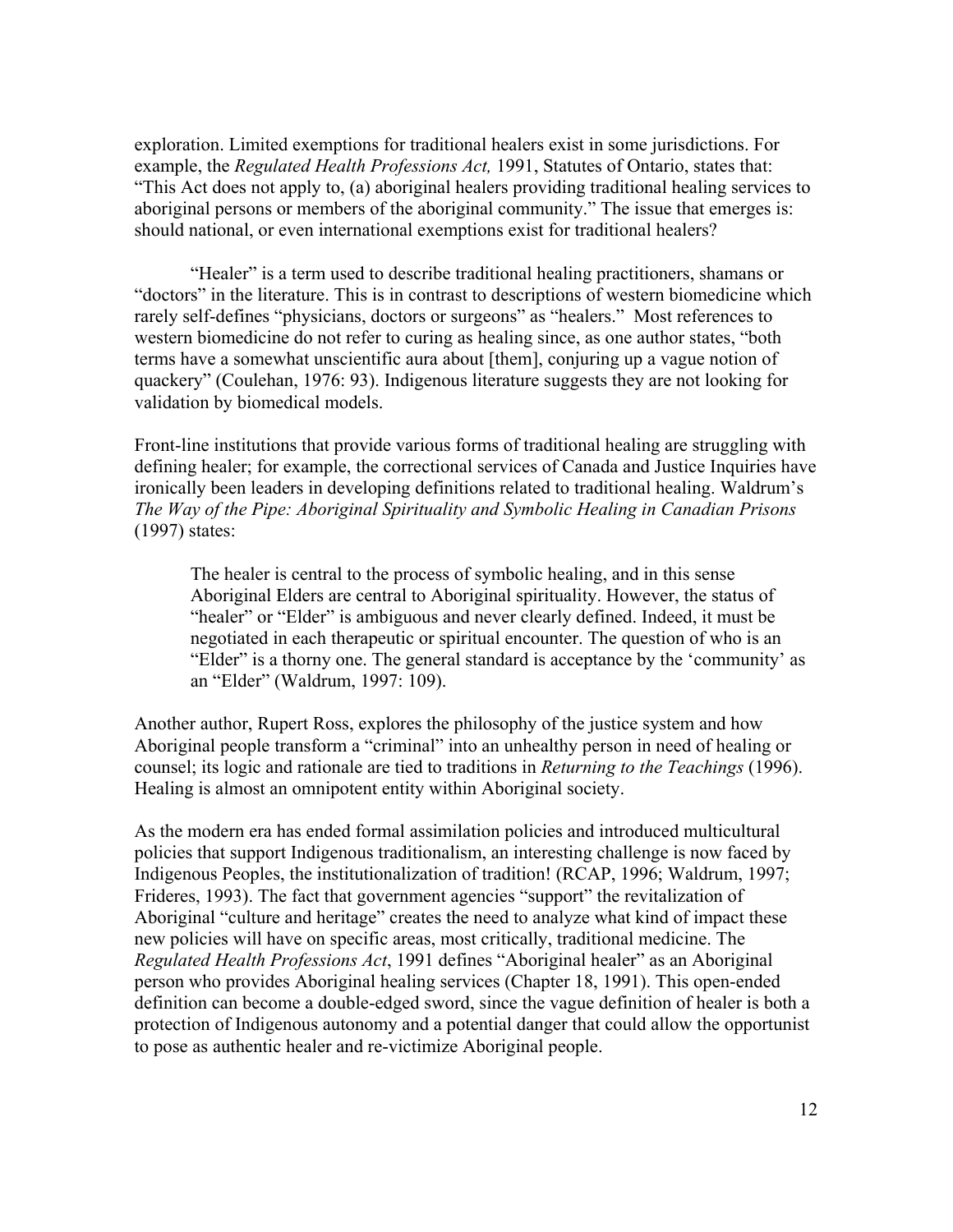exploration. Limited exemptions for traditional healers exist in some jurisdictions. For example, the *Regulated Health Professions Act,* 1991, Statutes of Ontario, states that: "This Act does not apply to, (a) aboriginal healers providing traditional healing services to aboriginal persons or members of the aboriginal community." The issue that emerges is: should national, or even international exemptions exist for traditional healers?

"Healer" is a term used to describe traditional healing practitioners, shamans or "doctors" in the literature. This is in contrast to descriptions of western biomedicine which rarely self-defines "physicians, doctors or surgeons" as "healers." Most references to western biomedicine do not refer to curing as healing since, as one author states, "both terms have a somewhat unscientific aura about [them], conjuring up a vague notion of quackery" (Coulehan, 1976: 93). Indigenous literature suggests they are not looking for validation by biomedical models.

Front-line institutions that provide various forms of traditional healing are struggling with defining healer; for example, the correctional services of Canada and Justice Inquiries have ironically been leaders in developing definitions related to traditional healing. Waldrum's *The Way of the Pipe: Aboriginal Spirituality and Symbolic Healing in Canadian Prisons*  (1997) states:

The healer is central to the process of symbolic healing, and in this sense Aboriginal Elders are central to Aboriginal spirituality. However, the status of "healer" or "Elder" is ambiguous and never clearly defined. Indeed, it must be negotiated in each therapeutic or spiritual encounter. The question of who is an "Elder" is a thorny one. The general standard is acceptance by the 'community' as an "Elder" (Waldrum, 1997: 109).

Another author, Rupert Ross, explores the philosophy of the justice system and how Aboriginal people transform a "criminal" into an unhealthy person in need of healing or counsel; its logic and rationale are tied to traditions in *Returning to the Teachings* (1996). Healing is almost an omnipotent entity within Aboriginal society.

As the modern era has ended formal assimilation policies and introduced multicultural policies that support Indigenous traditionalism, an interesting challenge is now faced by Indigenous Peoples, the institutionalization of tradition! (RCAP, 1996; Waldrum, 1997; Frideres, 1993). The fact that government agencies "support" the revitalization of Aboriginal "culture and heritage" creates the need to analyze what kind of impact these new policies will have on specific areas, most critically, traditional medicine. The *Regulated Health Professions Act*, 1991 defines "Aboriginal healer" as an Aboriginal person who provides Aboriginal healing services (Chapter 18, 1991). This open-ended definition can become a double-edged sword, since the vague definition of healer is both a protection of Indigenous autonomy and a potential danger that could allow the opportunist to pose as authentic healer and re-victimize Aboriginal people.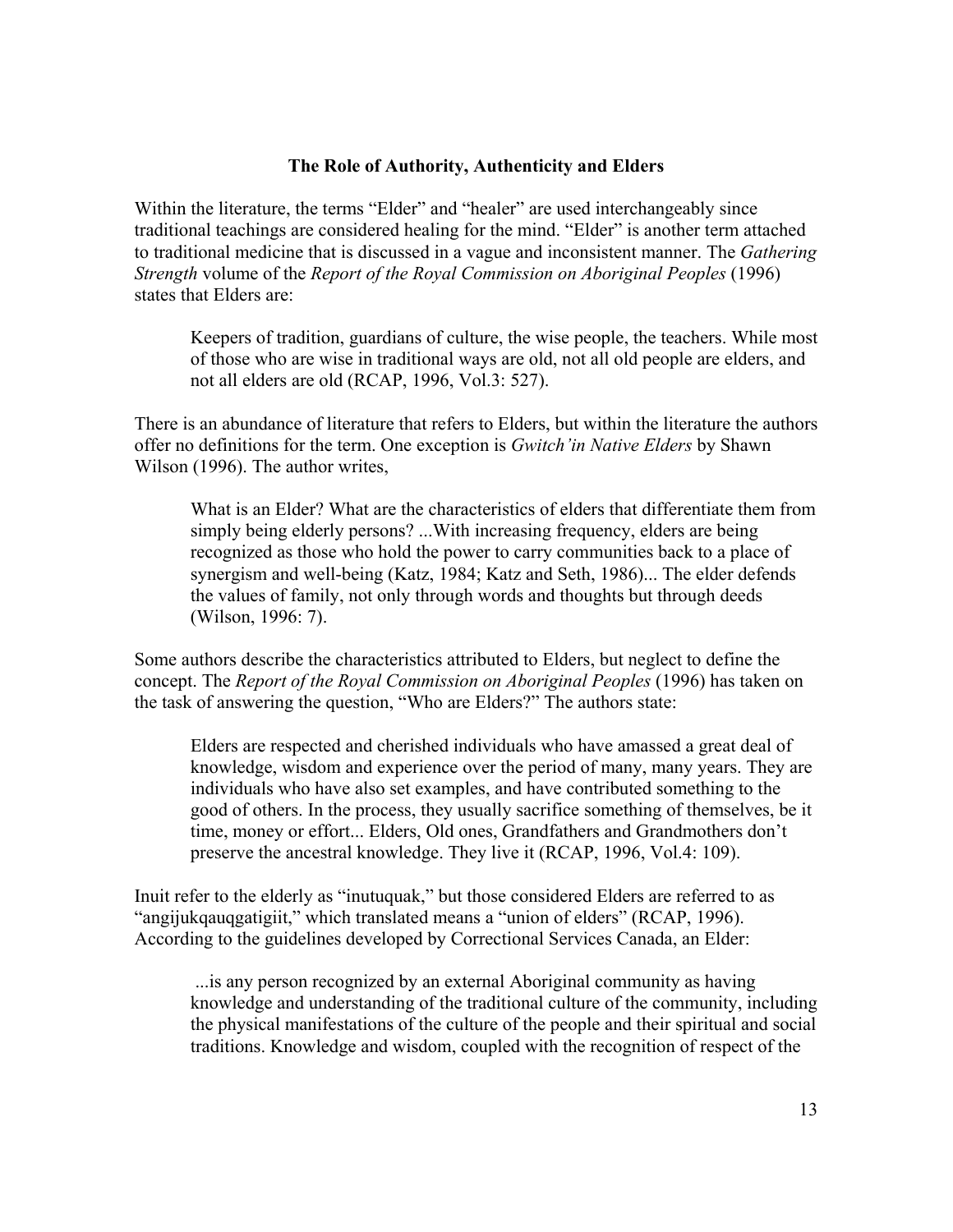### **The Role of Authority, Authenticity and Elders**

Within the literature, the terms "Elder" and "healer" are used interchangeably since traditional teachings are considered healing for the mind. "Elder" is another term attached to traditional medicine that is discussed in a vague and inconsistent manner. The *Gathering Strength* volume of the *Report of the Royal Commission on Aboriginal Peoples* (1996) states that Elders are:

Keepers of tradition, guardians of culture, the wise people, the teachers. While most of those who are wise in traditional ways are old, not all old people are elders, and not all elders are old (RCAP, 1996, Vol.3: 527).

There is an abundance of literature that refers to Elders, but within the literature the authors offer no definitions for the term. One exception is *Gwitch'in Native Elders* by Shawn Wilson (1996). The author writes,

What is an Elder? What are the characteristics of elders that differentiate them from simply being elderly persons? ...With increasing frequency, elders are being recognized as those who hold the power to carry communities back to a place of synergism and well-being (Katz, 1984; Katz and Seth, 1986)... The elder defends the values of family, not only through words and thoughts but through deeds (Wilson, 1996: 7).

Some authors describe the characteristics attributed to Elders, but neglect to define the concept. The *Report of the Royal Commission on Aboriginal Peoples* (1996) has taken on the task of answering the question, "Who are Elders?" The authors state:

Elders are respected and cherished individuals who have amassed a great deal of knowledge, wisdom and experience over the period of many, many years. They are individuals who have also set examples, and have contributed something to the good of others. In the process, they usually sacrifice something of themselves, be it time, money or effort... Elders, Old ones, Grandfathers and Grandmothers don't preserve the ancestral knowledge. They live it (RCAP, 1996, Vol.4: 109).

Inuit refer to the elderly as "inutuquak," but those considered Elders are referred to as "angijukqauqgatigiit," which translated means a "union of elders" (RCAP, 1996). According to the guidelines developed by Correctional Services Canada, an Elder:

...is any person recognized by an external Aboriginal community as having knowledge and understanding of the traditional culture of the community, including the physical manifestations of the culture of the people and their spiritual and social traditions. Knowledge and wisdom, coupled with the recognition of respect of the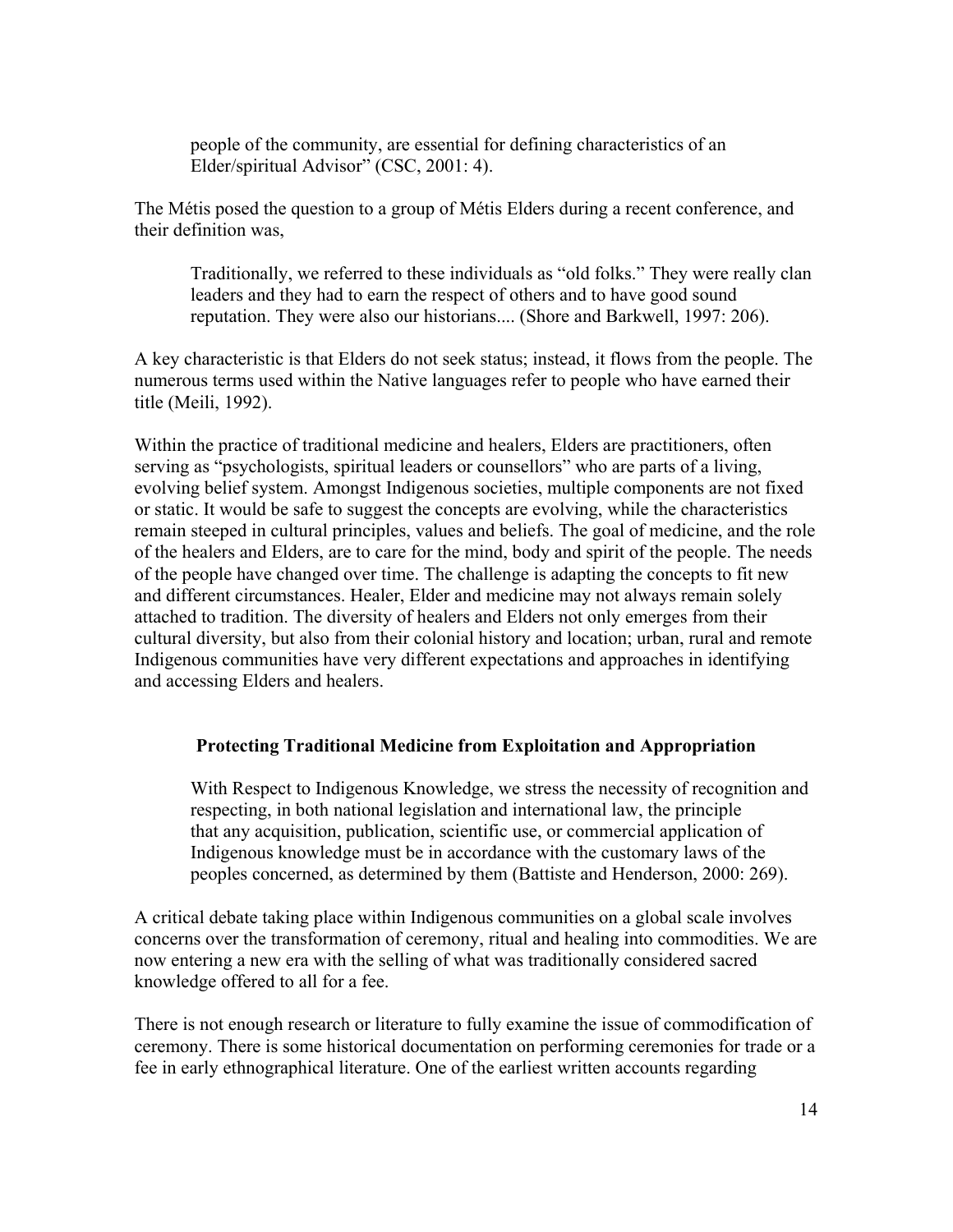people of the community, are essential for defining characteristics of an Elder/spiritual Advisor" (CSC, 2001: 4).

The Métis posed the question to a group of Métis Elders during a recent conference, and their definition was,

 Traditionally, we referred to these individuals as "old folks." They were really clan leaders and they had to earn the respect of others and to have good sound reputation. They were also our historians.... (Shore and Barkwell, 1997: 206).

A key characteristic is that Elders do not seek status; instead, it flows from the people. The numerous terms used within the Native languages refer to people who have earned their title (Meili, 1992).

Within the practice of traditional medicine and healers, Elders are practitioners, often serving as "psychologists, spiritual leaders or counsellors" who are parts of a living, evolving belief system. Amongst Indigenous societies, multiple components are not fixed or static. It would be safe to suggest the concepts are evolving, while the characteristics remain steeped in cultural principles, values and beliefs. The goal of medicine, and the role of the healers and Elders, are to care for the mind, body and spirit of the people. The needs of the people have changed over time. The challenge is adapting the concepts to fit new and different circumstances. Healer, Elder and medicine may not always remain solely attached to tradition. The diversity of healers and Elders not only emerges from their cultural diversity, but also from their colonial history and location; urban, rural and remote Indigenous communities have very different expectations and approaches in identifying and accessing Elders and healers.

### **Protecting Traditional Medicine from Exploitation and Appropriation**

With Respect to Indigenous Knowledge, we stress the necessity of recognition and respecting, in both national legislation and international law, the principle that any acquisition, publication, scientific use, or commercial application of Indigenous knowledge must be in accordance with the customary laws of the peoples concerned, as determined by them (Battiste and Henderson, 2000: 269).

A critical debate taking place within Indigenous communities on a global scale involves concerns over the transformation of ceremony, ritual and healing into commodities. We are now entering a new era with the selling of what was traditionally considered sacred knowledge offered to all for a fee.

There is not enough research or literature to fully examine the issue of commodification of ceremony. There is some historical documentation on performing ceremonies for trade or a fee in early ethnographical literature. One of the earliest written accounts regarding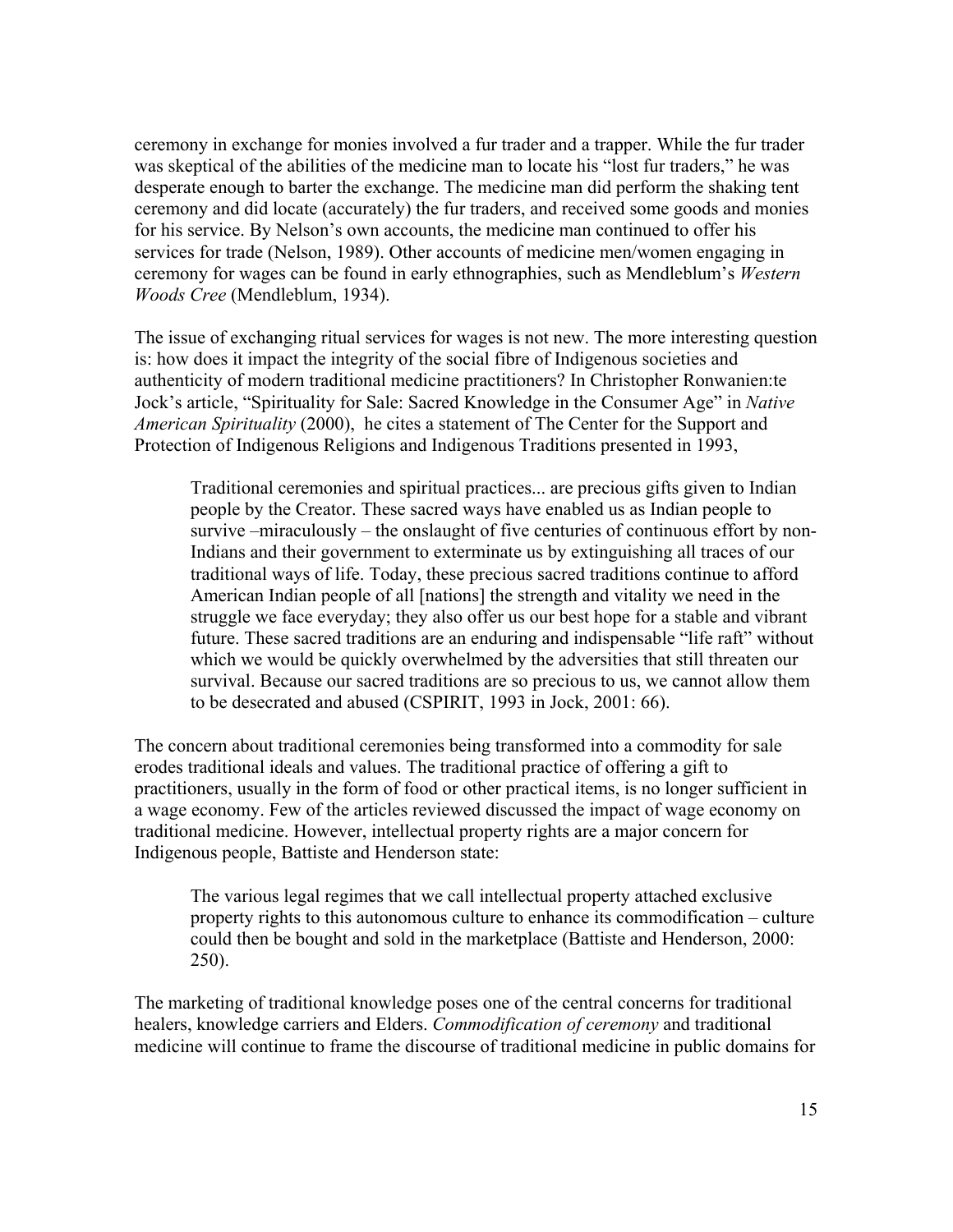ceremony in exchange for monies involved a fur trader and a trapper. While the fur trader was skeptical of the abilities of the medicine man to locate his "lost fur traders," he was desperate enough to barter the exchange. The medicine man did perform the shaking tent ceremony and did locate (accurately) the fur traders, and received some goods and monies for his service. By Nelson's own accounts, the medicine man continued to offer his services for trade (Nelson, 1989). Other accounts of medicine men/women engaging in ceremony for wages can be found in early ethnographies, such as Mendleblum's *Western Woods Cree* (Mendleblum, 1934).

The issue of exchanging ritual services for wages is not new. The more interesting question is: how does it impact the integrity of the social fibre of Indigenous societies and authenticity of modern traditional medicine practitioners? In Christopher Ronwanien:te Jock's article, "Spirituality for Sale: Sacred Knowledge in the Consumer Age" in *Native American Spirituality* (2000), he cites a statement of The Center for the Support and Protection of Indigenous Religions and Indigenous Traditions presented in 1993,

Traditional ceremonies and spiritual practices... are precious gifts given to Indian people by the Creator. These sacred ways have enabled us as Indian people to survive –miraculously – the onslaught of five centuries of continuous effort by non-Indians and their government to exterminate us by extinguishing all traces of our traditional ways of life. Today, these precious sacred traditions continue to afford American Indian people of all [nations] the strength and vitality we need in the struggle we face everyday; they also offer us our best hope for a stable and vibrant future. These sacred traditions are an enduring and indispensable "life raft" without which we would be quickly overwhelmed by the adversities that still threaten our survival. Because our sacred traditions are so precious to us, we cannot allow them to be desecrated and abused (CSPIRIT, 1993 in Jock, 2001: 66).

The concern about traditional ceremonies being transformed into a commodity for sale erodes traditional ideals and values. The traditional practice of offering a gift to practitioners, usually in the form of food or other practical items, is no longer sufficient in a wage economy. Few of the articles reviewed discussed the impact of wage economy on traditional medicine. However, intellectual property rights are a major concern for Indigenous people, Battiste and Henderson state:

The various legal regimes that we call intellectual property attached exclusive property rights to this autonomous culture to enhance its commodification – culture could then be bought and sold in the marketplace (Battiste and Henderson, 2000: 250).

The marketing of traditional knowledge poses one of the central concerns for traditional healers, knowledge carriers and Elders. *Commodification of ceremony* and traditional medicine will continue to frame the discourse of traditional medicine in public domains for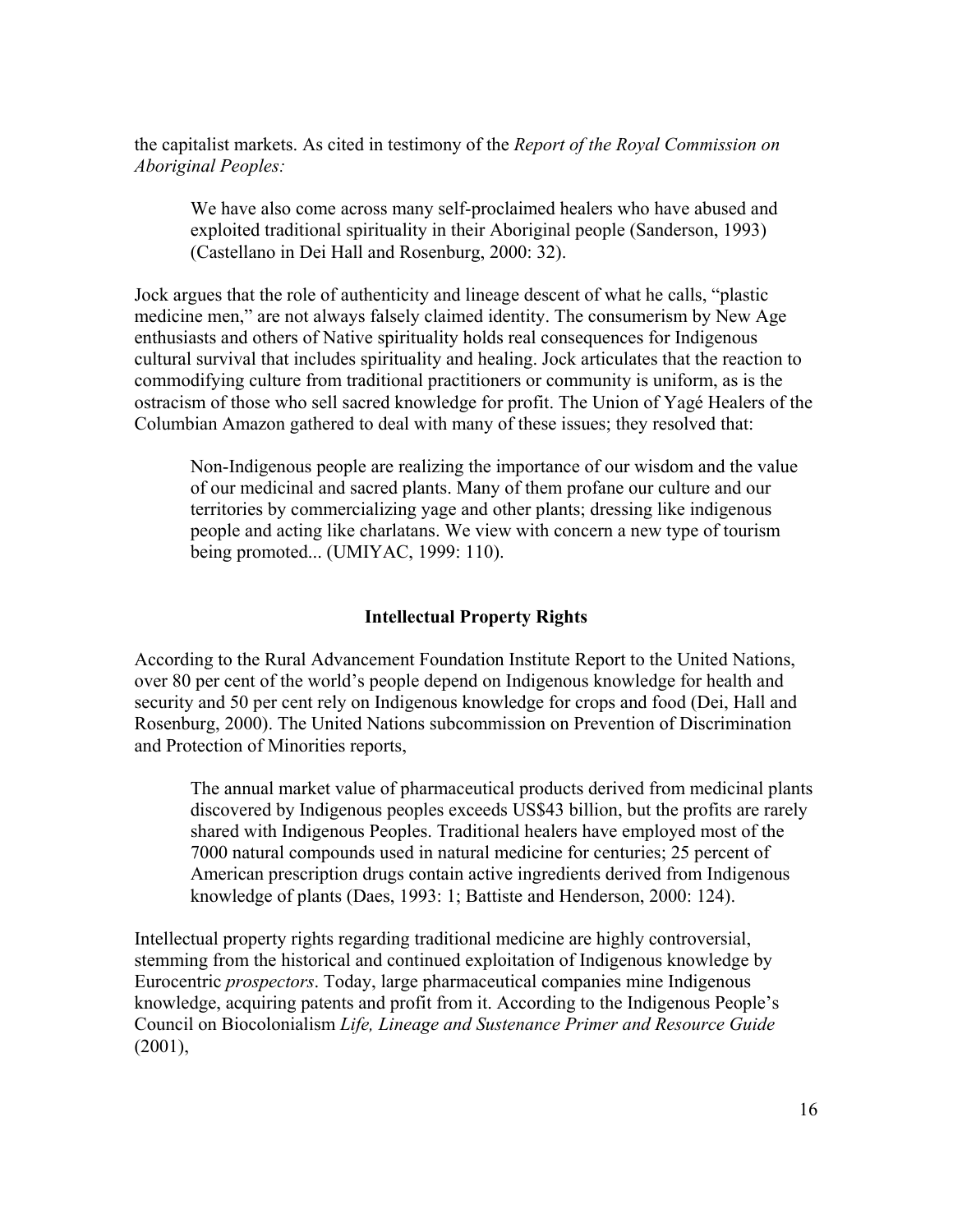the capitalist markets. As cited in testimony of the *Report of the Royal Commission on Aboriginal Peoples:* 

We have also come across many self-proclaimed healers who have abused and exploited traditional spirituality in their Aboriginal people (Sanderson, 1993) (Castellano in Dei Hall and Rosenburg, 2000: 32).

Jock argues that the role of authenticity and lineage descent of what he calls, "plastic medicine men," are not always falsely claimed identity. The consumerism by New Age enthusiasts and others of Native spirituality holds real consequences for Indigenous cultural survival that includes spirituality and healing. Jock articulates that the reaction to commodifying culture from traditional practitioners or community is uniform, as is the ostracism of those who sell sacred knowledge for profit. The Union of Yagé Healers of the Columbian Amazon gathered to deal with many of these issues; they resolved that:

Non-Indigenous people are realizing the importance of our wisdom and the value of our medicinal and sacred plants. Many of them profane our culture and our territories by commercializing yage and other plants; dressing like indigenous people and acting like charlatans. We view with concern a new type of tourism being promoted... (UMIYAC, 1999: 110).

### **Intellectual Property Rights**

According to the Rural Advancement Foundation Institute Report to the United Nations, over 80 per cent of the world's people depend on Indigenous knowledge for health and security and 50 per cent rely on Indigenous knowledge for crops and food (Dei, Hall and Rosenburg, 2000). The United Nations subcommission on Prevention of Discrimination and Protection of Minorities reports,

The annual market value of pharmaceutical products derived from medicinal plants discovered by Indigenous peoples exceeds US\$43 billion, but the profits are rarely shared with Indigenous Peoples. Traditional healers have employed most of the 7000 natural compounds used in natural medicine for centuries; 25 percent of American prescription drugs contain active ingredients derived from Indigenous knowledge of plants (Daes, 1993: 1; Battiste and Henderson, 2000: 124).

Intellectual property rights regarding traditional medicine are highly controversial, stemming from the historical and continued exploitation of Indigenous knowledge by Eurocentric *prospectors*. Today, large pharmaceutical companies mine Indigenous knowledge, acquiring patents and profit from it. According to the Indigenous People's Council on Biocolonialism *Life, Lineage and Sustenance Primer and Resource Guide*  (2001),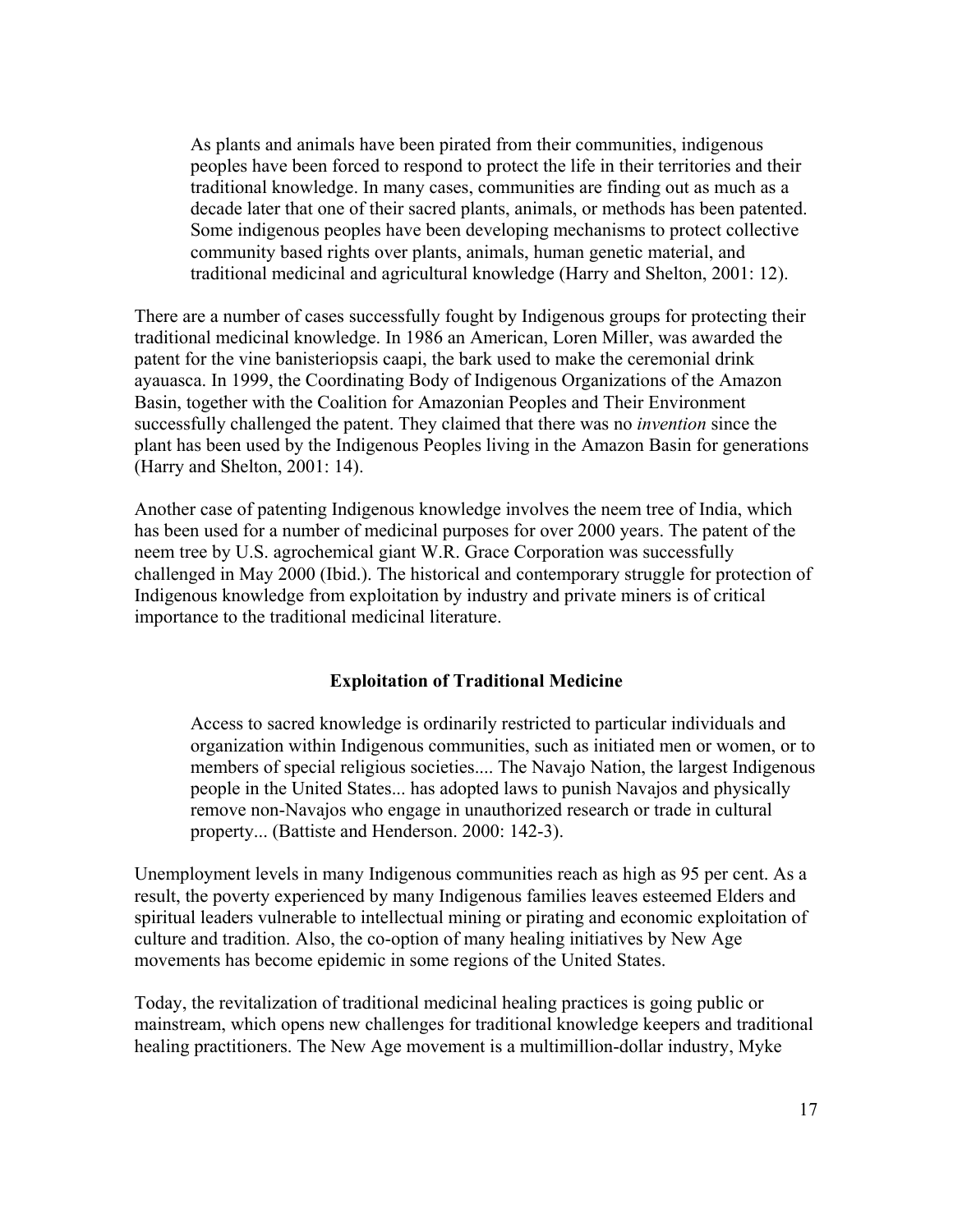As plants and animals have been pirated from their communities, indigenous peoples have been forced to respond to protect the life in their territories and their traditional knowledge. In many cases, communities are finding out as much as a decade later that one of their sacred plants, animals, or methods has been patented. Some indigenous peoples have been developing mechanisms to protect collective community based rights over plants, animals, human genetic material, and traditional medicinal and agricultural knowledge (Harry and Shelton, 2001: 12).

There are a number of cases successfully fought by Indigenous groups for protecting their traditional medicinal knowledge. In 1986 an American, Loren Miller, was awarded the patent for the vine banisteriopsis caapi, the bark used to make the ceremonial drink ayauasca. In 1999, the Coordinating Body of Indigenous Organizations of the Amazon Basin, together with the Coalition for Amazonian Peoples and Their Environment successfully challenged the patent. They claimed that there was no *invention* since the plant has been used by the Indigenous Peoples living in the Amazon Basin for generations (Harry and Shelton, 2001: 14).

Another case of patenting Indigenous knowledge involves the neem tree of India, which has been used for a number of medicinal purposes for over 2000 years. The patent of the neem tree by U.S. agrochemical giant W.R. Grace Corporation was successfully challenged in May 2000 (Ibid.). The historical and contemporary struggle for protection of Indigenous knowledge from exploitation by industry and private miners is of critical importance to the traditional medicinal literature.

#### **Exploitation of Traditional Medicine**

Access to sacred knowledge is ordinarily restricted to particular individuals and organization within Indigenous communities, such as initiated men or women, or to members of special religious societies.... The Navajo Nation, the largest Indigenous people in the United States... has adopted laws to punish Navajos and physically remove non-Navajos who engage in unauthorized research or trade in cultural property... (Battiste and Henderson. 2000: 142-3).

Unemployment levels in many Indigenous communities reach as high as 95 per cent. As a result, the poverty experienced by many Indigenous families leaves esteemed Elders and spiritual leaders vulnerable to intellectual mining or pirating and economic exploitation of culture and tradition. Also, the co-option of many healing initiatives by New Age movements has become epidemic in some regions of the United States.

Today, the revitalization of traditional medicinal healing practices is going public or mainstream, which opens new challenges for traditional knowledge keepers and traditional healing practitioners. The New Age movement is a multimillion-dollar industry, Myke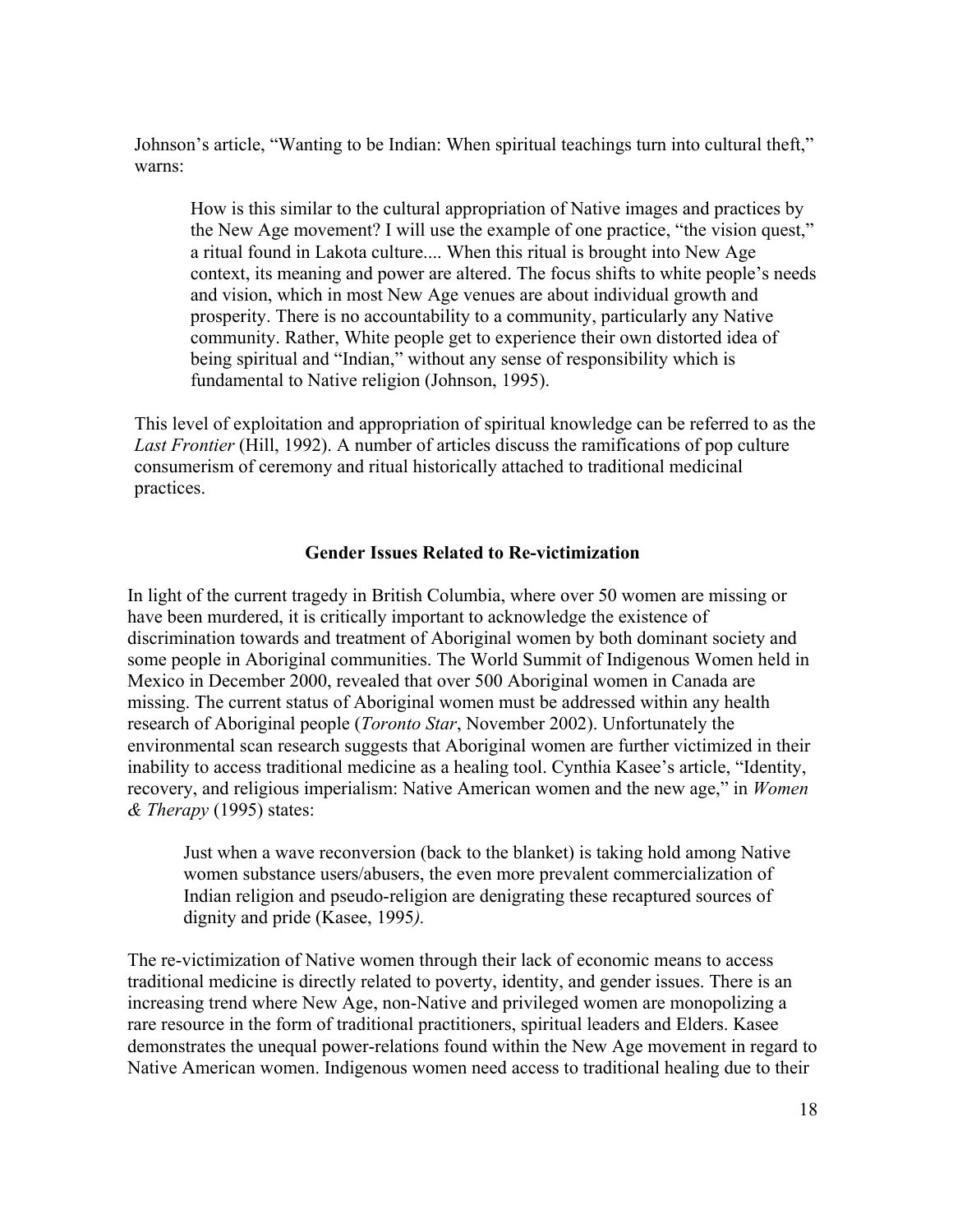Johnson's article, "Wanting to be Indian: When spiritual teachings turn into cultural theft," warns:

How is this similar to the cultural appropriation of Native images and practices by the New Age movement? I will use the example of one practice, "the vision quest," a ritual found in Lakota culture.... When this ritual is brought into New Age context, its meaning and power are altered. The focus shifts to white people's needs and vision, which in most New Age venues are about individual growth and prosperity. There is no accountability to a community, particularly any Native community. Rather, White people get to experience their own distorted idea of being spiritual and "Indian," without any sense of responsibility which is fundamental to Native religion (Johnson, 1995).

This level of exploitation and appropriation of spiritual knowledge can be referred to as the *Last Frontier* (Hill, 1992). A number of articles discuss the ramifications of pop culture consumerism of ceremony and ritual historically attached to traditional medicinal practices.

#### **Gender Issues Related to Re-victimization**

In light of the current tragedy in British Columbia, where over 50 women are missing or have been murdered, it is critically important to acknowledge the existence of discrimination towards and treatment of Aboriginal women by both dominant society and some people in Aboriginal communities. The World Summit of Indigenous Women held in Mexico in December 2000, revealed that over 500 Aboriginal women in Canada are missing. The current status of Aboriginal women must be addressed within any health research of Aboriginal people (*Toronto Star*, November 2002). Unfortunately the environmental scan research suggests that Aboriginal women are further victimized in their inability to access traditional medicine as a healing tool. Cynthia Kasee's article, "Identity, recovery, and religious imperialism: Native American women and the new age," in *Women & Therapy* (1995) states:

Just when a wave reconversion (back to the blanket) is taking hold among Native women substance users/abusers, the even more prevalent commercialization of Indian religion and pseudo-religion are denigrating these recaptured sources of dignity and pride (Kasee, 1995*).* 

The re-victimization of Native women through their lack of economic means to access traditional medicine is directly related to poverty, identity, and gender issues. There is an increasing trend where New Age, non-Native and privileged women are monopolizing a rare resource in the form of traditional practitioners, spiritual leaders and Elders. Kasee demonstrates the unequal power-relations found within the New Age movement in regard to Native American women. Indigenous women need access to traditional healing due to their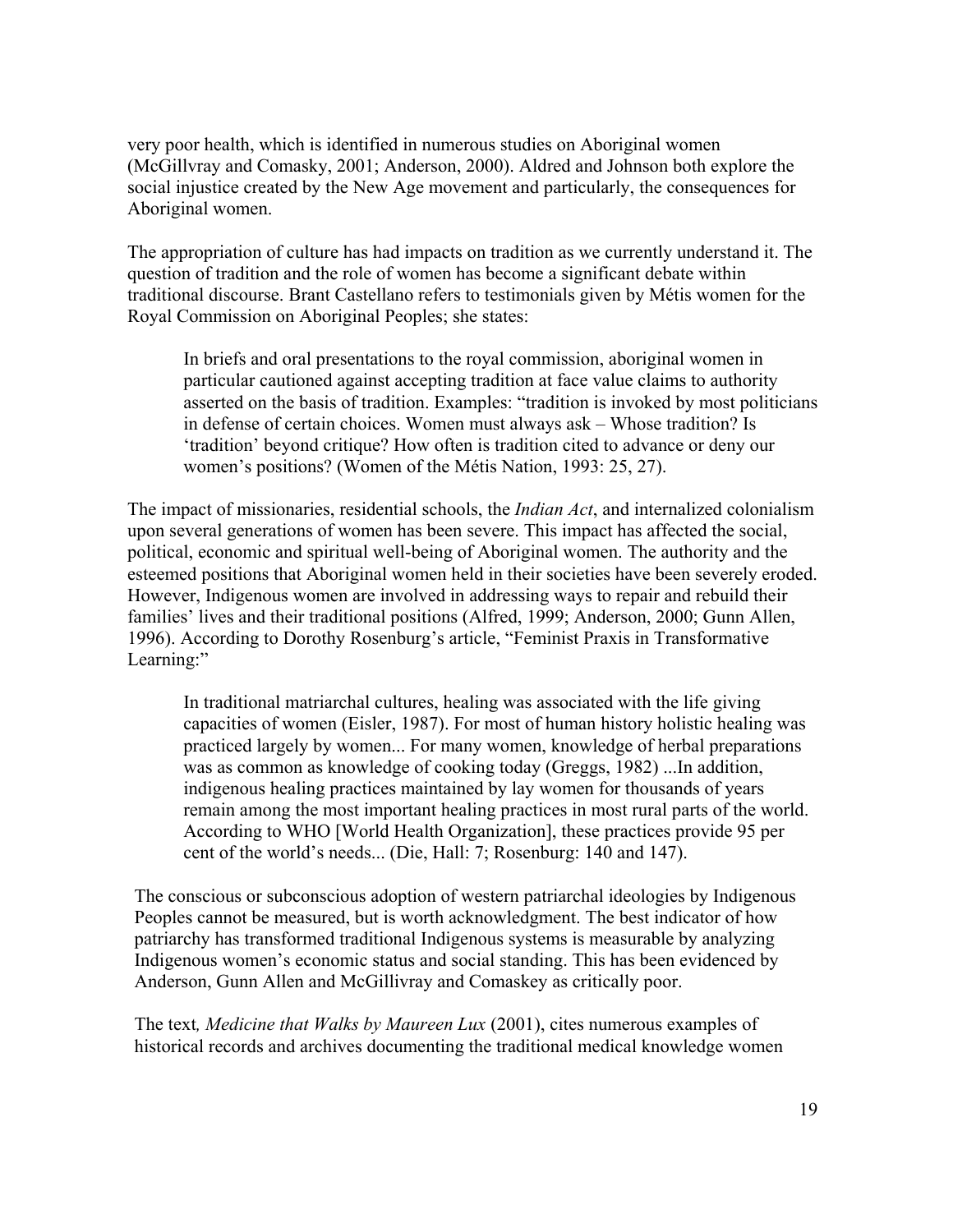very poor health, which is identified in numerous studies on Aboriginal women (McGillvray and Comasky, 2001; Anderson, 2000). Aldred and Johnson both explore the social injustice created by the New Age movement and particularly, the consequences for Aboriginal women.

The appropriation of culture has had impacts on tradition as we currently understand it. The question of tradition and the role of women has become a significant debate within traditional discourse. Brant Castellano refers to testimonials given by Métis women for the Royal Commission on Aboriginal Peoples; she states:

In briefs and oral presentations to the royal commission, aboriginal women in particular cautioned against accepting tradition at face value claims to authority asserted on the basis of tradition. Examples: "tradition is invoked by most politicians in defense of certain choices. Women must always ask – Whose tradition? Is 'tradition' beyond critique? How often is tradition cited to advance or deny our women's positions? (Women of the Métis Nation, 1993: 25, 27).

The impact of missionaries, residential schools, the *Indian Act*, and internalized colonialism upon several generations of women has been severe. This impact has affected the social, political, economic and spiritual well-being of Aboriginal women. The authority and the esteemed positions that Aboriginal women held in their societies have been severely eroded. However, Indigenous women are involved in addressing ways to repair and rebuild their families' lives and their traditional positions (Alfred, 1999; Anderson, 2000; Gunn Allen, 1996). According to Dorothy Rosenburg's article, "Feminist Praxis in Transformative Learning:"

In traditional matriarchal cultures, healing was associated with the life giving capacities of women (Eisler, 1987). For most of human history holistic healing was practiced largely by women... For many women, knowledge of herbal preparations was as common as knowledge of cooking today (Greggs, 1982) ...In addition, indigenous healing practices maintained by lay women for thousands of years remain among the most important healing practices in most rural parts of the world. According to WHO [World Health Organization], these practices provide 95 per cent of the world's needs... (Die, Hall: 7; Rosenburg: 140 and 147).

The conscious or subconscious adoption of western patriarchal ideologies by Indigenous Peoples cannot be measured, but is worth acknowledgment. The best indicator of how patriarchy has transformed traditional Indigenous systems is measurable by analyzing Indigenous women's economic status and social standing. This has been evidenced by Anderson, Gunn Allen and McGillivray and Comaskey as critically poor.

The text*, Medicine that Walks by Maureen Lux* (2001), cites numerous examples of historical records and archives documenting the traditional medical knowledge women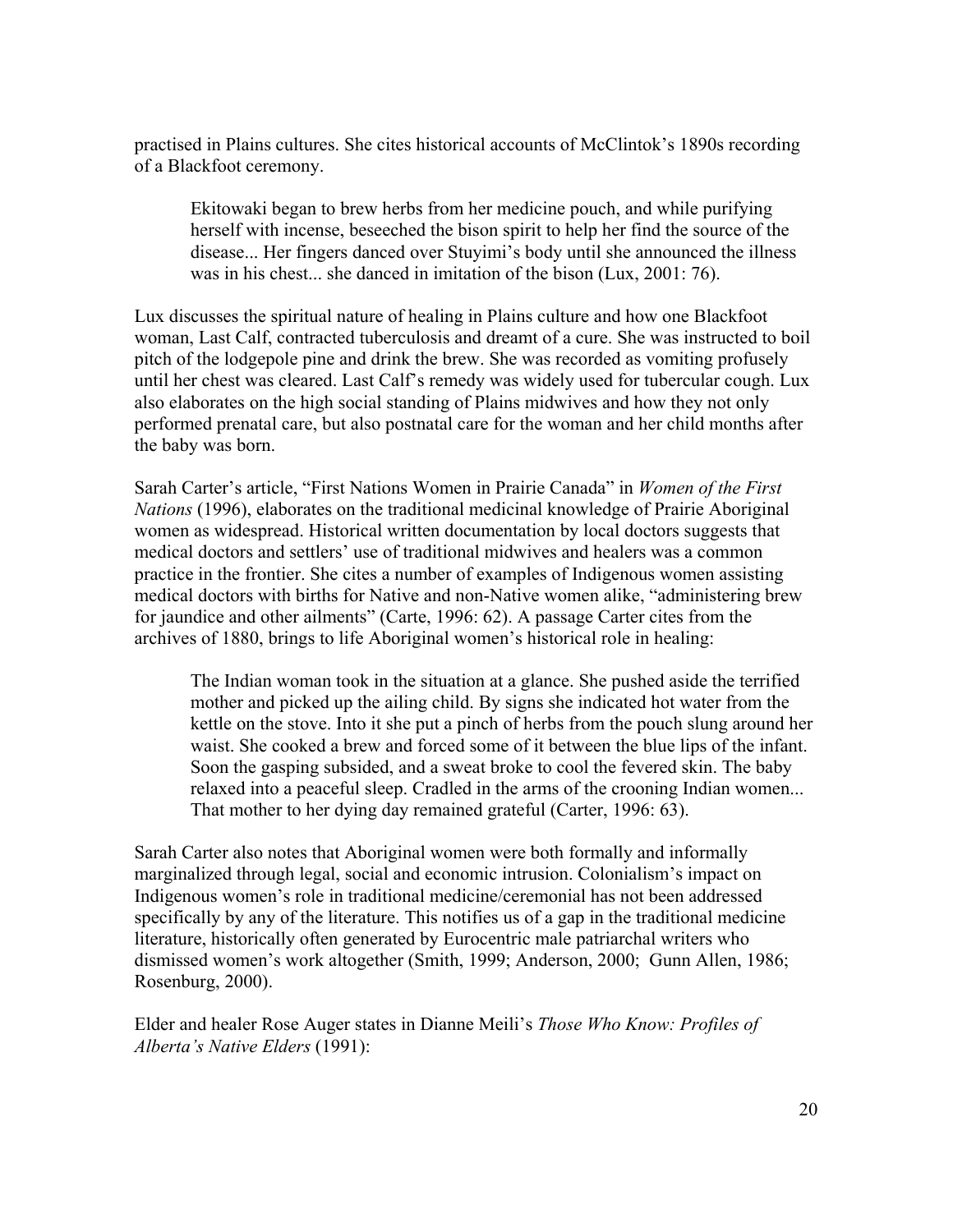practised in Plains cultures. She cites historical accounts of McClintok's 1890s recording of a Blackfoot ceremony.

Ekitowaki began to brew herbs from her medicine pouch, and while purifying herself with incense, beseeched the bison spirit to help her find the source of the disease... Her fingers danced over Stuyimi's body until she announced the illness was in his chest... she danced in imitation of the bison (Lux, 2001: 76).

Lux discusses the spiritual nature of healing in Plains culture and how one Blackfoot woman, Last Calf, contracted tuberculosis and dreamt of a cure. She was instructed to boil pitch of the lodgepole pine and drink the brew. She was recorded as vomiting profusely until her chest was cleared. Last Calf's remedy was widely used for tubercular cough. Lux also elaborates on the high social standing of Plains midwives and how they not only performed prenatal care, but also postnatal care for the woman and her child months after the baby was born.

Sarah Carter's article, "First Nations Women in Prairie Canada" in *Women of the First Nations* (1996), elaborates on the traditional medicinal knowledge of Prairie Aboriginal women as widespread. Historical written documentation by local doctors suggests that medical doctors and settlers' use of traditional midwives and healers was a common practice in the frontier. She cites a number of examples of Indigenous women assisting medical doctors with births for Native and non-Native women alike, "administering brew for jaundice and other ailments" (Carte, 1996: 62). A passage Carter cites from the archives of 1880, brings to life Aboriginal women's historical role in healing:

The Indian woman took in the situation at a glance. She pushed aside the terrified mother and picked up the ailing child. By signs she indicated hot water from the kettle on the stove. Into it she put a pinch of herbs from the pouch slung around her waist. She cooked a brew and forced some of it between the blue lips of the infant. Soon the gasping subsided, and a sweat broke to cool the fevered skin. The baby relaxed into a peaceful sleep. Cradled in the arms of the crooning Indian women... That mother to her dying day remained grateful (Carter, 1996: 63).

Sarah Carter also notes that Aboriginal women were both formally and informally marginalized through legal, social and economic intrusion. Colonialism's impact on Indigenous women's role in traditional medicine/ceremonial has not been addressed specifically by any of the literature. This notifies us of a gap in the traditional medicine literature, historically often generated by Eurocentric male patriarchal writers who dismissed women's work altogether (Smith, 1999; Anderson, 2000; Gunn Allen, 1986; Rosenburg, 2000).

Elder and healer Rose Auger states in Dianne Meili's *Those Who Know: Profiles of Alberta's Native Elders* (1991):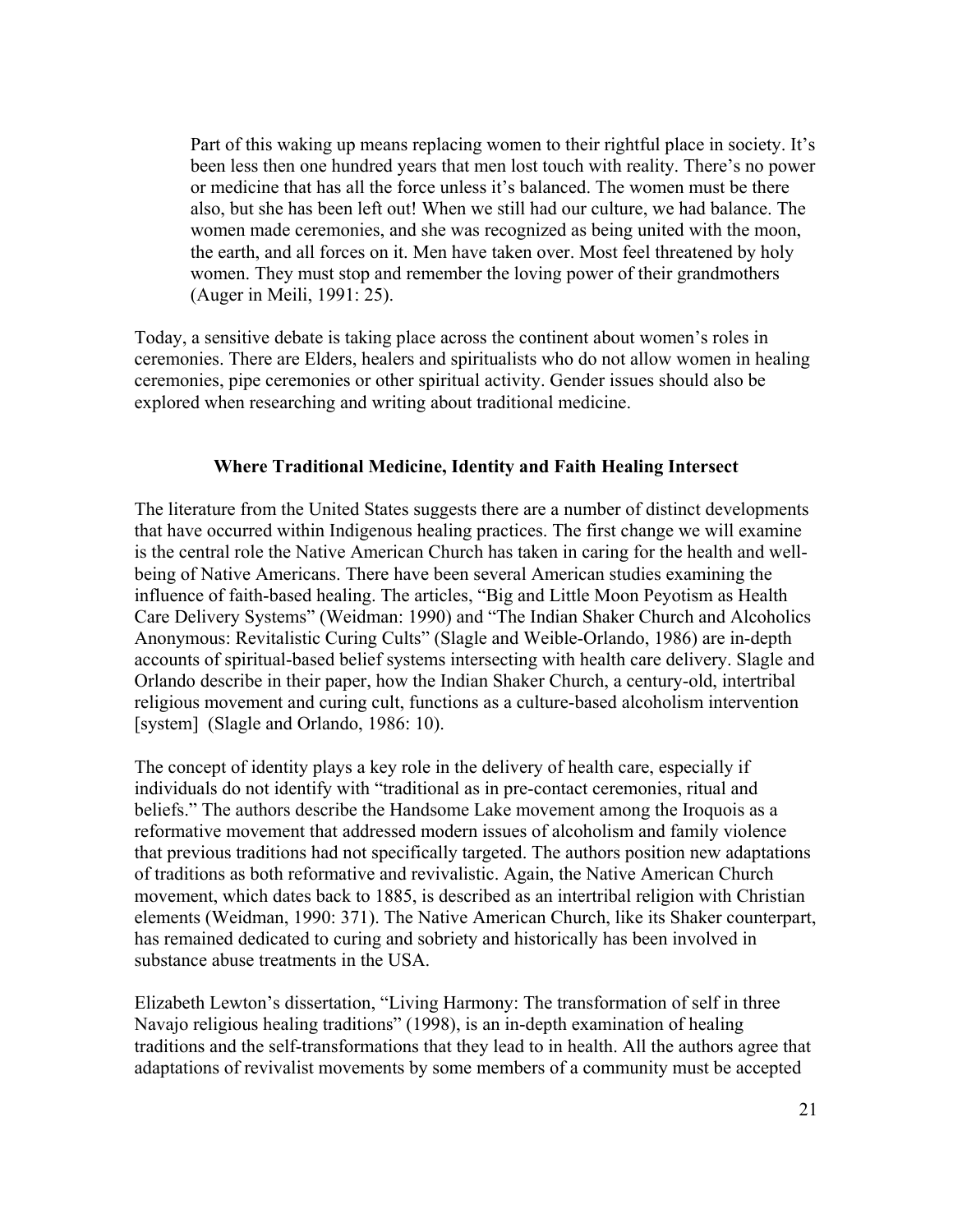Part of this waking up means replacing women to their rightful place in society. It's been less then one hundred years that men lost touch with reality. There's no power or medicine that has all the force unless it's balanced. The women must be there also, but she has been left out! When we still had our culture, we had balance. The women made ceremonies, and she was recognized as being united with the moon, the earth, and all forces on it. Men have taken over. Most feel threatened by holy women. They must stop and remember the loving power of their grandmothers (Auger in Meili, 1991: 25).

Today, a sensitive debate is taking place across the continent about women's roles in ceremonies. There are Elders, healers and spiritualists who do not allow women in healing ceremonies, pipe ceremonies or other spiritual activity. Gender issues should also be explored when researching and writing about traditional medicine.

### **Where Traditional Medicine, Identity and Faith Healing Intersect**

The literature from the United States suggests there are a number of distinct developments that have occurred within Indigenous healing practices. The first change we will examine is the central role the Native American Church has taken in caring for the health and wellbeing of Native Americans. There have been several American studies examining the influence of faith-based healing. The articles, "Big and Little Moon Peyotism as Health Care Delivery Systems" (Weidman: 1990) and "The Indian Shaker Church and Alcoholics Anonymous: Revitalistic Curing Cults" (Slagle and Weible-Orlando, 1986) are in-depth accounts of spiritual-based belief systems intersecting with health care delivery. Slagle and Orlando describe in their paper, how the Indian Shaker Church, a century-old, intertribal religious movement and curing cult, functions as a culture-based alcoholism intervention [system] (Slagle and Orlando, 1986: 10).

The concept of identity plays a key role in the delivery of health care, especially if individuals do not identify with "traditional as in pre-contact ceremonies, ritual and beliefs." The authors describe the Handsome Lake movement among the Iroquois as a reformative movement that addressed modern issues of alcoholism and family violence that previous traditions had not specifically targeted. The authors position new adaptations of traditions as both reformative and revivalistic. Again, the Native American Church movement, which dates back to 1885, is described as an intertribal religion with Christian elements (Weidman, 1990: 371). The Native American Church, like its Shaker counterpart, has remained dedicated to curing and sobriety and historically has been involved in substance abuse treatments in the USA.

Elizabeth Lewton's dissertation, "Living Harmony: The transformation of self in three Navajo religious healing traditions" (1998), is an in-depth examination of healing traditions and the self-transformations that they lead to in health. All the authors agree that adaptations of revivalist movements by some members of a community must be accepted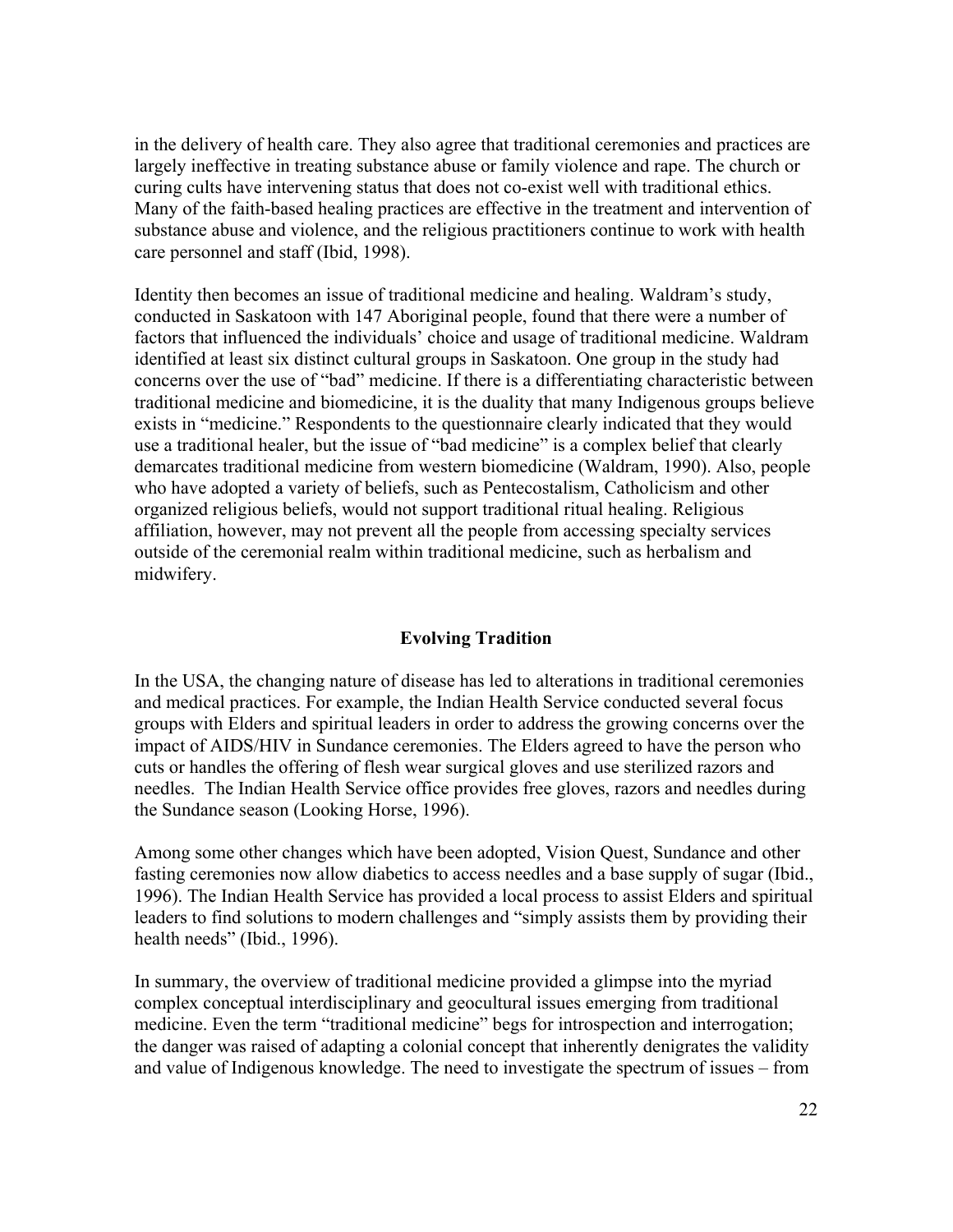in the delivery of health care. They also agree that traditional ceremonies and practices are largely ineffective in treating substance abuse or family violence and rape. The church or curing cults have intervening status that does not co-exist well with traditional ethics. Many of the faith-based healing practices are effective in the treatment and intervention of substance abuse and violence, and the religious practitioners continue to work with health care personnel and staff (Ibid, 1998).

Identity then becomes an issue of traditional medicine and healing. Waldram's study, conducted in Saskatoon with 147 Aboriginal people, found that there were a number of factors that influenced the individuals' choice and usage of traditional medicine. Waldram identified at least six distinct cultural groups in Saskatoon. One group in the study had concerns over the use of "bad" medicine. If there is a differentiating characteristic between traditional medicine and biomedicine, it is the duality that many Indigenous groups believe exists in "medicine." Respondents to the questionnaire clearly indicated that they would use a traditional healer, but the issue of "bad medicine" is a complex belief that clearly demarcates traditional medicine from western biomedicine (Waldram, 1990). Also, people who have adopted a variety of beliefs, such as Pentecostalism, Catholicism and other organized religious beliefs, would not support traditional ritual healing. Religious affiliation, however, may not prevent all the people from accessing specialty services outside of the ceremonial realm within traditional medicine, such as herbalism and midwifery.

### **Evolving Tradition**

In the USA, the changing nature of disease has led to alterations in traditional ceremonies and medical practices. For example, the Indian Health Service conducted several focus groups with Elders and spiritual leaders in order to address the growing concerns over the impact of AIDS/HIV in Sundance ceremonies. The Elders agreed to have the person who cuts or handles the offering of flesh wear surgical gloves and use sterilized razors and needles. The Indian Health Service office provides free gloves, razors and needles during the Sundance season (Looking Horse, 1996).

Among some other changes which have been adopted, Vision Quest, Sundance and other fasting ceremonies now allow diabetics to access needles and a base supply of sugar (Ibid., 1996). The Indian Health Service has provided a local process to assist Elders and spiritual leaders to find solutions to modern challenges and "simply assists them by providing their health needs" (Ibid., 1996).

In summary, the overview of traditional medicine provided a glimpse into the myriad complex conceptual interdisciplinary and geocultural issues emerging from traditional medicine. Even the term "traditional medicine" begs for introspection and interrogation; the danger was raised of adapting a colonial concept that inherently denigrates the validity and value of Indigenous knowledge. The need to investigate the spectrum of issues – from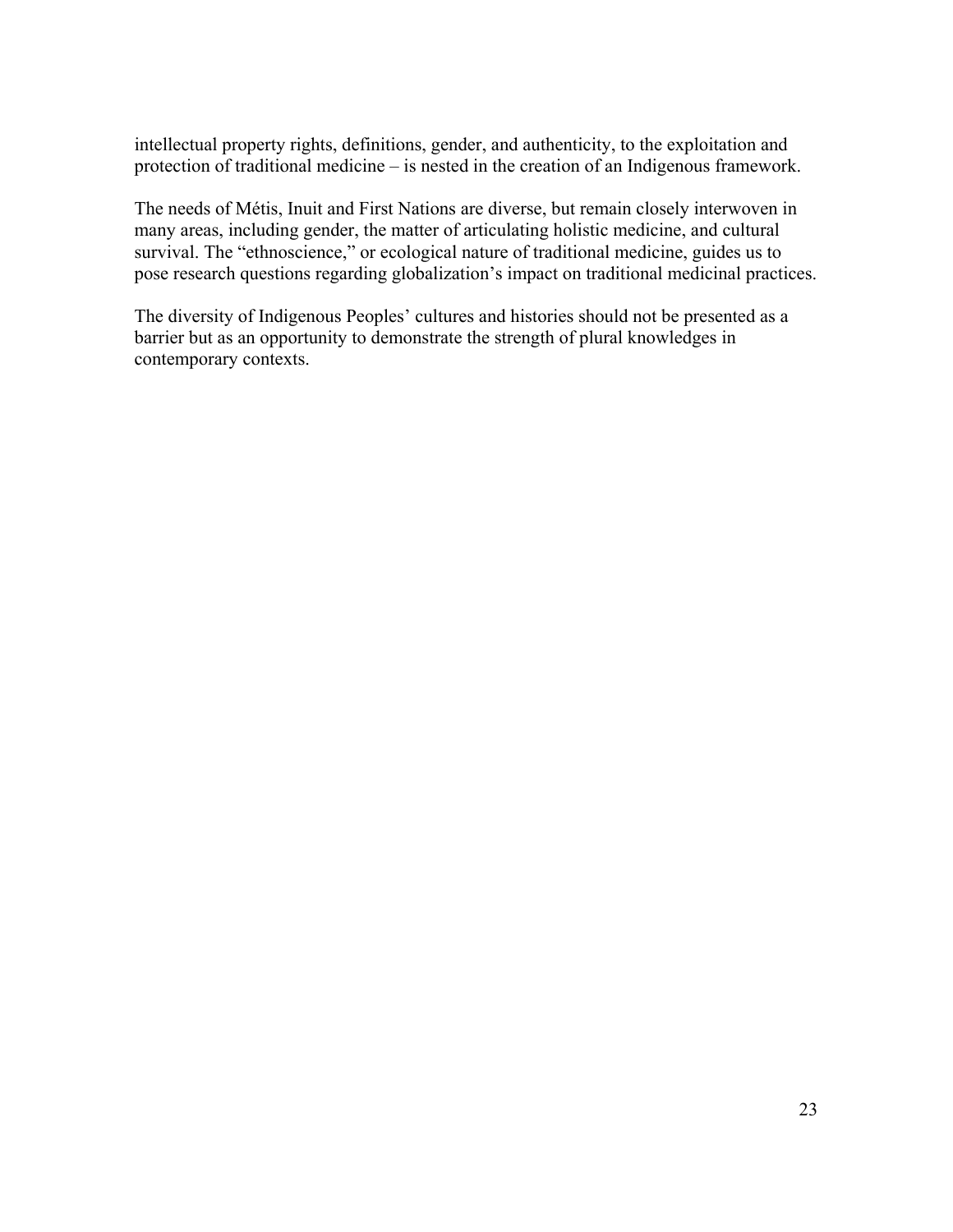intellectual property rights, definitions, gender, and authenticity, to the exploitation and protection of traditional medicine – is nested in the creation of an Indigenous framework.

The needs of Métis, Inuit and First Nations are diverse, but remain closely interwoven in many areas, including gender, the matter of articulating holistic medicine, and cultural survival. The "ethnoscience," or ecological nature of traditional medicine, guides us to pose research questions regarding globalization's impact on traditional medicinal practices.

The diversity of Indigenous Peoples' cultures and histories should not be presented as a barrier but as an opportunity to demonstrate the strength of plural knowledges in contemporary contexts.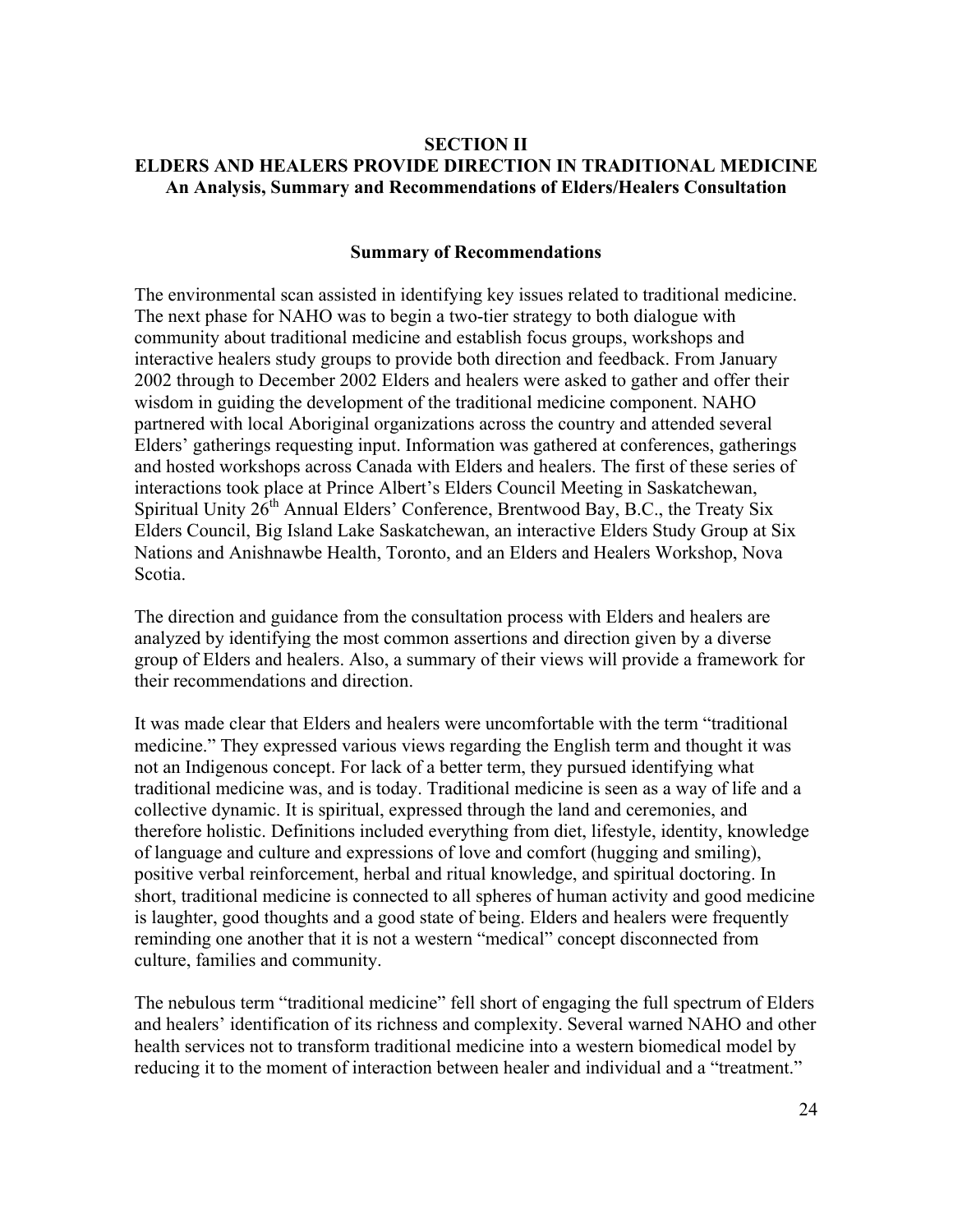### **SECTION II ELDERS AND HEALERS PROVIDE DIRECTION IN TRADITIONAL MEDICINE An Analysis, Summary and Recommendations of Elders/Healers Consultation**

#### **Summary of Recommendations**

The environmental scan assisted in identifying key issues related to traditional medicine. The next phase for NAHO was to begin a two-tier strategy to both dialogue with community about traditional medicine and establish focus groups, workshops and interactive healers study groups to provide both direction and feedback. From January 2002 through to December 2002 Elders and healers were asked to gather and offer their wisdom in guiding the development of the traditional medicine component. NAHO partnered with local Aboriginal organizations across the country and attended several Elders' gatherings requesting input. Information was gathered at conferences, gatherings and hosted workshops across Canada with Elders and healers. The first of these series of interactions took place at Prince Albert's Elders Council Meeting in Saskatchewan, Spiritual Unity  $26<sup>th</sup>$  Annual Elders' Conference, Brentwood Bay, B.C., the Treaty Six Elders Council, Big Island Lake Saskatchewan, an interactive Elders Study Group at Six Nations and Anishnawbe Health, Toronto, and an Elders and Healers Workshop, Nova Scotia.

The direction and guidance from the consultation process with Elders and healers are analyzed by identifying the most common assertions and direction given by a diverse group of Elders and healers. Also, a summary of their views will provide a framework for their recommendations and direction.

It was made clear that Elders and healers were uncomfortable with the term "traditional medicine." They expressed various views regarding the English term and thought it was not an Indigenous concept. For lack of a better term, they pursued identifying what traditional medicine was, and is today. Traditional medicine is seen as a way of life and a collective dynamic. It is spiritual, expressed through the land and ceremonies, and therefore holistic. Definitions included everything from diet, lifestyle, identity, knowledge of language and culture and expressions of love and comfort (hugging and smiling), positive verbal reinforcement, herbal and ritual knowledge, and spiritual doctoring. In short, traditional medicine is connected to all spheres of human activity and good medicine is laughter, good thoughts and a good state of being. Elders and healers were frequently reminding one another that it is not a western "medical" concept disconnected from culture, families and community.

The nebulous term "traditional medicine" fell short of engaging the full spectrum of Elders and healers' identification of its richness and complexity. Several warned NAHO and other health services not to transform traditional medicine into a western biomedical model by reducing it to the moment of interaction between healer and individual and a "treatment."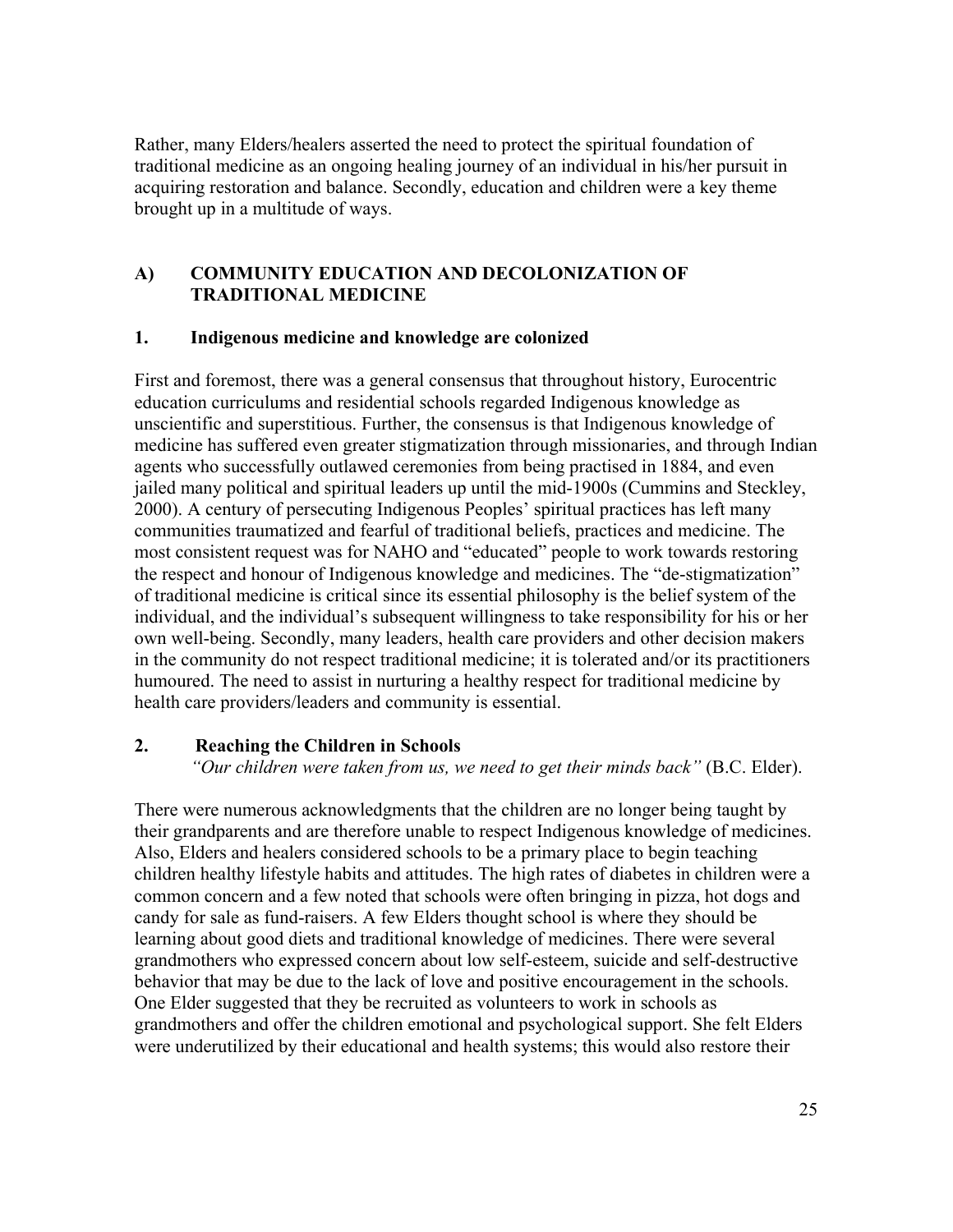Rather, many Elders/healers asserted the need to protect the spiritual foundation of traditional medicine as an ongoing healing journey of an individual in his/her pursuit in acquiring restoration and balance. Secondly, education and children were a key theme brought up in a multitude of ways.

### **A) COMMUNITY EDUCATION AND DECOLONIZATION OF TRADITIONAL MEDICINE**

### **1. Indigenous medicine and knowledge are colonized**

First and foremost, there was a general consensus that throughout history, Eurocentric education curriculums and residential schools regarded Indigenous knowledge as unscientific and superstitious. Further, the consensus is that Indigenous knowledge of medicine has suffered even greater stigmatization through missionaries, and through Indian agents who successfully outlawed ceremonies from being practised in 1884, and even jailed many political and spiritual leaders up until the mid-1900s (Cummins and Steckley, 2000). A century of persecuting Indigenous Peoples' spiritual practices has left many communities traumatized and fearful of traditional beliefs, practices and medicine. The most consistent request was for NAHO and "educated" people to work towards restoring the respect and honour of Indigenous knowledge and medicines. The "de-stigmatization" of traditional medicine is critical since its essential philosophy is the belief system of the individual, and the individual's subsequent willingness to take responsibility for his or her own well-being. Secondly, many leaders, health care providers and other decision makers in the community do not respect traditional medicine; it is tolerated and/or its practitioners humoured. The need to assist in nurturing a healthy respect for traditional medicine by health care providers/leaders and community is essential.

### **2. Reaching the Children in Schools**

 *"Our children were taken from us, we need to get their minds back"* (B.C. Elder).

There were numerous acknowledgments that the children are no longer being taught by their grandparents and are therefore unable to respect Indigenous knowledge of medicines. Also, Elders and healers considered schools to be a primary place to begin teaching children healthy lifestyle habits and attitudes. The high rates of diabetes in children were a common concern and a few noted that schools were often bringing in pizza, hot dogs and candy for sale as fund-raisers. A few Elders thought school is where they should be learning about good diets and traditional knowledge of medicines. There were several grandmothers who expressed concern about low self-esteem, suicide and self-destructive behavior that may be due to the lack of love and positive encouragement in the schools. One Elder suggested that they be recruited as volunteers to work in schools as grandmothers and offer the children emotional and psychological support. She felt Elders were underutilized by their educational and health systems; this would also restore their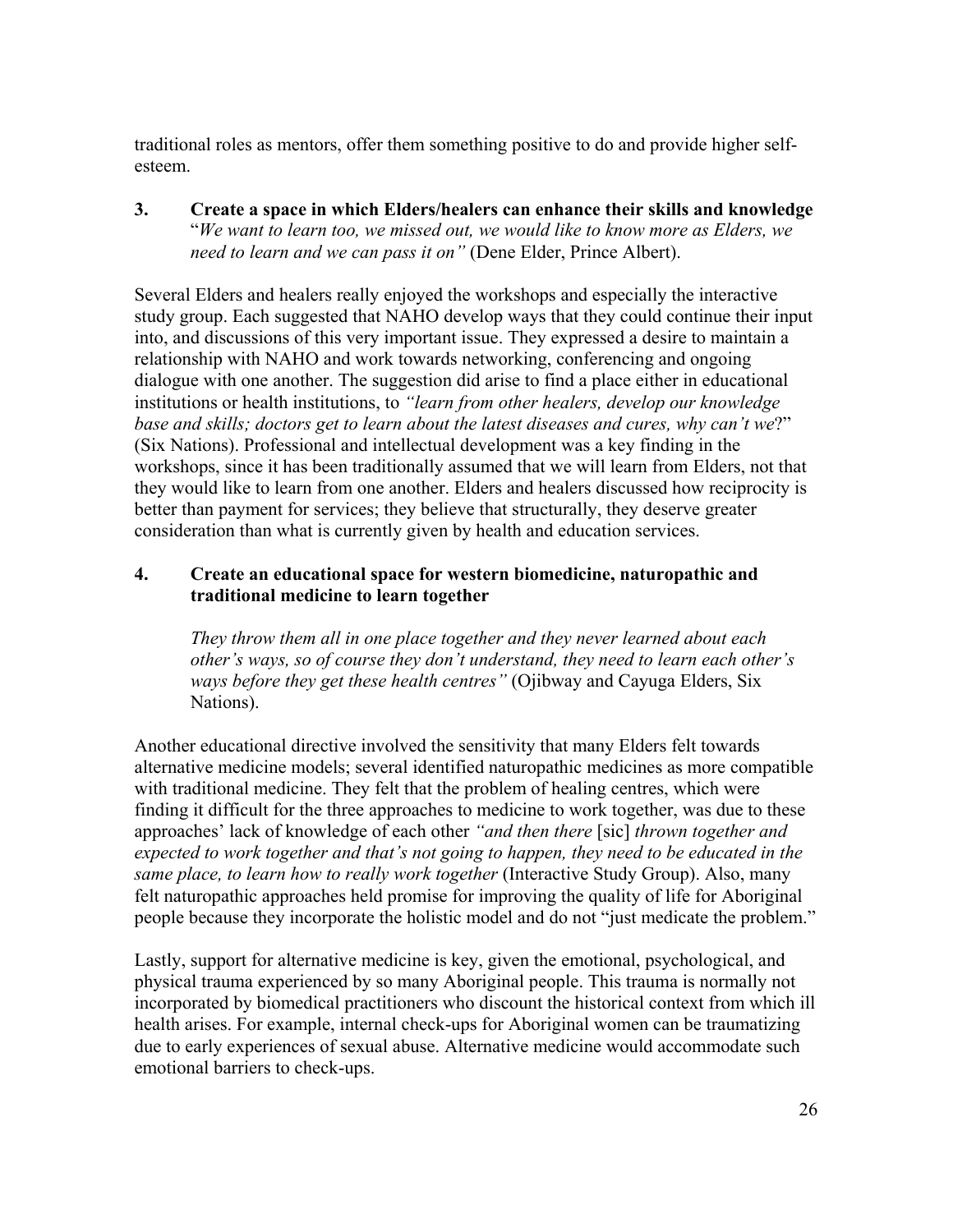traditional roles as mentors, offer them something positive to do and provide higher selfesteem.

**3. Create a space in which Elders/healers can enhance their skills and knowledge** "*We want to learn too, we missed out, we would like to know more as Elders, we need to learn and we can pass it on"* (Dene Elder, Prince Albert).

Several Elders and healers really enjoyed the workshops and especially the interactive study group. Each suggested that NAHO develop ways that they could continue their input into, and discussions of this very important issue. They expressed a desire to maintain a relationship with NAHO and work towards networking, conferencing and ongoing dialogue with one another. The suggestion did arise to find a place either in educational institutions or health institutions, to *"learn from other healers, develop our knowledge base and skills; doctors get to learn about the latest diseases and cures, why can't we*?" (Six Nations). Professional and intellectual development was a key finding in the workshops, since it has been traditionally assumed that we will learn from Elders, not that they would like to learn from one another. Elders and healers discussed how reciprocity is better than payment for services; they believe that structurally, they deserve greater consideration than what is currently given by health and education services.

### **4. Create an educational space for western biomedicine, naturopathic and traditional medicine to learn together**

*They throw them all in one place together and they never learned about each other's ways, so of course they don't understand, they need to learn each other's ways before they get these health centres"* (Ojibway and Cayuga Elders, Six Nations).

Another educational directive involved the sensitivity that many Elders felt towards alternative medicine models; several identified naturopathic medicines as more compatible with traditional medicine. They felt that the problem of healing centres, which were finding it difficult for the three approaches to medicine to work together, was due to these approaches' lack of knowledge of each other *"and then there* [sic] *thrown together and expected to work together and that's not going to happen, they need to be educated in the same place, to learn how to really work together* (Interactive Study Group). Also, many felt naturopathic approaches held promise for improving the quality of life for Aboriginal people because they incorporate the holistic model and do not "just medicate the problem."

Lastly, support for alternative medicine is key, given the emotional, psychological, and physical trauma experienced by so many Aboriginal people. This trauma is normally not incorporated by biomedical practitioners who discount the historical context from which ill health arises. For example, internal check-ups for Aboriginal women can be traumatizing due to early experiences of sexual abuse. Alternative medicine would accommodate such emotional barriers to check-ups.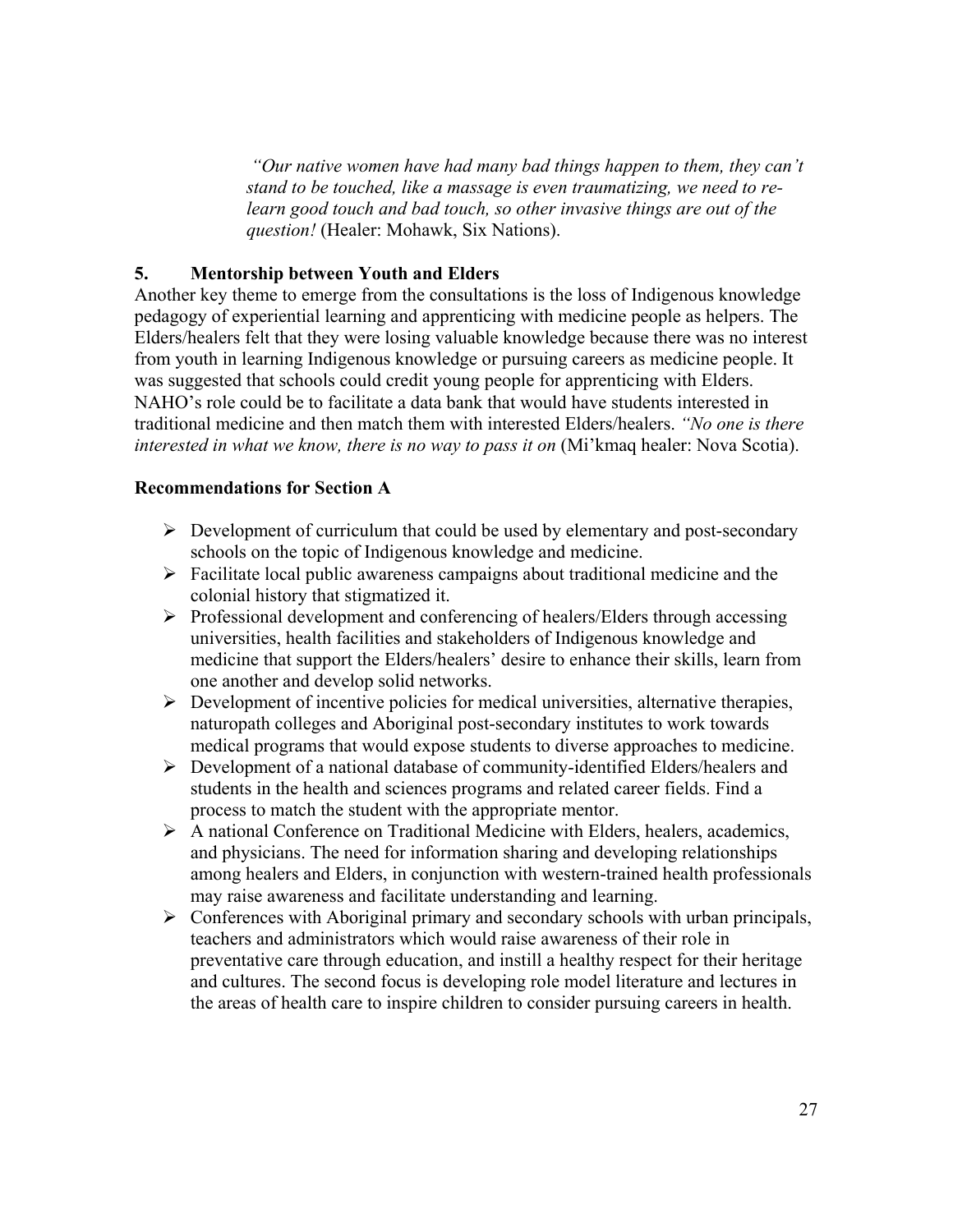*"Our native women have had many bad things happen to them, they can't stand to be touched, like a massage is even traumatizing, we need to relearn good touch and bad touch, so other invasive things are out of the question!* (Healer: Mohawk, Six Nations).

### **5. Mentorship between Youth and Elders**

Another key theme to emerge from the consultations is the loss of Indigenous knowledge pedagogy of experiential learning and apprenticing with medicine people as helpers. The Elders/healers felt that they were losing valuable knowledge because there was no interest from youth in learning Indigenous knowledge or pursuing careers as medicine people. It was suggested that schools could credit young people for apprenticing with Elders. NAHO's role could be to facilitate a data bank that would have students interested in traditional medicine and then match them with interested Elders/healers. *"No one is there interested in what we know, there is no way to pass it on* (Mi'kmaq healer: Nova Scotia).

#### **Recommendations for Section A**

- $\triangleright$  Development of curriculum that could be used by elementary and post-secondary schools on the topic of Indigenous knowledge and medicine.
- $\triangleright$  Facilitate local public awareness campaigns about traditional medicine and the colonial history that stigmatized it.
- $\triangleright$  Professional development and conferencing of healers/Elders through accessing universities, health facilities and stakeholders of Indigenous knowledge and medicine that support the Elders/healers' desire to enhance their skills, learn from one another and develop solid networks.
- $\triangleright$  Development of incentive policies for medical universities, alternative therapies, naturopath colleges and Aboriginal post-secondary institutes to work towards medical programs that would expose students to diverse approaches to medicine.
- ¾ Development of a national database of community-identified Elders/healers and students in the health and sciences programs and related career fields. Find a process to match the student with the appropriate mentor.
- ¾ A national Conference on Traditional Medicine with Elders, healers, academics, and physicians. The need for information sharing and developing relationships among healers and Elders, in conjunction with western-trained health professionals may raise awareness and facilitate understanding and learning.
- $\triangleright$  Conferences with Aboriginal primary and secondary schools with urban principals, teachers and administrators which would raise awareness of their role in preventative care through education, and instill a healthy respect for their heritage and cultures. The second focus is developing role model literature and lectures in the areas of health care to inspire children to consider pursuing careers in health.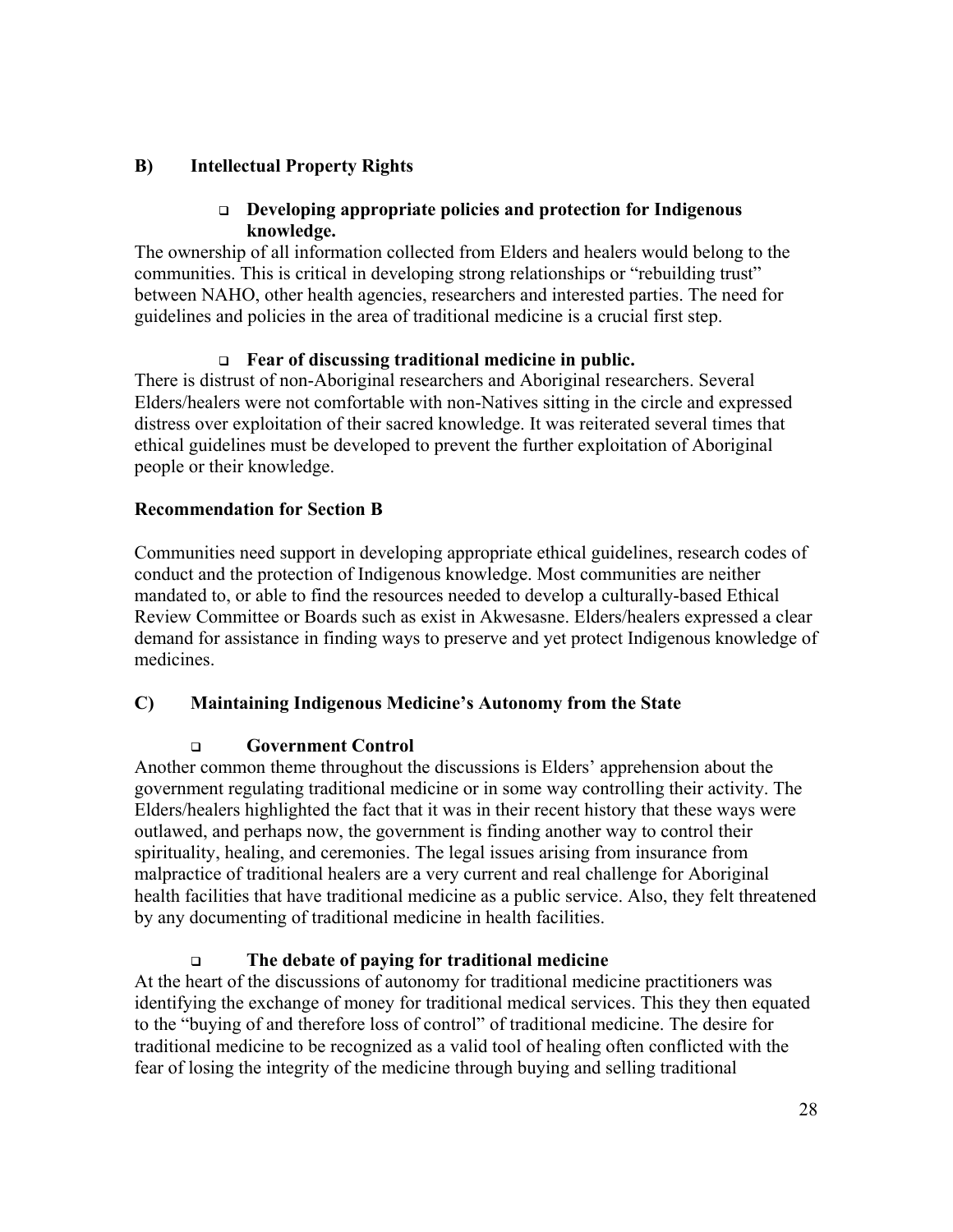### **B) Intellectual Property Rights**

### **Developing appropriate policies and protection for Indigenous knowledge.**

The ownership of all information collected from Elders and healers would belong to the communities. This is critical in developing strong relationships or "rebuilding trust" between NAHO, other health agencies, researchers and interested parties. The need for guidelines and policies in the area of traditional medicine is a crucial first step.

### **Fear of discussing traditional medicine in public.**

There is distrust of non-Aboriginal researchers and Aboriginal researchers. Several Elders/healers were not comfortable with non-Natives sitting in the circle and expressed distress over exploitation of their sacred knowledge. It was reiterated several times that ethical guidelines must be developed to prevent the further exploitation of Aboriginal people or their knowledge.

### **Recommendation for Section B**

Communities need support in developing appropriate ethical guidelines, research codes of conduct and the protection of Indigenous knowledge. Most communities are neither mandated to, or able to find the resources needed to develop a culturally-based Ethical Review Committee or Boards such as exist in Akwesasne. Elders/healers expressed a clear demand for assistance in finding ways to preserve and yet protect Indigenous knowledge of medicines.

### **C) Maintaining Indigenous Medicine's Autonomy from the State**

### **Government Control**

Another common theme throughout the discussions is Elders' apprehension about the government regulating traditional medicine or in some way controlling their activity. The Elders/healers highlighted the fact that it was in their recent history that these ways were outlawed, and perhaps now, the government is finding another way to control their spirituality, healing, and ceremonies. The legal issues arising from insurance from malpractice of traditional healers are a very current and real challenge for Aboriginal health facilities that have traditional medicine as a public service. Also, they felt threatened by any documenting of traditional medicine in health facilities.

### **The debate of paying for traditional medicine**

At the heart of the discussions of autonomy for traditional medicine practitioners was identifying the exchange of money for traditional medical services. This they then equated to the "buying of and therefore loss of control" of traditional medicine. The desire for traditional medicine to be recognized as a valid tool of healing often conflicted with the fear of losing the integrity of the medicine through buying and selling traditional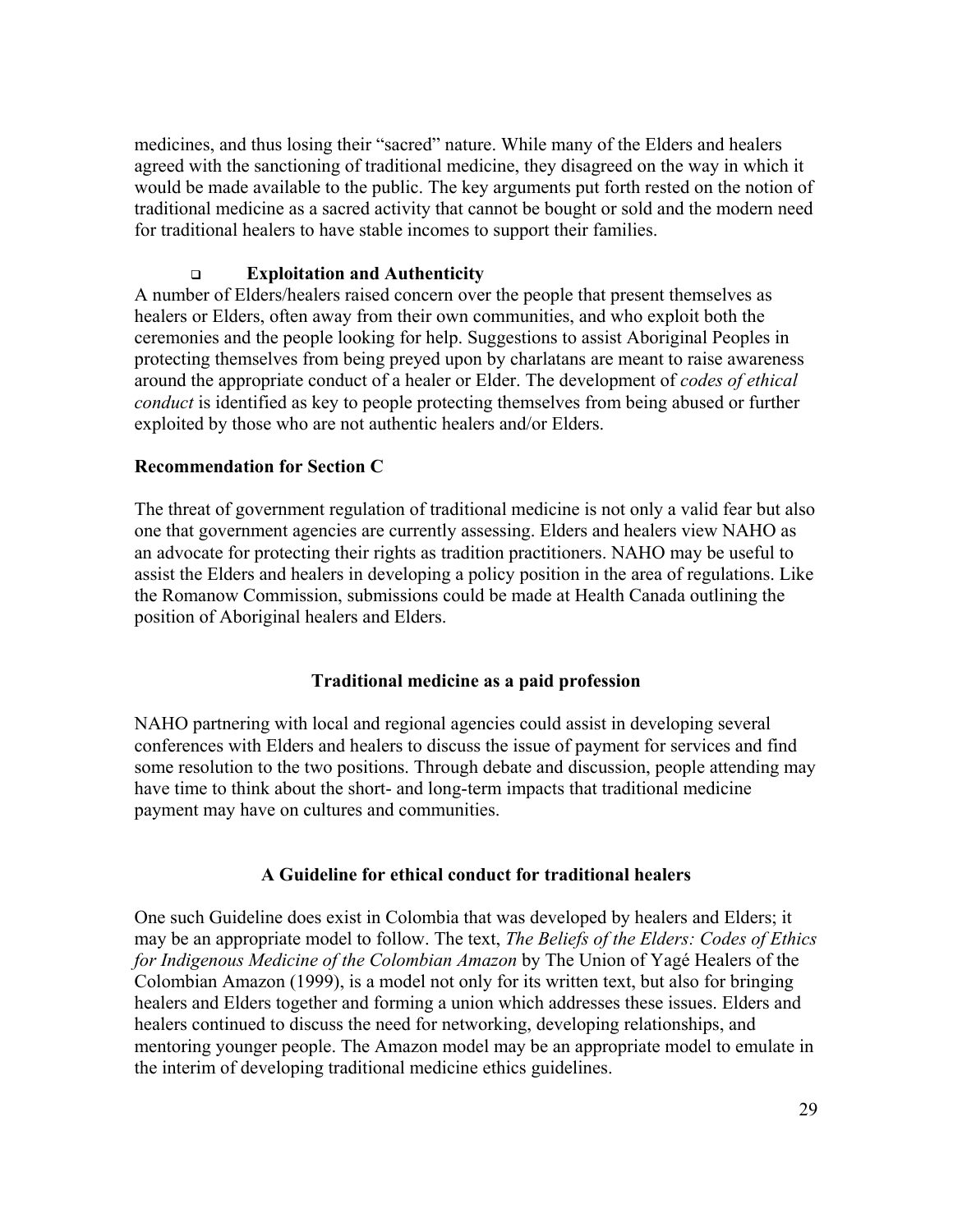medicines, and thus losing their "sacred" nature. While many of the Elders and healers agreed with the sanctioning of traditional medicine, they disagreed on the way in which it would be made available to the public. The key arguments put forth rested on the notion of traditional medicine as a sacred activity that cannot be bought or sold and the modern need for traditional healers to have stable incomes to support their families.

### **Exploitation and Authenticity**

A number of Elders/healers raised concern over the people that present themselves as healers or Elders, often away from their own communities, and who exploit both the ceremonies and the people looking for help. Suggestions to assist Aboriginal Peoples in protecting themselves from being preyed upon by charlatans are meant to raise awareness around the appropriate conduct of a healer or Elder. The development of *codes of ethical conduct* is identified as key to people protecting themselves from being abused or further exploited by those who are not authentic healers and/or Elders.

### **Recommendation for Section C**

The threat of government regulation of traditional medicine is not only a valid fear but also one that government agencies are currently assessing. Elders and healers view NAHO as an advocate for protecting their rights as tradition practitioners. NAHO may be useful to assist the Elders and healers in developing a policy position in the area of regulations. Like the Romanow Commission, submissions could be made at Health Canada outlining the position of Aboriginal healers and Elders.

### **Traditional medicine as a paid profession**

NAHO partnering with local and regional agencies could assist in developing several conferences with Elders and healers to discuss the issue of payment for services and find some resolution to the two positions. Through debate and discussion, people attending may have time to think about the short- and long-term impacts that traditional medicine payment may have on cultures and communities.

### **A Guideline for ethical conduct for traditional healers**

One such Guideline does exist in Colombia that was developed by healers and Elders; it may be an appropriate model to follow. The text, *The Beliefs of the Elders: Codes of Ethics for Indigenous Medicine of the Colombian Amazon* by The Union of Yagé Healers of the Colombian Amazon (1999), is a model not only for its written text, but also for bringing healers and Elders together and forming a union which addresses these issues. Elders and healers continued to discuss the need for networking, developing relationships, and mentoring younger people. The Amazon model may be an appropriate model to emulate in the interim of developing traditional medicine ethics guidelines.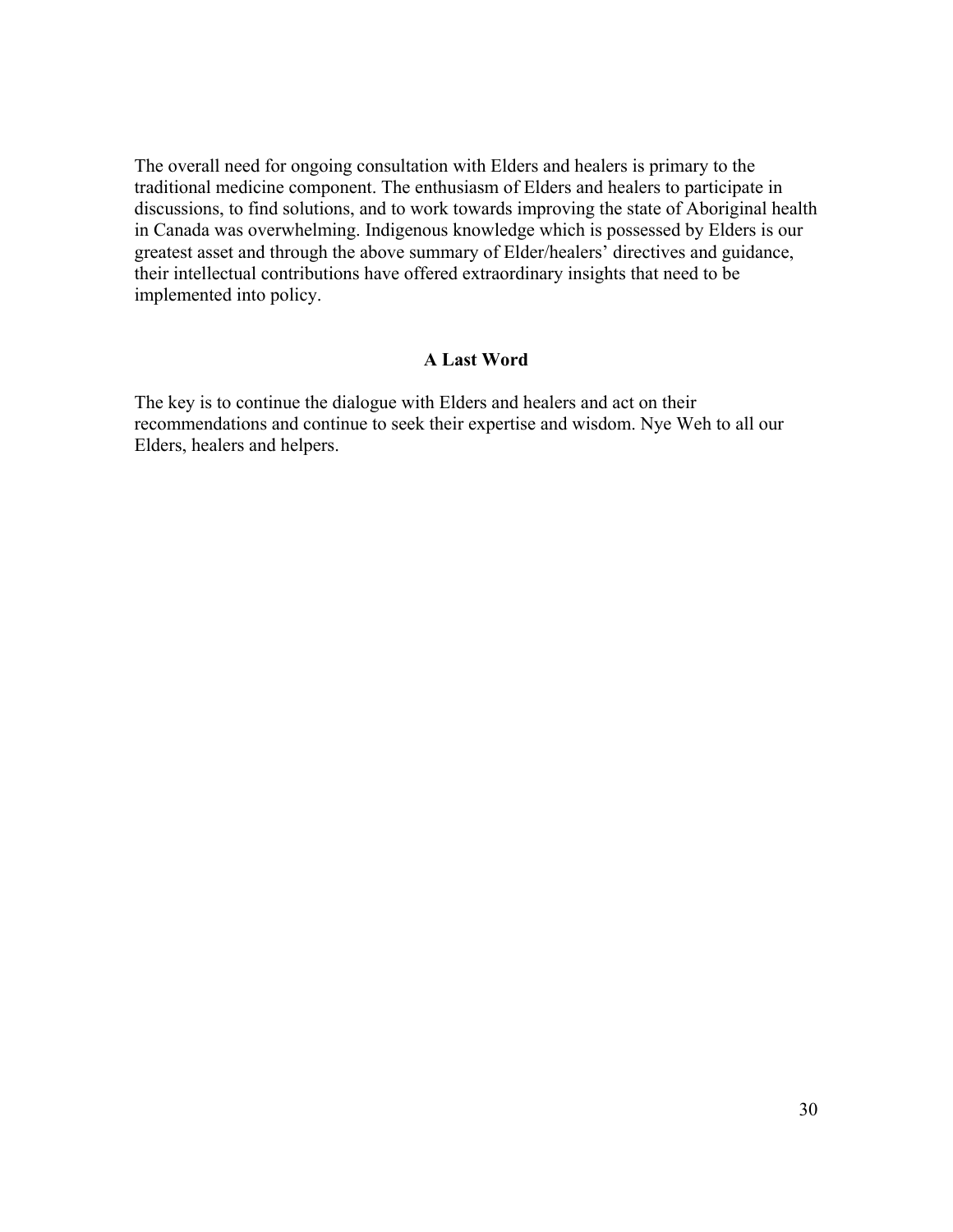The overall need for ongoing consultation with Elders and healers is primary to the traditional medicine component. The enthusiasm of Elders and healers to participate in discussions, to find solutions, and to work towards improving the state of Aboriginal health in Canada was overwhelming. Indigenous knowledge which is possessed by Elders is our greatest asset and through the above summary of Elder/healers' directives and guidance, their intellectual contributions have offered extraordinary insights that need to be implemented into policy.

### **A Last Word**

The key is to continue the dialogue with Elders and healers and act on their recommendations and continue to seek their expertise and wisdom. Nye Weh to all our Elders, healers and helpers.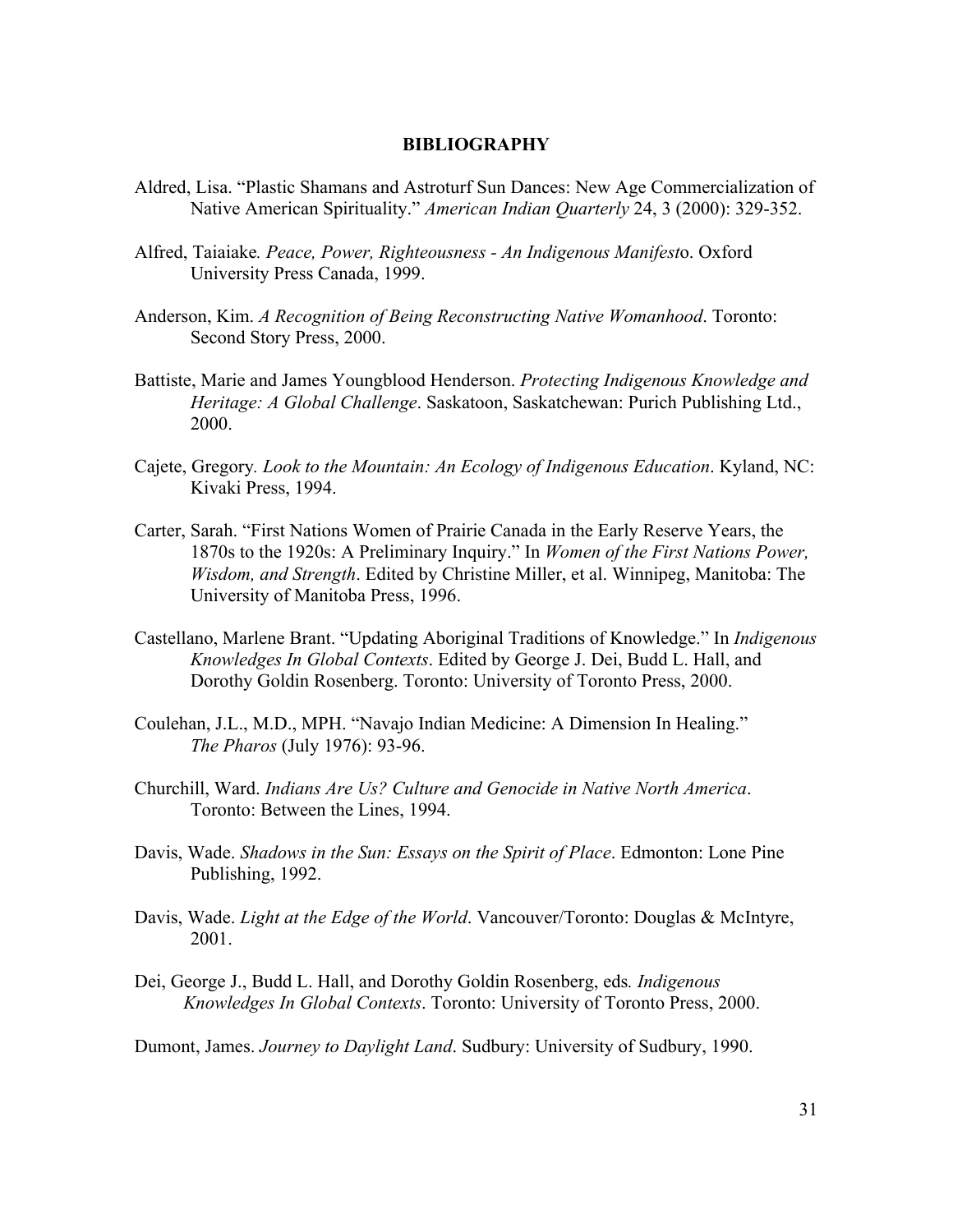#### **BIBLIOGRAPHY**

- Aldred, Lisa. "Plastic Shamans and Astroturf Sun Dances: New Age Commercialization of Native American Spirituality." *American Indian Quarterly* 24, 3 (2000): 329-352.
- Alfred, Taiaiake*. Peace, Power, Righteousness An Indigenous Manifest*o. Oxford University Press Canada, 1999.
- Anderson, Kim. *A Recognition of Being Reconstructing Native Womanhood*. Toronto: Second Story Press, 2000.
- Battiste, Marie and James Youngblood Henderson. *Protecting Indigenous Knowledge and Heritage: A Global Challenge*. Saskatoon, Saskatchewan: Purich Publishing Ltd., 2000.
- Cajete, Gregory*. Look to the Mountain: An Ecology of Indigenous Education*. Kyland, NC: Kivaki Press, 1994.
- Carter, Sarah. "First Nations Women of Prairie Canada in the Early Reserve Years, the 1870s to the 1920s: A Preliminary Inquiry." In *Women of the First Nations Power, Wisdom, and Strength*. Edited by Christine Miller, et al. Winnipeg, Manitoba: The University of Manitoba Press, 1996.
- Castellano, Marlene Brant. "Updating Aboriginal Traditions of Knowledge." In *Indigenous Knowledges In Global Contexts*. Edited by George J. Dei, Budd L. Hall, and Dorothy Goldin Rosenberg. Toronto: University of Toronto Press, 2000.
- Coulehan, J.L., M.D., MPH. "Navajo Indian Medicine: A Dimension In Healing." *The Pharos* (July 1976): 93-96.
- Churchill, Ward. *Indians Are Us? Culture and Genocide in Native North America*. Toronto: Between the Lines, 1994.
- Davis, Wade. *Shadows in the Sun: Essays on the Spirit of Place*. Edmonton: Lone Pine Publishing, 1992.
- Davis, Wade. *Light at the Edge of the World*. Vancouver/Toronto: Douglas & McIntyre, 2001.
- Dei, George J., Budd L. Hall, and Dorothy Goldin Rosenberg, eds*. Indigenous Knowledges In Global Contexts*. Toronto: University of Toronto Press, 2000.
- Dumont, James. *Journey to Daylight Land*. Sudbury: University of Sudbury, 1990.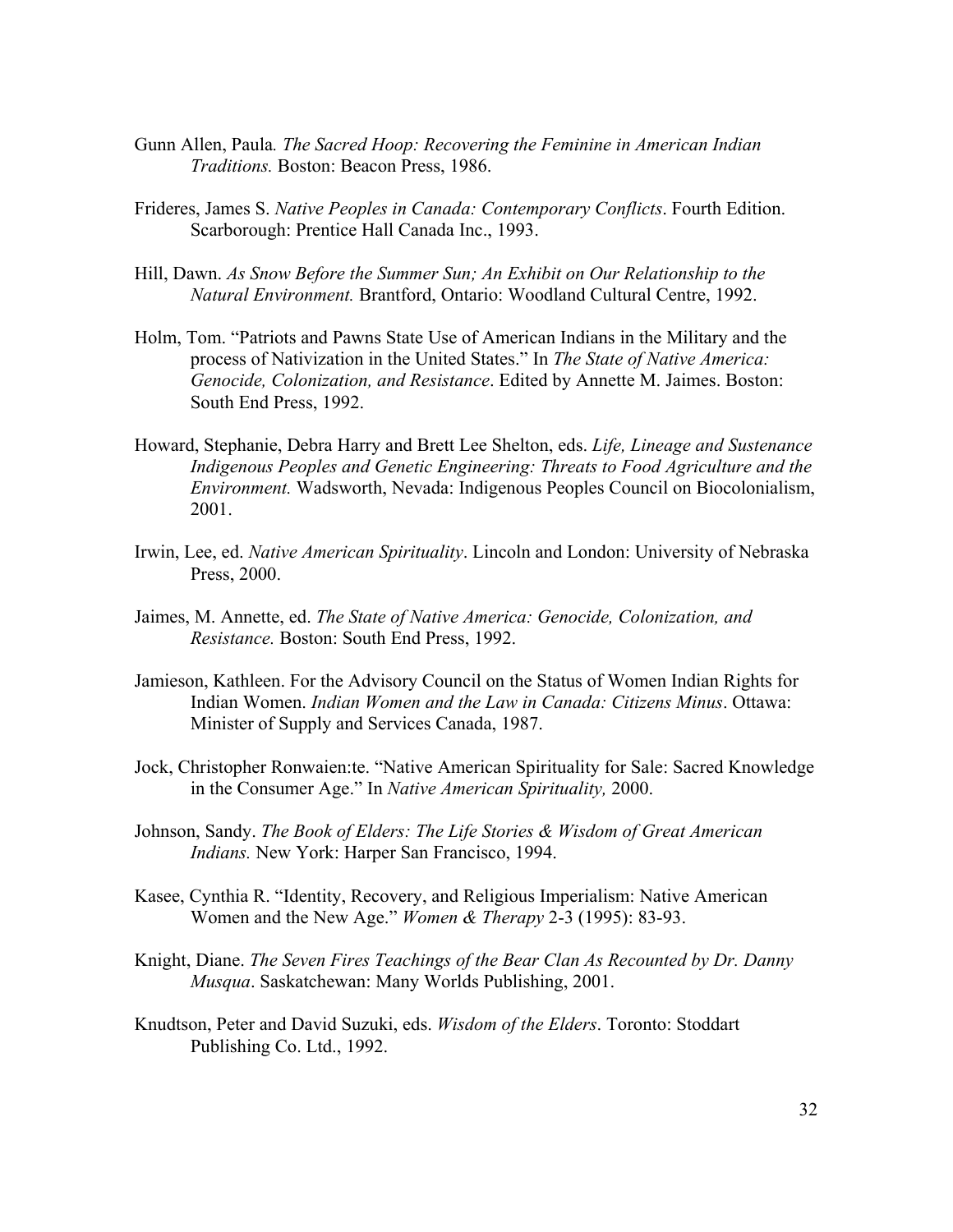- Gunn Allen, Paula*. The Sacred Hoop: Recovering the Feminine in American Indian Traditions.* Boston: Beacon Press, 1986.
- Frideres, James S. *Native Peoples in Canada: Contemporary Conflicts*. Fourth Edition. Scarborough: Prentice Hall Canada Inc., 1993.
- Hill, Dawn. *As Snow Before the Summer Sun; An Exhibit on Our Relationship to the Natural Environment.* Brantford, Ontario: Woodland Cultural Centre, 1992.
- Holm, Tom. "Patriots and Pawns State Use of American Indians in the Military and the process of Nativization in the United States." In *The State of Native America: Genocide, Colonization, and Resistance*. Edited by Annette M. Jaimes. Boston: South End Press, 1992.
- Howard, Stephanie, Debra Harry and Brett Lee Shelton, eds. *Life, Lineage and Sustenance Indigenous Peoples and Genetic Engineering: Threats to Food Agriculture and the Environment.* Wadsworth, Nevada: Indigenous Peoples Council on Biocolonialism, 2001.
- Irwin, Lee, ed. *Native American Spirituality*. Lincoln and London: University of Nebraska Press, 2000.
- Jaimes, M. Annette, ed. *The State of Native America: Genocide, Colonization, and Resistance.* Boston: South End Press, 1992.
- Jamieson, Kathleen. For the Advisory Council on the Status of Women Indian Rights for Indian Women. *Indian Women and the Law in Canada: Citizens Minus*. Ottawa: Minister of Supply and Services Canada, 1987.
- Jock, Christopher Ronwaien:te. "Native American Spirituality for Sale: Sacred Knowledge in the Consumer Age." In *Native American Spirituality,* 2000.
- Johnson, Sandy. *The Book of Elders: The Life Stories & Wisdom of Great American Indians.* New York: Harper San Francisco, 1994.
- Kasee, Cynthia R. "Identity, Recovery, and Religious Imperialism: Native American Women and the New Age." *Women & Therapy* 2-3 (1995): 83-93.
- Knight, Diane. *The Seven Fires Teachings of the Bear Clan As Recounted by Dr. Danny Musqua*. Saskatchewan: Many Worlds Publishing, 2001.
- Knudtson, Peter and David Suzuki, eds. *Wisdom of the Elders*. Toronto: Stoddart Publishing Co. Ltd., 1992.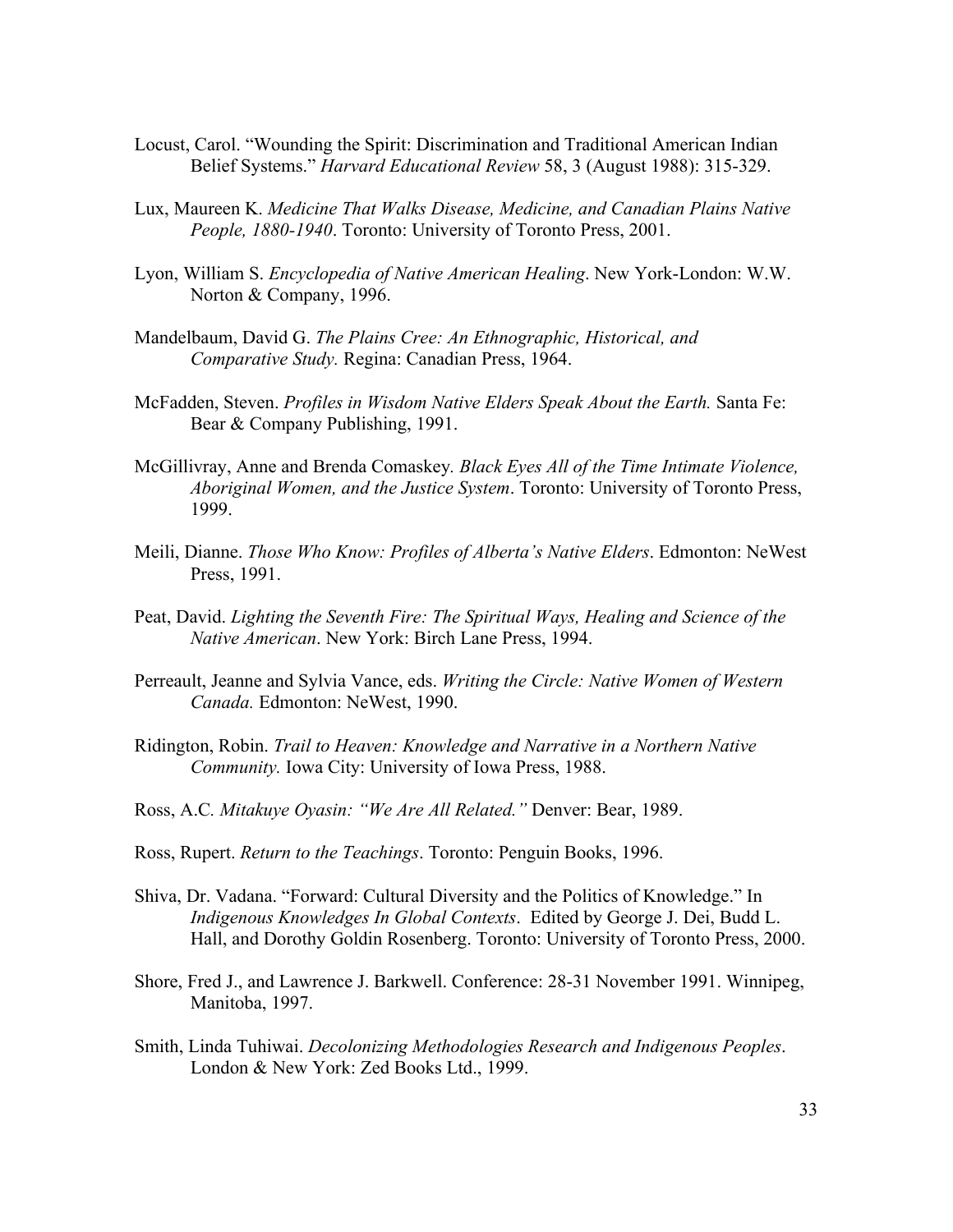- Locust, Carol. "Wounding the Spirit: Discrimination and Traditional American Indian Belief Systems." *Harvard Educational Review* 58, 3 (August 1988): 315-329.
- Lux, Maureen K. *Medicine That Walks Disease, Medicine, and Canadian Plains Native People, 1880-1940*. Toronto: University of Toronto Press, 2001.
- Lyon, William S. *Encyclopedia of Native American Healing*. New York-London: W.W. Norton & Company, 1996.
- Mandelbaum, David G. *The Plains Cree: An Ethnographic, Historical, and Comparative Study.* Regina: Canadian Press, 1964.
- McFadden, Steven. *Profiles in Wisdom Native Elders Speak About the Earth.* Santa Fe: Bear & Company Publishing, 1991.
- McGillivray, Anne and Brenda Comaskey*. Black Eyes All of the Time Intimate Violence, Aboriginal Women, and the Justice System*. Toronto: University of Toronto Press, 1999.
- Meili, Dianne. *Those Who Know: Profiles of Alberta's Native Elders*. Edmonton: NeWest Press, 1991.
- Peat, David. *Lighting the Seventh Fire: The Spiritual Ways, Healing and Science of the Native American*. New York: Birch Lane Press, 1994.
- Perreault, Jeanne and Sylvia Vance, eds. *Writing the Circle: Native Women of Western Canada.* Edmonton: NeWest, 1990.
- Ridington, Robin. *Trail to Heaven: Knowledge and Narrative in a Northern Native Community.* Iowa City: University of Iowa Press, 1988.
- Ross, A.C*. Mitakuye Oyasin: "We Are All Related."* Denver: Bear, 1989.
- Ross, Rupert. *Return to the Teachings*. Toronto: Penguin Books, 1996.
- Shiva, Dr. Vadana. "Forward: Cultural Diversity and the Politics of Knowledge." In *Indigenous Knowledges In Global Contexts*. Edited by George J. Dei, Budd L. Hall, and Dorothy Goldin Rosenberg. Toronto: University of Toronto Press, 2000.
- Shore, Fred J., and Lawrence J. Barkwell. Conference: 28-31 November 1991. Winnipeg, Manitoba, 1997.
- Smith, Linda Tuhiwai. *Decolonizing Methodologies Research and Indigenous Peoples*. London & New York: Zed Books Ltd., 1999.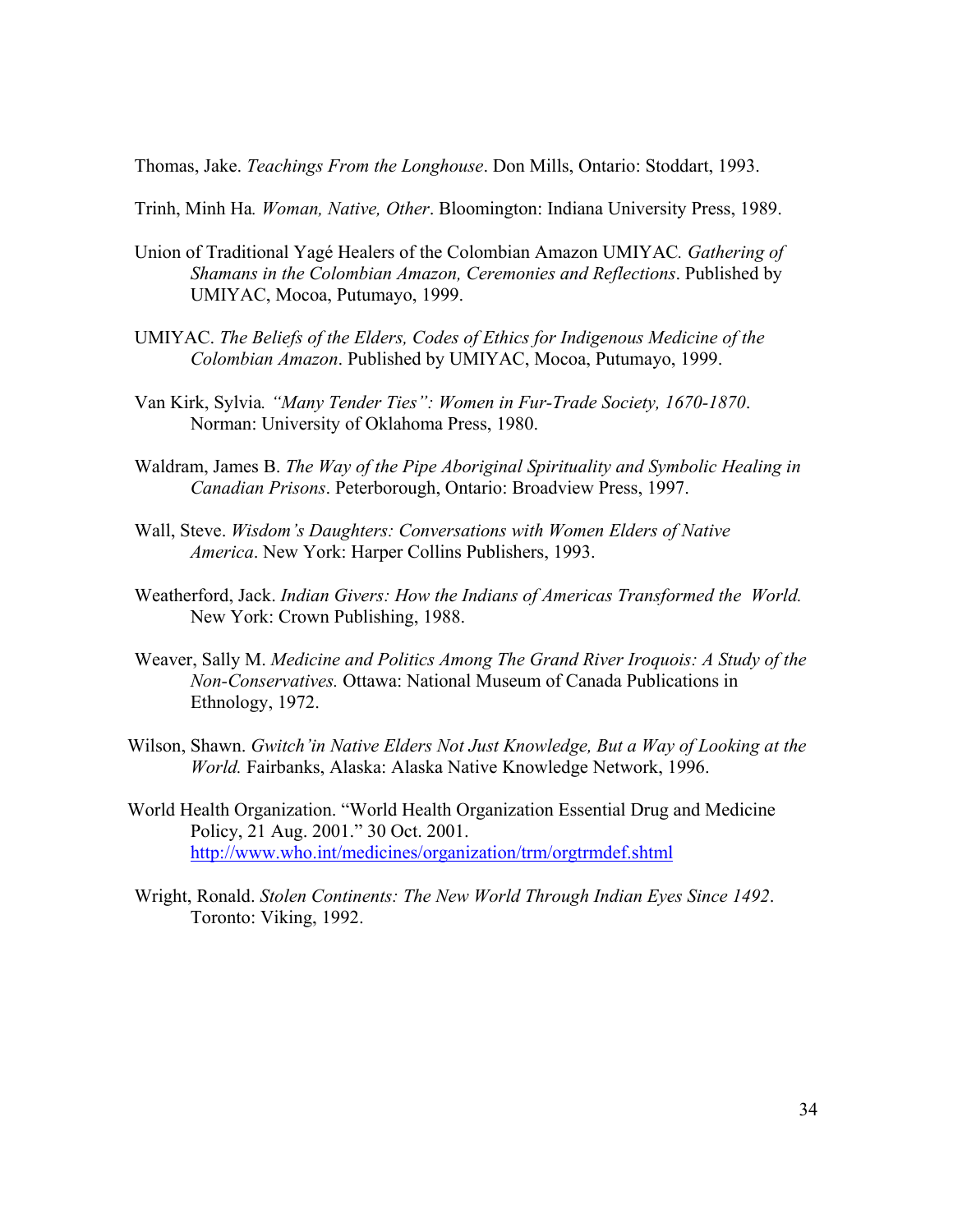Thomas, Jake. *Teachings From the Longhouse*. Don Mills, Ontario: Stoddart, 1993.

Trinh, Minh Ha*. Woman, Native, Other*. Bloomington: Indiana University Press, 1989.

- Union of Traditional Yagé Healers of the Colombian Amazon UMIYAC*. Gathering of Shamans in the Colombian Amazon, Ceremonies and Reflections*. Published by UMIYAC, Mocoa, Putumayo, 1999.
- UMIYAC. *The Beliefs of the Elders, Codes of Ethics for Indigenous Medicine of the Colombian Amazon*. Published by UMIYAC, Mocoa, Putumayo, 1999.
- Van Kirk, Sylvia*. "Many Tender Ties": Women in Fur-Trade Society, 1670-1870*. Norman: University of Oklahoma Press, 1980.
- Waldram, James B. *The Way of the Pipe Aboriginal Spirituality and Symbolic Healing in Canadian Prisons*. Peterborough, Ontario: Broadview Press, 1997.
- Wall, Steve. *Wisdom's Daughters: Conversations with Women Elders of Native America*. New York: Harper Collins Publishers, 1993.
- Weatherford, Jack. *Indian Givers: How the Indians of Americas Transformed the World.*  New York: Crown Publishing, 1988.
- Weaver, Sally M. *Medicine and Politics Among The Grand River Iroquois: A Study of the Non-Conservatives.* Ottawa: National Museum of Canada Publications in Ethnology, 1972.
- Wilson, Shawn. *Gwitch'in Native Elders Not Just Knowledge, But a Way of Looking at the World.* Fairbanks, Alaska: Alaska Native Knowledge Network, 1996.
- World Health Organization. "World Health Organization Essential Drug and Medicine Policy, 21 Aug. 2001." 30 Oct. 2001. http://www.who.int/medicines/organization/trm/orgtrmdef.shtml
- Wright, Ronald. *Stolen Continents: The New World Through Indian Eyes Since 1492*. Toronto: Viking, 1992.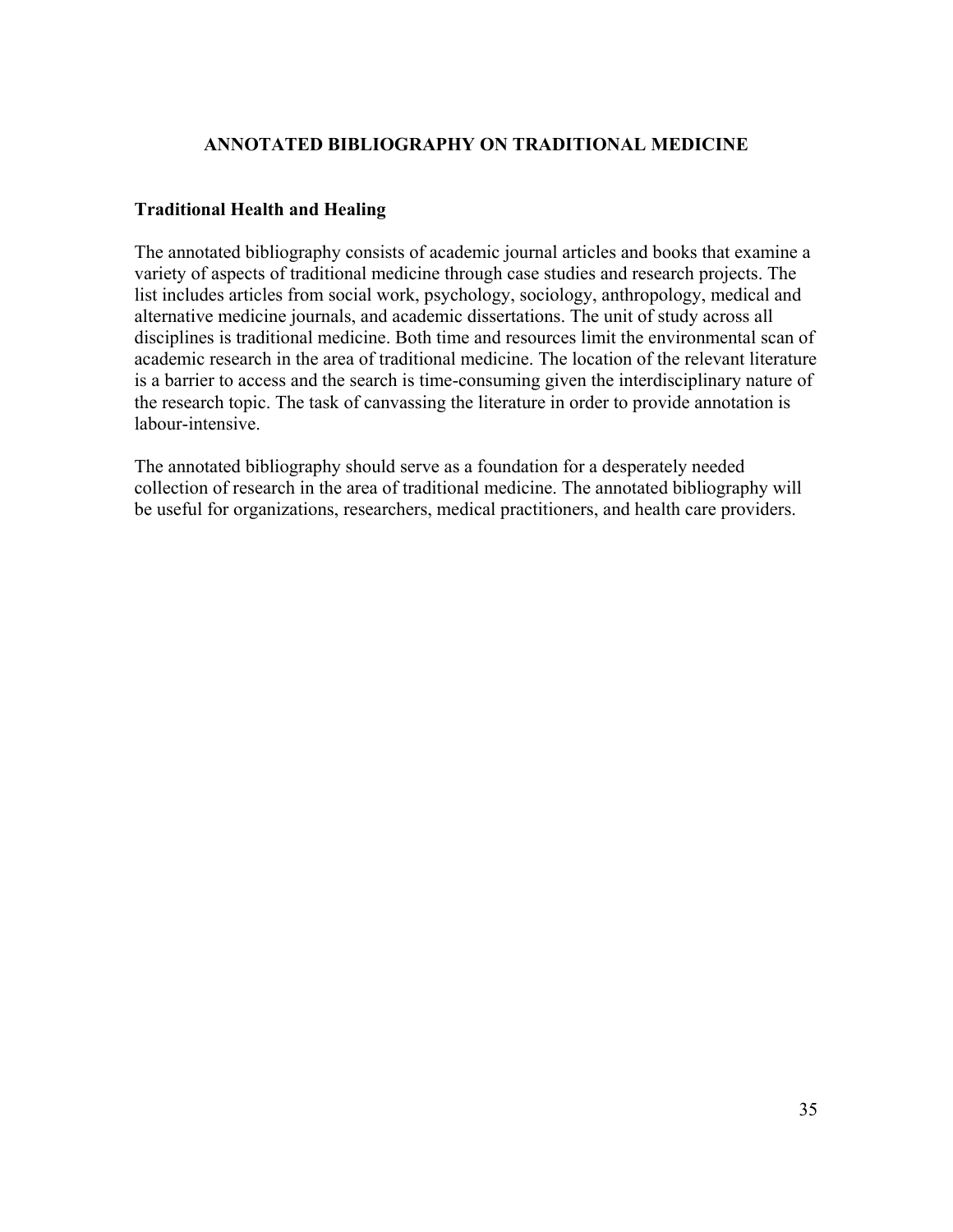### **ANNOTATED BIBLIOGRAPHY ON TRADITIONAL MEDICINE**

### **Traditional Health and Healing**

The annotated bibliography consists of academic journal articles and books that examine a variety of aspects of traditional medicine through case studies and research projects. The list includes articles from social work, psychology, sociology, anthropology, medical and alternative medicine journals, and academic dissertations. The unit of study across all disciplines is traditional medicine. Both time and resources limit the environmental scan of academic research in the area of traditional medicine. The location of the relevant literature is a barrier to access and the search is time-consuming given the interdisciplinary nature of the research topic. The task of canvassing the literature in order to provide annotation is labour-intensive.

The annotated bibliography should serve as a foundation for a desperately needed collection of research in the area of traditional medicine. The annotated bibliography will be useful for organizations, researchers, medical practitioners, and health care providers.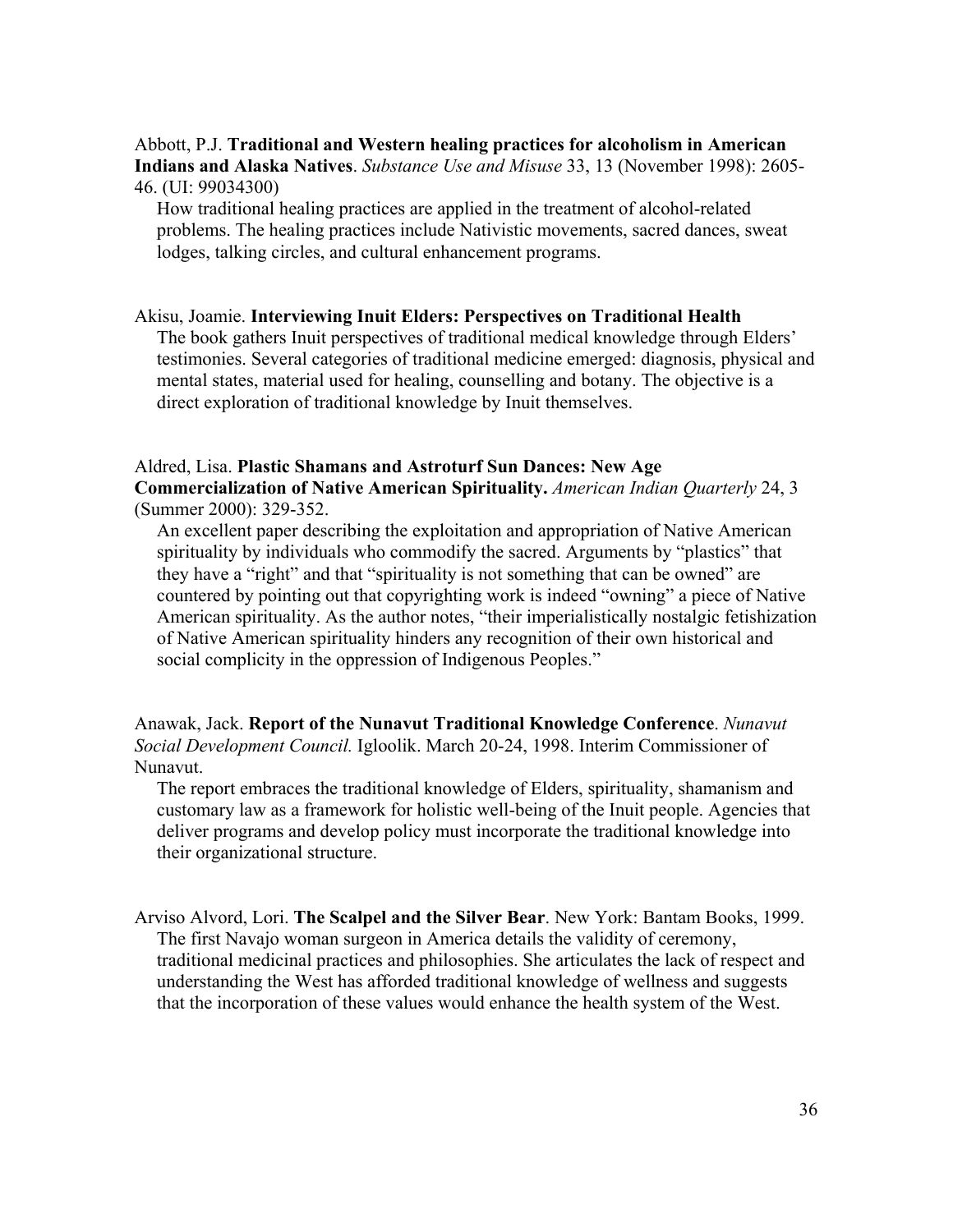Abbott, P.J. **Traditional and Western healing practices for alcoholism in American Indians and Alaska Natives**. *Substance Use and Misuse* 33, 13 (November 1998): 2605- 46. (UI: 99034300)

How traditional healing practices are applied in the treatment of alcohol-related problems. The healing practices include Nativistic movements, sacred dances, sweat lodges, talking circles, and cultural enhancement programs.

#### Akisu, Joamie. **Interviewing Inuit Elders: Perspectives on Traditional Health**

The book gathers Inuit perspectives of traditional medical knowledge through Elders' testimonies. Several categories of traditional medicine emerged: diagnosis, physical and mental states, material used for healing, counselling and botany. The objective is a direct exploration of traditional knowledge by Inuit themselves.

### Aldred, Lisa. **Plastic Shamans and Astroturf Sun Dances: New Age Commercialization of Native American Spirituality.** *American Indian Quarterly* 24, 3 (Summer 2000): 329-352.

An excellent paper describing the exploitation and appropriation of Native American spirituality by individuals who commodify the sacred. Arguments by "plastics" that they have a "right" and that "spirituality is not something that can be owned" are countered by pointing out that copyrighting work is indeed "owning" a piece of Native American spirituality. As the author notes, "their imperialistically nostalgic fetishization of Native American spirituality hinders any recognition of their own historical and social complicity in the oppression of Indigenous Peoples."

Anawak, Jack. **Report of the Nunavut Traditional Knowledge Conference**. *Nunavut Social Development Council.* Igloolik. March 20-24, 1998. Interim Commissioner of Nunavut.

The report embraces the traditional knowledge of Elders, spirituality, shamanism and customary law as a framework for holistic well-being of the Inuit people. Agencies that deliver programs and develop policy must incorporate the traditional knowledge into their organizational structure.

Arviso Alvord, Lori. **The Scalpel and the Silver Bear**. New York: Bantam Books, 1999. The first Navajo woman surgeon in America details the validity of ceremony, traditional medicinal practices and philosophies. She articulates the lack of respect and understanding the West has afforded traditional knowledge of wellness and suggests that the incorporation of these values would enhance the health system of the West.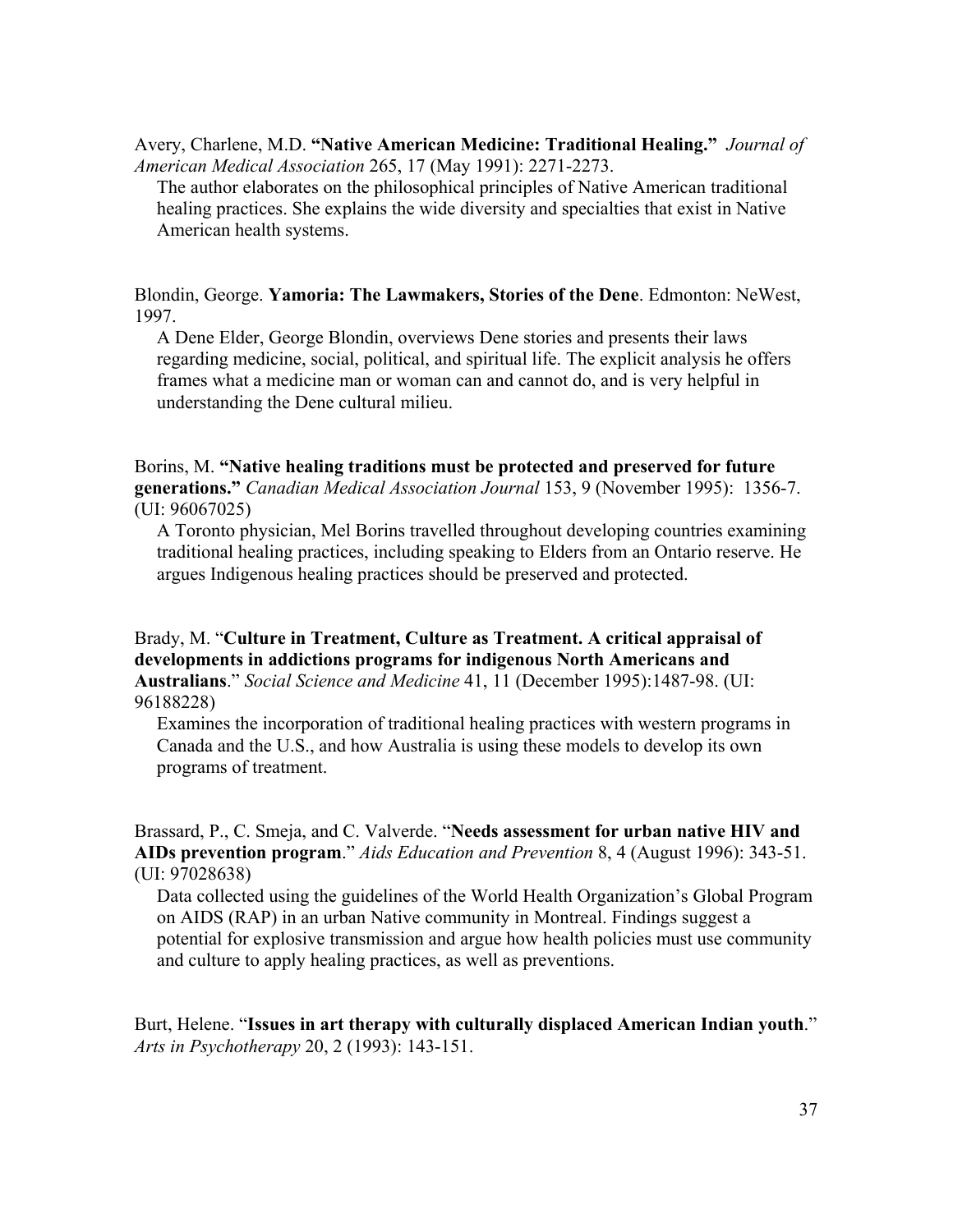Avery, Charlene, M.D. **"Native American Medicine: Traditional Healing."** *Journal of American Medical Association* 265, 17 (May 1991): 2271-2273.

The author elaborates on the philosophical principles of Native American traditional healing practices. She explains the wide diversity and specialties that exist in Native American health systems.

Blondin, George. **Yamoria: The Lawmakers, Stories of the Dene**. Edmonton: NeWest, 1997.

A Dene Elder, George Blondin, overviews Dene stories and presents their laws regarding medicine, social, political, and spiritual life. The explicit analysis he offers frames what a medicine man or woman can and cannot do, and is very helpful in understanding the Dene cultural milieu.

Borins, M. **"Native healing traditions must be protected and preserved for future generations."** *Canadian Medical Association Journal* 153, 9 (November 1995): 1356-7. (UI: 96067025)

A Toronto physician, Mel Borins travelled throughout developing countries examining traditional healing practices, including speaking to Elders from an Ontario reserve. He argues Indigenous healing practices should be preserved and protected.

Brady, M. "**Culture in Treatment, Culture as Treatment. A critical appraisal of developments in addictions programs for indigenous North Americans and Australians**." *Social Science and Medicine* 41, 11 (December 1995):1487-98. (UI: 96188228)

Examines the incorporation of traditional healing practices with western programs in Canada and the U.S., and how Australia is using these models to develop its own programs of treatment.

Brassard, P., C. Smeja, and C. Valverde. "**Needs assessment for urban native HIV and AIDs prevention program**." *Aids Education and Prevention* 8, 4 (August 1996): 343-51. (UI: 97028638)

Data collected using the guidelines of the World Health Organization's Global Program on AIDS (RAP) in an urban Native community in Montreal. Findings suggest a potential for explosive transmission and argue how health policies must use community and culture to apply healing practices, as well as preventions.

Burt, Helene. "**Issues in art therapy with culturally displaced American Indian youth**." *Arts in Psychotherapy* 20, 2 (1993): 143-151.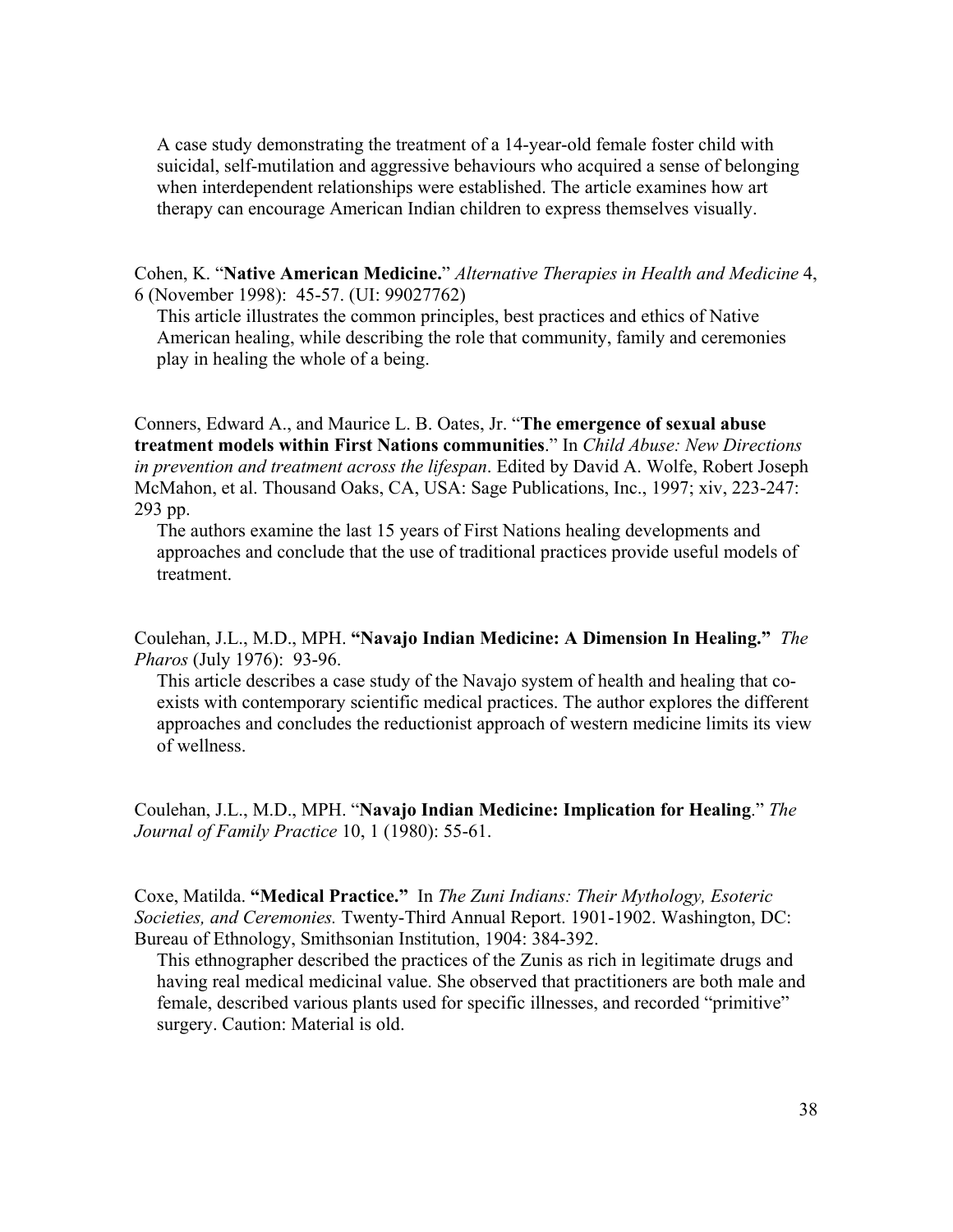A case study demonstrating the treatment of a 14-year-old female foster child with suicidal, self-mutilation and aggressive behaviours who acquired a sense of belonging when interdependent relationships were established. The article examines how art therapy can encourage American Indian children to express themselves visually.

Cohen, K. "**Native American Medicine.**" *Alternative Therapies in Health and Medicine* 4, 6 (November 1998): 45-57. (UI: 99027762)

This article illustrates the common principles, best practices and ethics of Native American healing, while describing the role that community, family and ceremonies play in healing the whole of a being.

Conners, Edward A., and Maurice L. B. Oates, Jr. "**The emergence of sexual abuse treatment models within First Nations communities**." In *Child Abuse: New Directions in prevention and treatment across the lifespan*. Edited by David A. Wolfe, Robert Joseph McMahon, et al. Thousand Oaks, CA, USA: Sage Publications, Inc., 1997; xiv, 223-247: 293 pp.

The authors examine the last 15 years of First Nations healing developments and approaches and conclude that the use of traditional practices provide useful models of treatment.

Coulehan, J.L., M.D., MPH. **"Navajo Indian Medicine: A Dimension In Healing."** *The Pharos* (July 1976): 93-96.

This article describes a case study of the Navajo system of health and healing that coexists with contemporary scientific medical practices. The author explores the different approaches and concludes the reductionist approach of western medicine limits its view of wellness.

Coulehan, J.L., M.D., MPH. "**Navajo Indian Medicine: Implication for Healing**." *The Journal of Family Practice* 10, 1 (1980): 55-61.

Coxe, Matilda. **"Medical Practice."** In *The Zuni Indians: Their Mythology, Esoteric Societies, and Ceremonies.* Twenty-Third Annual Report. 1901-1902. Washington, DC: Bureau of Ethnology, Smithsonian Institution, 1904: 384-392.

This ethnographer described the practices of the Zunis as rich in legitimate drugs and having real medical medicinal value. She observed that practitioners are both male and female, described various plants used for specific illnesses, and recorded "primitive" surgery. Caution: Material is old.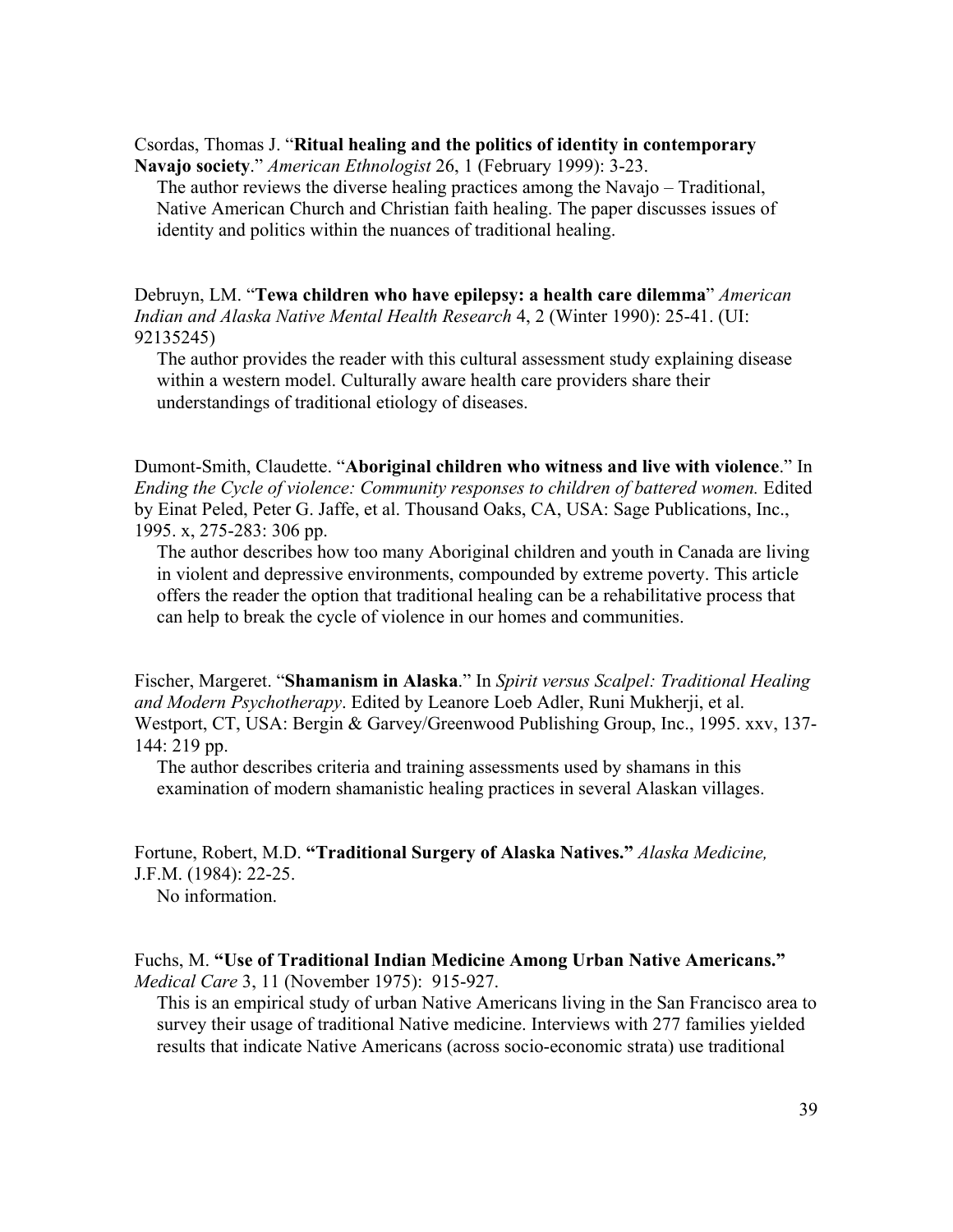Csordas, Thomas J. "**Ritual healing and the politics of identity in contemporary** 

**Navajo society**." *American Ethnologist* 26, 1 (February 1999): 3-23.

The author reviews the diverse healing practices among the Navajo – Traditional, Native American Church and Christian faith healing. The paper discusses issues of identity and politics within the nuances of traditional healing.

Debruyn, LM. "**Tewa children who have epilepsy: a health care dilemma**" *American Indian and Alaska Native Mental Health Research* 4, 2 (Winter 1990): 25-41. (UI: 92135245)

The author provides the reader with this cultural assessment study explaining disease within a western model. Culturally aware health care providers share their understandings of traditional etiology of diseases.

Dumont-Smith, Claudette. "**Aboriginal children who witness and live with violence**." In *Ending the Cycle of violence: Community responses to children of battered women. Edited* by Einat Peled, Peter G. Jaffe, et al. Thousand Oaks, CA, USA: Sage Publications, Inc., 1995. x, 275-283: 306 pp.

The author describes how too many Aboriginal children and youth in Canada are living in violent and depressive environments, compounded by extreme poverty. This article offers the reader the option that traditional healing can be a rehabilitative process that can help to break the cycle of violence in our homes and communities.

Fischer, Margeret. "**Shamanism in Alaska**." In *Spirit versus Scalpel: Traditional Healing and Modern Psychotherapy*. Edited by Leanore Loeb Adler, Runi Mukherji, et al. Westport, CT, USA: Bergin & Garvey/Greenwood Publishing Group, Inc., 1995. xxv, 137- 144: 219 pp.

The author describes criteria and training assessments used by shamans in this examination of modern shamanistic healing practices in several Alaskan villages.

Fortune, Robert, M.D. **"Traditional Surgery of Alaska Natives."** *Alaska Medicine,* J.F.M. (1984): 22-25.

No information.

### Fuchs, M. **"Use of Traditional Indian Medicine Among Urban Native Americans."** *Medical Care* 3, 11 (November 1975): 915-927.

This is an empirical study of urban Native Americans living in the San Francisco area to survey their usage of traditional Native medicine. Interviews with 277 families yielded results that indicate Native Americans (across socio-economic strata) use traditional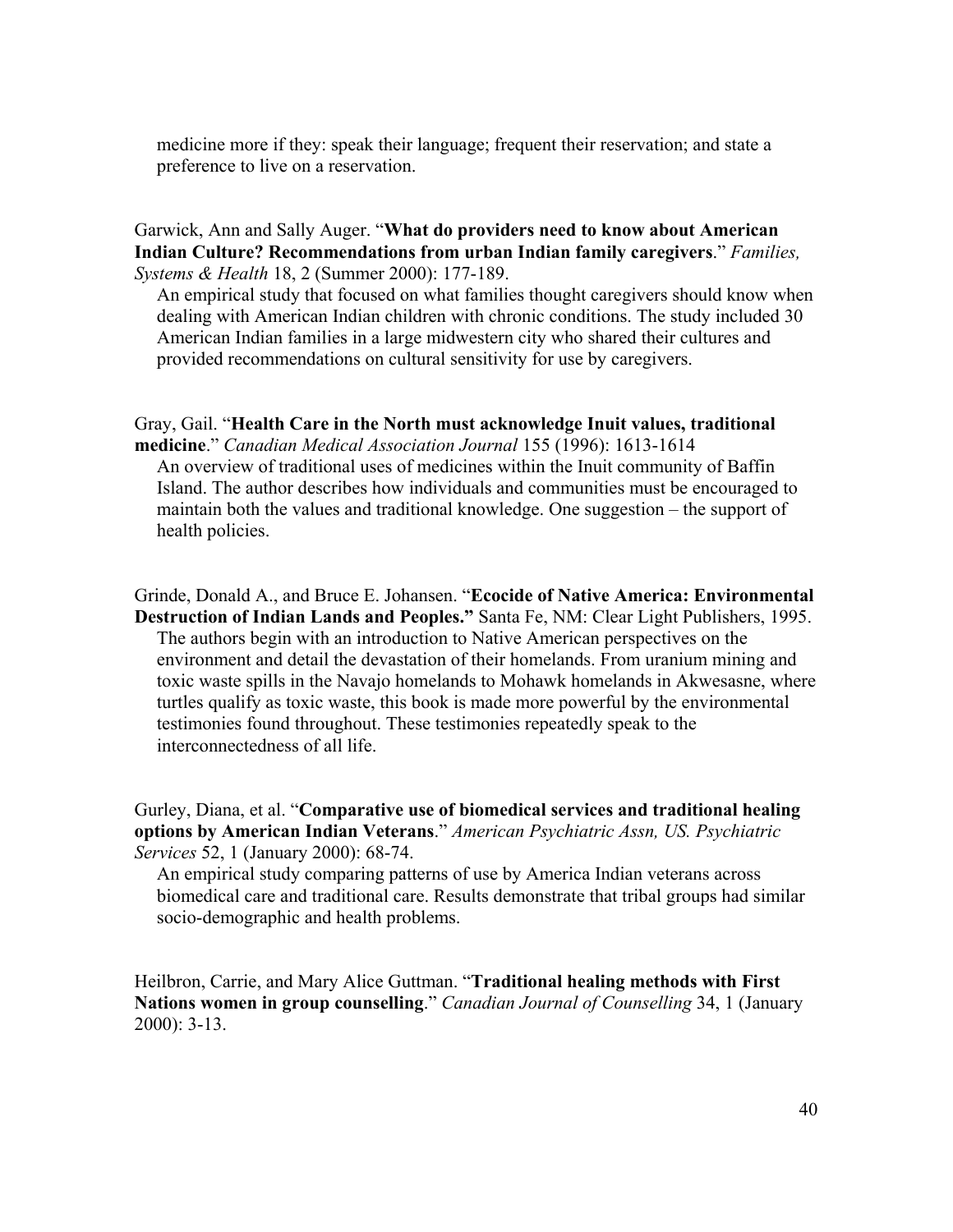medicine more if they: speak their language; frequent their reservation; and state a preference to live on a reservation.

#### Garwick, Ann and Sally Auger. "**What do providers need to know about American Indian Culture? Recommendations from urban Indian family caregivers**." *Families, Systems & Health* 18, 2 (Summer 2000): 177-189.

An empirical study that focused on what families thought caregivers should know when dealing with American Indian children with chronic conditions. The study included 30 American Indian families in a large midwestern city who shared their cultures and provided recommendations on cultural sensitivity for use by caregivers.

## Gray, Gail. "**Health Care in the North must acknowledge Inuit values, traditional**

**medicine**." *Canadian Medical Association Journal* 155 (1996): 1613-1614 An overview of traditional uses of medicines within the Inuit community of Baffin Island. The author describes how individuals and communities must be encouraged to maintain both the values and traditional knowledge. One suggestion – the support of health policies.

Grinde, Donald A., and Bruce E. Johansen. "**Ecocide of Native America: Environmental Destruction of Indian Lands and Peoples."** Santa Fe, NM: Clear Light Publishers, 1995. The authors begin with an introduction to Native American perspectives on the environment and detail the devastation of their homelands. From uranium mining and toxic waste spills in the Navajo homelands to Mohawk homelands in Akwesasne, where turtles qualify as toxic waste, this book is made more powerful by the environmental testimonies found throughout. These testimonies repeatedly speak to the interconnectedness of all life.

Gurley, Diana, et al. "**Comparative use of biomedical services and traditional healing options by American Indian Veterans**." *American Psychiatric Assn, US. Psychiatric Services* 52, 1 (January 2000): 68-74.

An empirical study comparing patterns of use by America Indian veterans across biomedical care and traditional care. Results demonstrate that tribal groups had similar socio-demographic and health problems.

Heilbron, Carrie, and Mary Alice Guttman. "**Traditional healing methods with First Nations women in group counselling**." *Canadian Journal of Counselling* 34, 1 (January 2000): 3-13.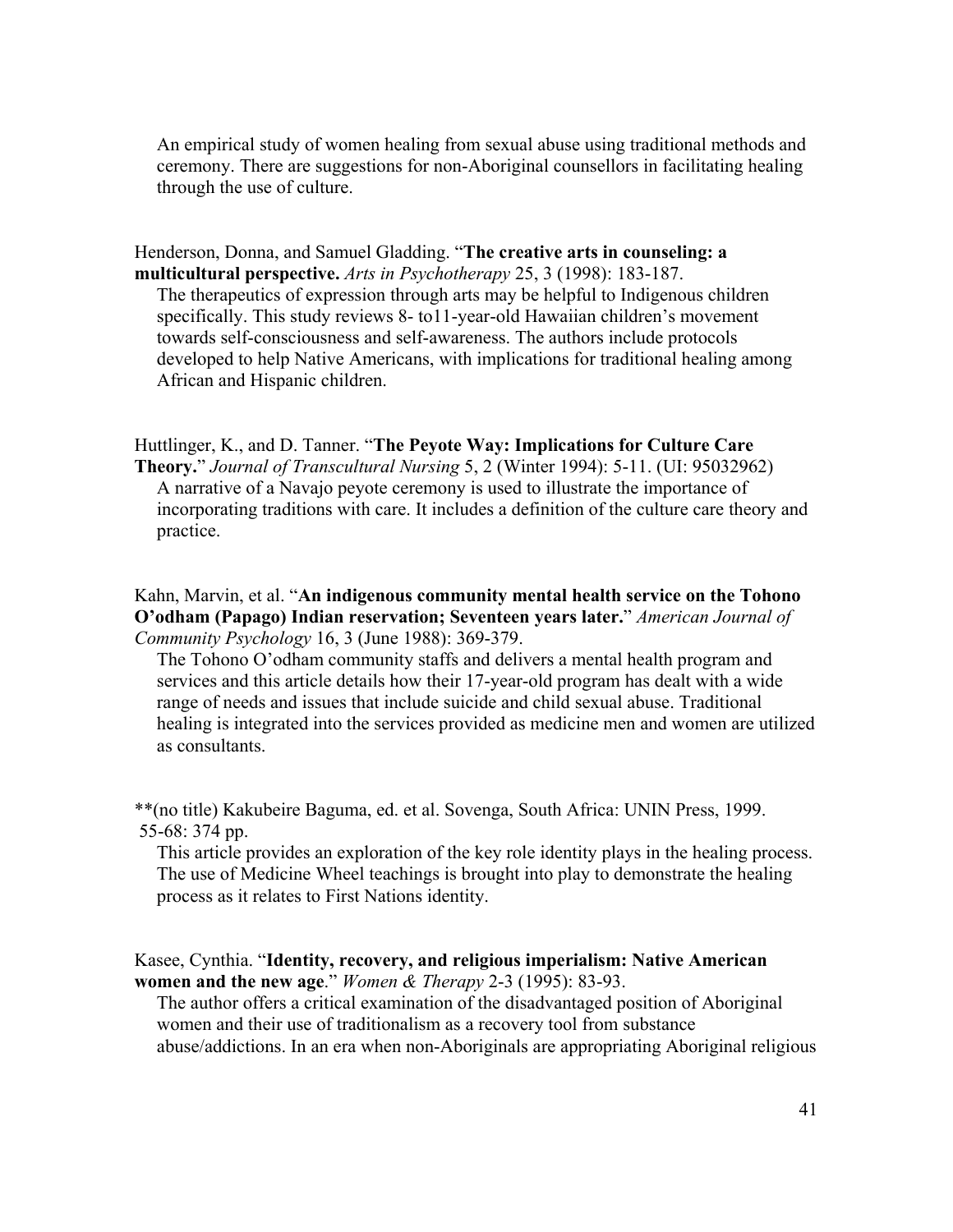An empirical study of women healing from sexual abuse using traditional methods and ceremony. There are suggestions for non-Aboriginal counsellors in facilitating healing through the use of culture.

Henderson, Donna, and Samuel Gladding. "**The creative arts in counseling: a multicultural perspective.** *Arts in Psychotherapy* 25, 3 (1998): 183-187.

The therapeutics of expression through arts may be helpful to Indigenous children specifically. This study reviews 8- to11-year-old Hawaiian children's movement towards self-consciousness and self-awareness. The authors include protocols developed to help Native Americans, with implications for traditional healing among African and Hispanic children.

Huttlinger, K., and D. Tanner. "**The Peyote Way: Implications for Culture Care Theory.**" *Journal of Transcultural Nursing* 5, 2 (Winter 1994): 5-11. (UI: 95032962) A narrative of a Navajo peyote ceremony is used to illustrate the importance of incorporating traditions with care. It includes a definition of the culture care theory and practice.

Kahn, Marvin, et al. "**An indigenous community mental health service on the Tohono O'odham (Papago) Indian reservation; Seventeen years later.**" *American Journal of Community Psychology* 16, 3 (June 1988): 369-379.

The Tohono O'odham community staffs and delivers a mental health program and services and this article details how their 17-year-old program has dealt with a wide range of needs and issues that include suicide and child sexual abuse. Traditional healing is integrated into the services provided as medicine men and women are utilized as consultants.

\*\*(no title) Kakubeire Baguma, ed. et al. Sovenga, South Africa: UNIN Press, 1999. 55-68: 374 pp.

This article provides an exploration of the key role identity plays in the healing process. The use of Medicine Wheel teachings is brought into play to demonstrate the healing process as it relates to First Nations identity.

Kasee, Cynthia. "**Identity, recovery, and religious imperialism: Native American women and the new age**." *Women & Therapy* 2-3 (1995): 83-93.

The author offers a critical examination of the disadvantaged position of Aboriginal women and their use of traditionalism as a recovery tool from substance abuse/addictions. In an era when non-Aboriginals are appropriating Aboriginal religious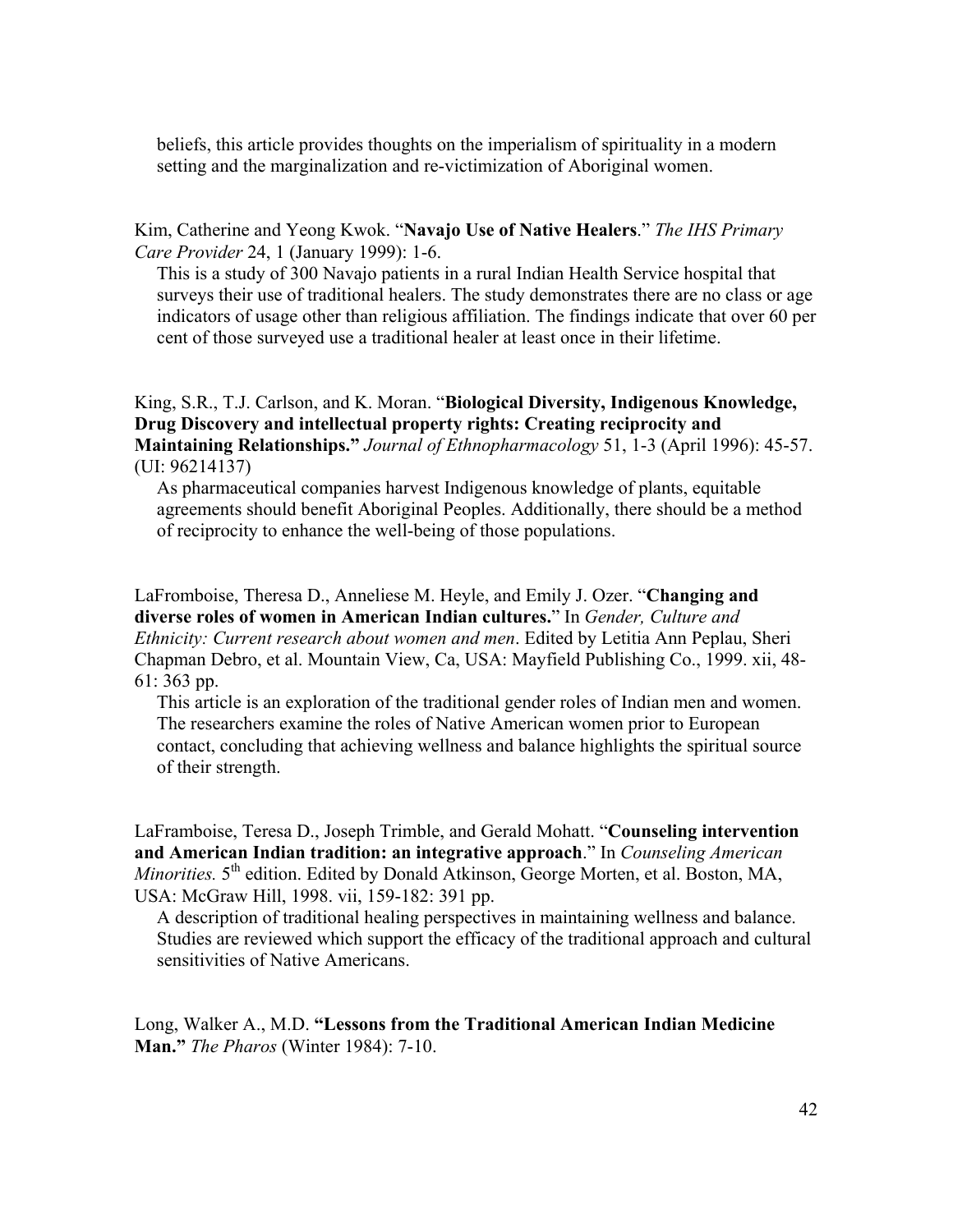beliefs, this article provides thoughts on the imperialism of spirituality in a modern setting and the marginalization and re-victimization of Aboriginal women.

Kim, Catherine and Yeong Kwok. "**Navajo Use of Native Healers**." *The IHS Primary Care Provider* 24, 1 (January 1999): 1-6.

This is a study of 300 Navajo patients in a rural Indian Health Service hospital that surveys their use of traditional healers. The study demonstrates there are no class or age indicators of usage other than religious affiliation. The findings indicate that over 60 per cent of those surveyed use a traditional healer at least once in their lifetime.

### King, S.R., T.J. Carlson, and K. Moran. "**Biological Diversity, Indigenous Knowledge, Drug Discovery and intellectual property rights: Creating reciprocity and Maintaining Relationships."** *Journal of Ethnopharmacology* 51, 1-3 (April 1996): 45-57. (UI: 96214137)

As pharmaceutical companies harvest Indigenous knowledge of plants, equitable agreements should benefit Aboriginal Peoples. Additionally, there should be a method of reciprocity to enhance the well-being of those populations.

LaFromboise, Theresa D., Anneliese M. Heyle, and Emily J. Ozer. "**Changing and diverse roles of women in American Indian cultures.**" In *Gender, Culture and Ethnicity: Current research about women and men*. Edited by Letitia Ann Peplau, Sheri Chapman Debro, et al. Mountain View, Ca, USA: Mayfield Publishing Co., 1999. xii, 48- 61: 363 pp.

This article is an exploration of the traditional gender roles of Indian men and women. The researchers examine the roles of Native American women prior to European contact, concluding that achieving wellness and balance highlights the spiritual source of their strength.

LaFramboise, Teresa D., Joseph Trimble, and Gerald Mohatt. "**Counseling intervention and American Indian tradition: an integrative approach**." In *Counseling American Minorities.* 5<sup>th</sup> edition. Edited by Donald Atkinson, George Morten, et al. Boston, MA, USA: McGraw Hill, 1998. vii, 159-182: 391 pp.

A description of traditional healing perspectives in maintaining wellness and balance. Studies are reviewed which support the efficacy of the traditional approach and cultural sensitivities of Native Americans.

Long, Walker A., M.D. **"Lessons from the Traditional American Indian Medicine Man."** *The Pharos* (Winter 1984): 7-10.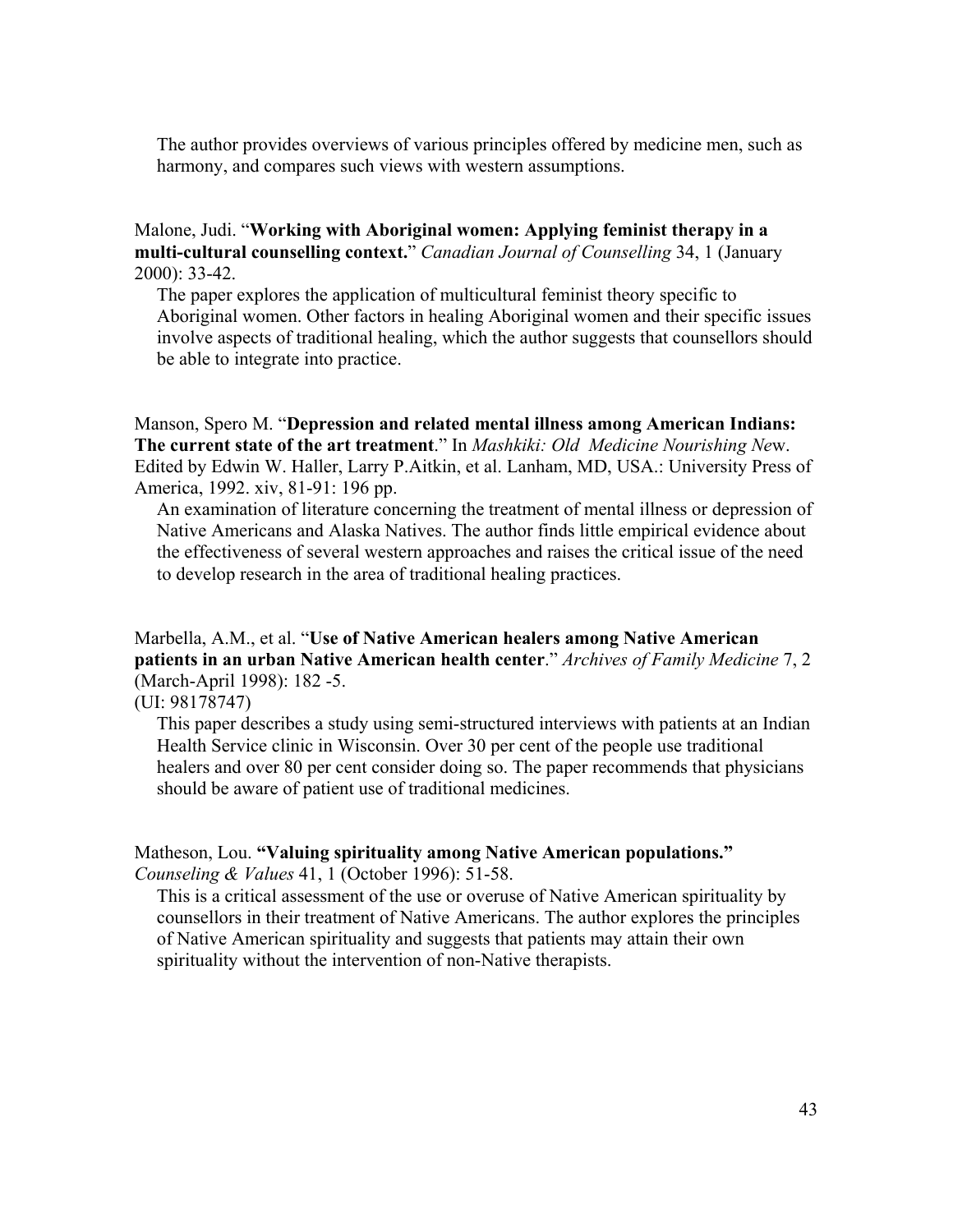The author provides overviews of various principles offered by medicine men, such as harmony, and compares such views with western assumptions.

### Malone, Judi. "**Working with Aboriginal women: Applying feminist therapy in a multi-cultural counselling context.**" *Canadian Journal of Counselling* 34, 1 (January 2000): 33-42.

The paper explores the application of multicultural feminist theory specific to Aboriginal women. Other factors in healing Aboriginal women and their specific issues involve aspects of traditional healing, which the author suggests that counsellors should be able to integrate into practice.

Manson, Spero M. "**Depression and related mental illness among American Indians: The current state of the art treatment**." In *Mashkiki: Old Medicine Nourishing Ne*w. Edited by Edwin W. Haller, Larry P.Aitkin, et al. Lanham, MD, USA.: University Press of America, 1992. xiv, 81-91: 196 pp.

An examination of literature concerning the treatment of mental illness or depression of Native Americans and Alaska Natives. The author finds little empirical evidence about the effectiveness of several western approaches and raises the critical issue of the need to develop research in the area of traditional healing practices.

### Marbella, A.M., et al. "**Use of Native American healers among Native American patients in an urban Native American health center**." *Archives of Family Medicine* 7, 2 (March-April 1998): 182 -5.

(UI: 98178747)

This paper describes a study using semi-structured interviews with patients at an Indian Health Service clinic in Wisconsin. Over 30 per cent of the people use traditional healers and over 80 per cent consider doing so. The paper recommends that physicians should be aware of patient use of traditional medicines.

### Matheson, Lou. **"Valuing spirituality among Native American populations."**

*Counseling & Values* 41, 1 (October 1996): 51-58.

This is a critical assessment of the use or overuse of Native American spirituality by counsellors in their treatment of Native Americans. The author explores the principles of Native American spirituality and suggests that patients may attain their own spirituality without the intervention of non-Native therapists.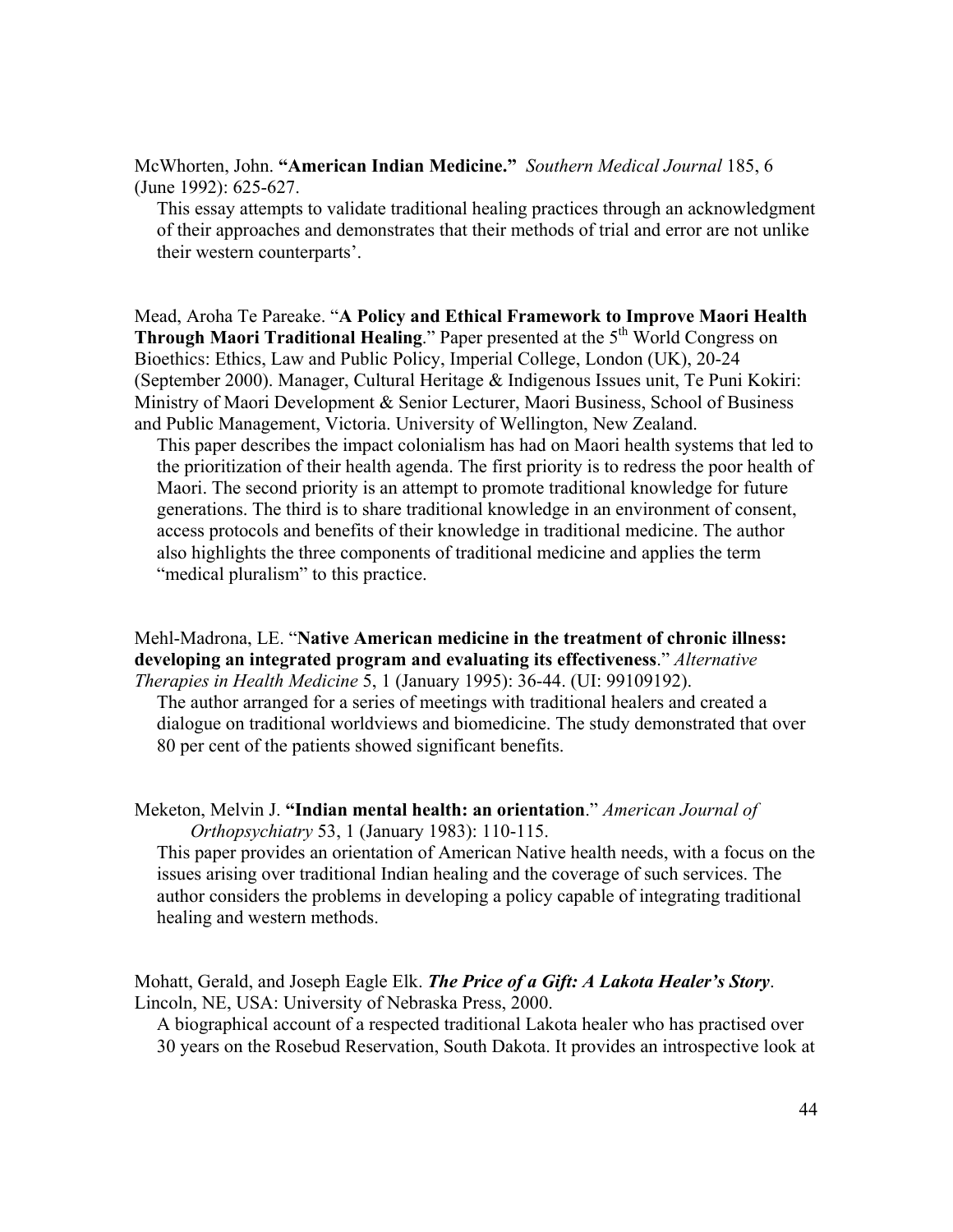McWhorten, John. **"American Indian Medicine."** *Southern Medical Journal* 185, 6 (June 1992): 625-627.

This essay attempts to validate traditional healing practices through an acknowledgment of their approaches and demonstrates that their methods of trial and error are not unlike their western counterparts'.

Mead, Aroha Te Pareake. "**A Policy and Ethical Framework to Improve Maori Health Through Maori Traditional Healing**." Paper presented at the 5<sup>th</sup> World Congress on Bioethics: Ethics, Law and Public Policy, Imperial College, London (UK), 20-24 (September 2000). Manager, Cultural Heritage & Indigenous Issues unit, Te Puni Kokiri: Ministry of Maori Development & Senior Lecturer, Maori Business, School of Business and Public Management, Victoria. University of Wellington, New Zealand.

This paper describes the impact colonialism has had on Maori health systems that led to the prioritization of their health agenda. The first priority is to redress the poor health of Maori. The second priority is an attempt to promote traditional knowledge for future generations. The third is to share traditional knowledge in an environment of consent, access protocols and benefits of their knowledge in traditional medicine. The author also highlights the three components of traditional medicine and applies the term "medical pluralism" to this practice.

Mehl-Madrona, LE. "**Native American medicine in the treatment of chronic illness: developing an integrated program and evaluating its effectiveness**." *Alternative Therapies in Health Medicine* 5, 1 (January 1995): 36-44. (UI: 99109192).

The author arranged for a series of meetings with traditional healers and created a dialogue on traditional worldviews and biomedicine. The study demonstrated that over 80 per cent of the patients showed significant benefits.

Meketon, Melvin J. **"Indian mental health: an orientation**." *American Journal of Orthopsychiatry* 53, 1 (January 1983): 110-115.

This paper provides an orientation of American Native health needs, with a focus on the issues arising over traditional Indian healing and the coverage of such services. The author considers the problems in developing a policy capable of integrating traditional healing and western methods.

Mohatt, Gerald, and Joseph Eagle Elk. *The Price of a Gift: A Lakota Healer's Story*. Lincoln, NE, USA: University of Nebraska Press, 2000.

A biographical account of a respected traditional Lakota healer who has practised over 30 years on the Rosebud Reservation, South Dakota. It provides an introspective look at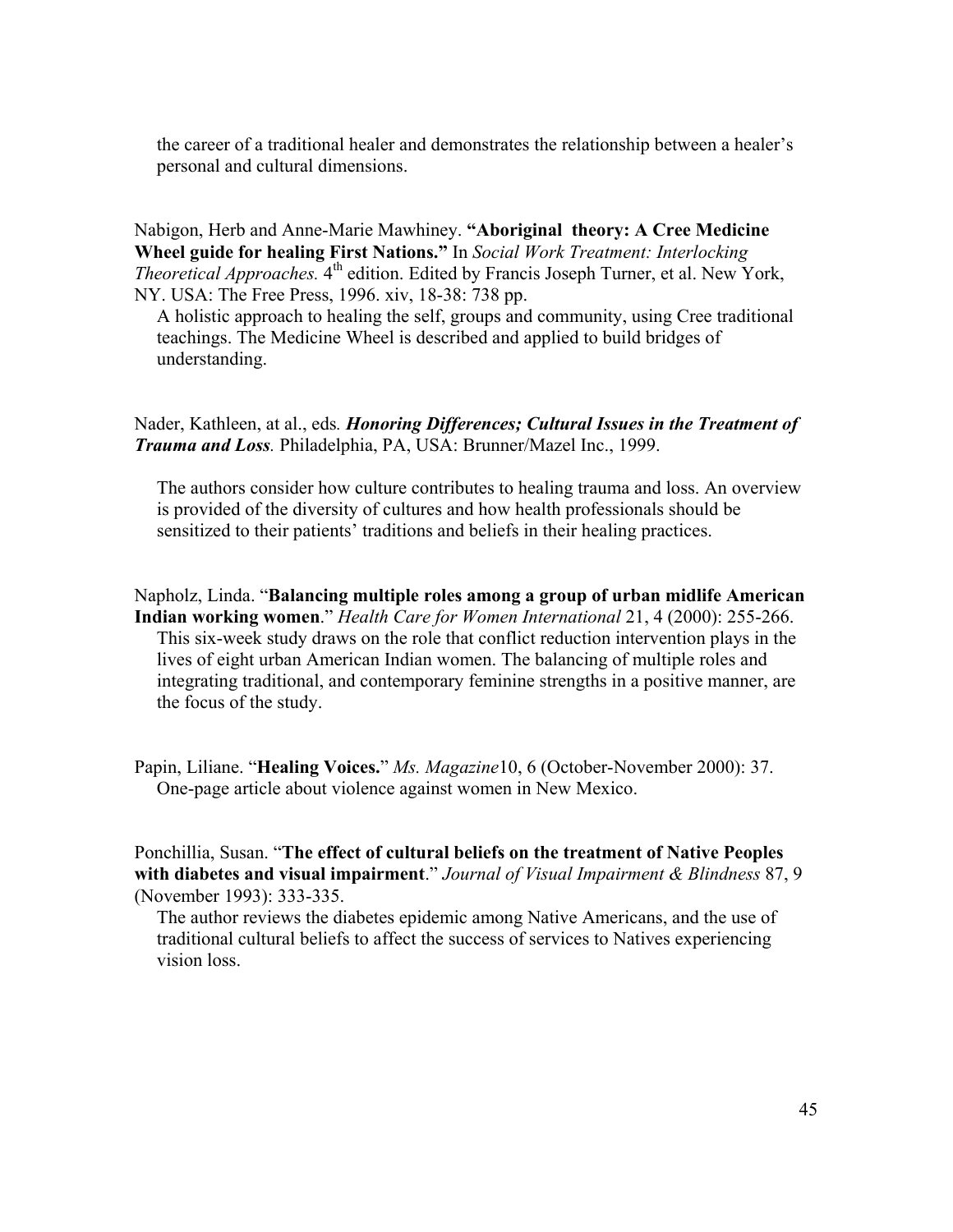the career of a traditional healer and demonstrates the relationship between a healer's personal and cultural dimensions.

Nabigon, Herb and Anne-Marie Mawhiney. **"Aboriginal theory: A Cree Medicine Wheel guide for healing First Nations."** In *Social Work Treatment: Interlocking Theoretical Approaches.* 4<sup>th</sup> edition. Edited by Francis Joseph Turner, et al. New York, NY. USA: The Free Press, 1996. xiv, 18-38: 738 pp.

A holistic approach to healing the self, groups and community, using Cree traditional teachings. The Medicine Wheel is described and applied to build bridges of understanding.

Nader, Kathleen, at al., eds*. Honoring Differences; Cultural Issues in the Treatment of Trauma and Loss.* Philadelphia, PA, USA: Brunner/Mazel Inc., 1999.

The authors consider how culture contributes to healing trauma and loss. An overview is provided of the diversity of cultures and how health professionals should be sensitized to their patients' traditions and beliefs in their healing practices.

Napholz, Linda. "**Balancing multiple roles among a group of urban midlife American Indian working women**." *Health Care for Women International* 21, 4 (2000): 255-266. This six-week study draws on the role that conflict reduction intervention plays in the lives of eight urban American Indian women. The balancing of multiple roles and integrating traditional, and contemporary feminine strengths in a positive manner, are the focus of the study.

Papin, Liliane. "**Healing Voices.**" *Ms. Magazine*10, 6 (October-November 2000): 37. One-page article about violence against women in New Mexico.

Ponchillia, Susan. "**The effect of cultural beliefs on the treatment of Native Peoples with diabetes and visual impairment**." *Journal of Visual Impairment & Blindness* 87, 9 (November 1993): 333-335.

The author reviews the diabetes epidemic among Native Americans, and the use of traditional cultural beliefs to affect the success of services to Natives experiencing vision loss.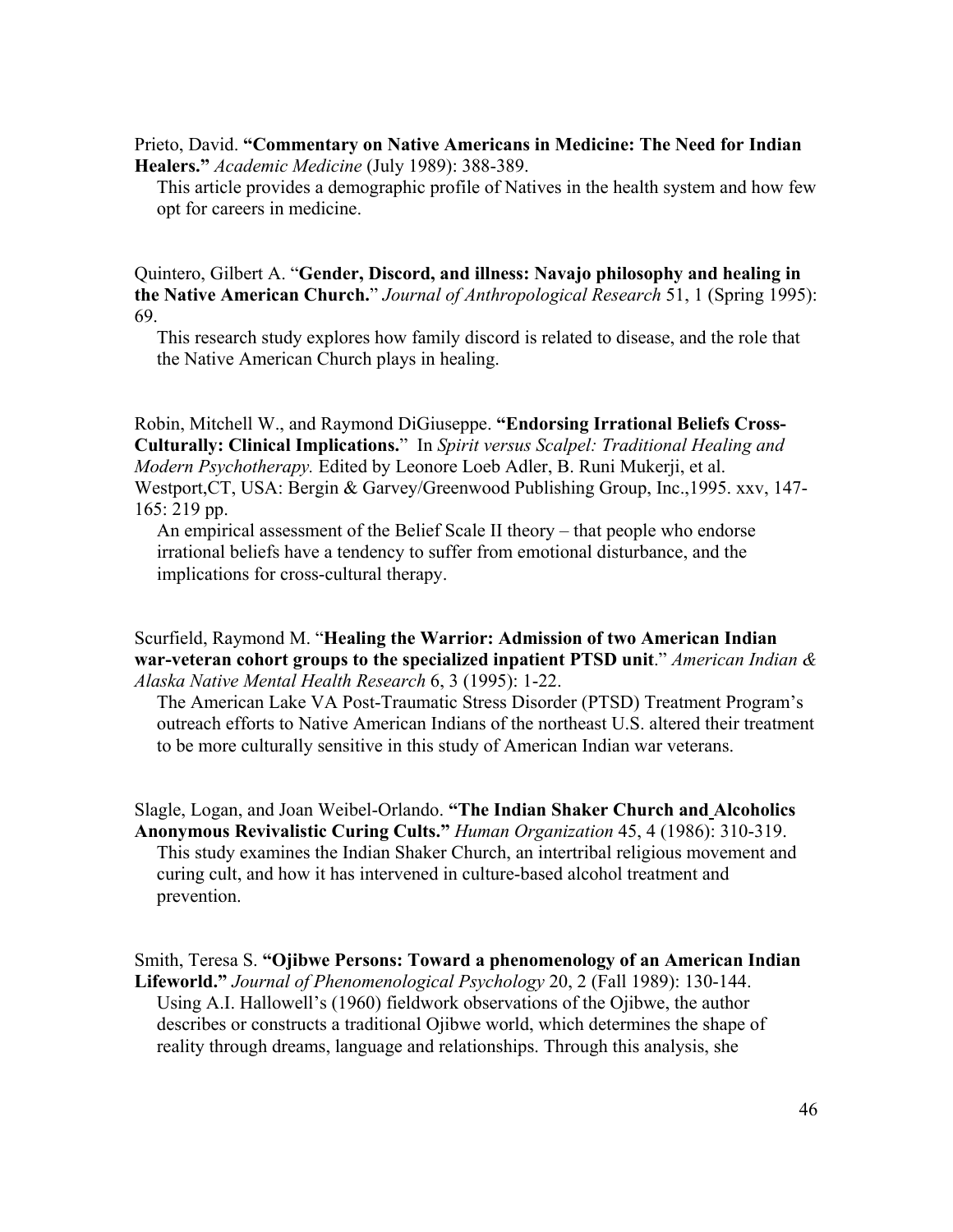### Prieto, David. **"Commentary on Native Americans in Medicine: The Need for Indian Healers."** *Academic Medicine* (July 1989): 388-389.

This article provides a demographic profile of Natives in the health system and how few opt for careers in medicine.

Quintero, Gilbert A. "**Gender, Discord, and illness: Navajo philosophy and healing in the Native American Church.**" *Journal of Anthropological Research* 51, 1 (Spring 1995): 69.

This research study explores how family discord is related to disease, and the role that the Native American Church plays in healing.

Robin, Mitchell W., and Raymond DiGiuseppe. **"Endorsing Irrational Beliefs Cross-Culturally: Clinical Implications.**" In *Spirit versus Scalpel: Traditional Healing and Modern Psychotherapy.* Edited by Leonore Loeb Adler, B. Runi Mukerji, et al. Westport,CT, USA: Bergin & Garvey/Greenwood Publishing Group, Inc.,1995. xxv, 147- 165: 219 pp.

An empirical assessment of the Belief Scale II theory – that people who endorse irrational beliefs have a tendency to suffer from emotional disturbance, and the implications for cross-cultural therapy.

#### Scurfield, Raymond M. "**Healing the Warrior: Admission of two American Indian war-veteran cohort groups to the specialized inpatient PTSD unit**." *American Indian & Alaska Native Mental Health Research* 6, 3 (1995): 1-22.

The American Lake VA Post-Traumatic Stress Disorder (PTSD) Treatment Program's outreach efforts to Native American Indians of the northeast U.S. altered their treatment to be more culturally sensitive in this study of American Indian war veterans.

Slagle, Logan, and Joan Weibel-Orlando. **"The Indian Shaker Church and Alcoholics Anonymous Revivalistic Curing Cults."** *Human Organization* 45, 4 (1986): 310-319. This study examines the Indian Shaker Church, an intertribal religious movement and curing cult, and how it has intervened in culture-based alcohol treatment and prevention.

Smith, Teresa S. **"Ojibwe Persons: Toward a phenomenology of an American Indian Lifeworld."** *Journal of Phenomenological Psychology* 20, 2 (Fall 1989): 130-144. Using A.I. Hallowell's (1960) fieldwork observations of the Ojibwe, the author describes or constructs a traditional Ojibwe world, which determines the shape of reality through dreams, language and relationships. Through this analysis, she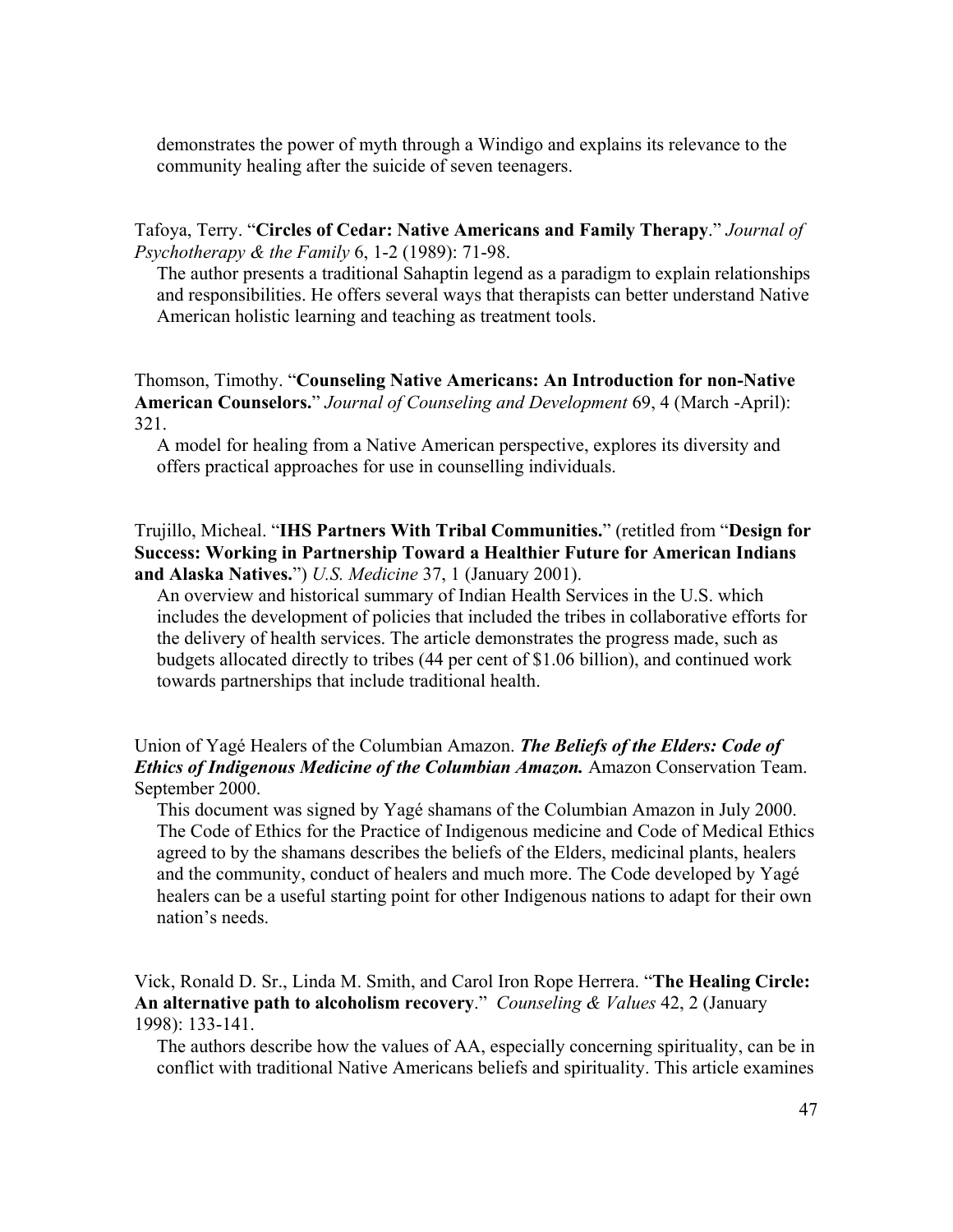demonstrates the power of myth through a Windigo and explains its relevance to the community healing after the suicide of seven teenagers.

Tafoya, Terry. "**Circles of Cedar: Native Americans and Family Therapy**." *Journal of Psychotherapy & the Family* 6, 1-2 (1989): 71-98.

The author presents a traditional Sahaptin legend as a paradigm to explain relationships and responsibilities. He offers several ways that therapists can better understand Native American holistic learning and teaching as treatment tools.

Thomson, Timothy. "**Counseling Native Americans: An Introduction for non-Native American Counselors.**" *Journal of Counseling and Development* 69, 4 (March -April): 321.

A model for healing from a Native American perspective, explores its diversity and offers practical approaches for use in counselling individuals.

Trujillo, Micheal. "**IHS Partners With Tribal Communities.**" (retitled from "**Design for Success: Working in Partnership Toward a Healthier Future for American Indians and Alaska Natives.**") *U.S. Medicine* 37, 1 (January 2001).

An overview and historical summary of Indian Health Services in the U.S. which includes the development of policies that included the tribes in collaborative efforts for the delivery of health services. The article demonstrates the progress made, such as budgets allocated directly to tribes (44 per cent of \$1.06 billion), and continued work towards partnerships that include traditional health.

Union of Yagé Healers of the Columbian Amazon. *The Beliefs of the Elders: Code of Ethics of Indigenous Medicine of the Columbian Amazon.* Amazon Conservation Team. September 2000.

This document was signed by Yagé shamans of the Columbian Amazon in July 2000. The Code of Ethics for the Practice of Indigenous medicine and Code of Medical Ethics agreed to by the shamans describes the beliefs of the Elders, medicinal plants, healers and the community, conduct of healers and much more. The Code developed by Yagé healers can be a useful starting point for other Indigenous nations to adapt for their own nation's needs.

Vick, Ronald D. Sr., Linda M. Smith, and Carol Iron Rope Herrera. "**The Healing Circle: An alternative path to alcoholism recovery**." *Counseling & Values* 42, 2 (January 1998): 133-141.

The authors describe how the values of AA, especially concerning spirituality, can be in conflict with traditional Native Americans beliefs and spirituality. This article examines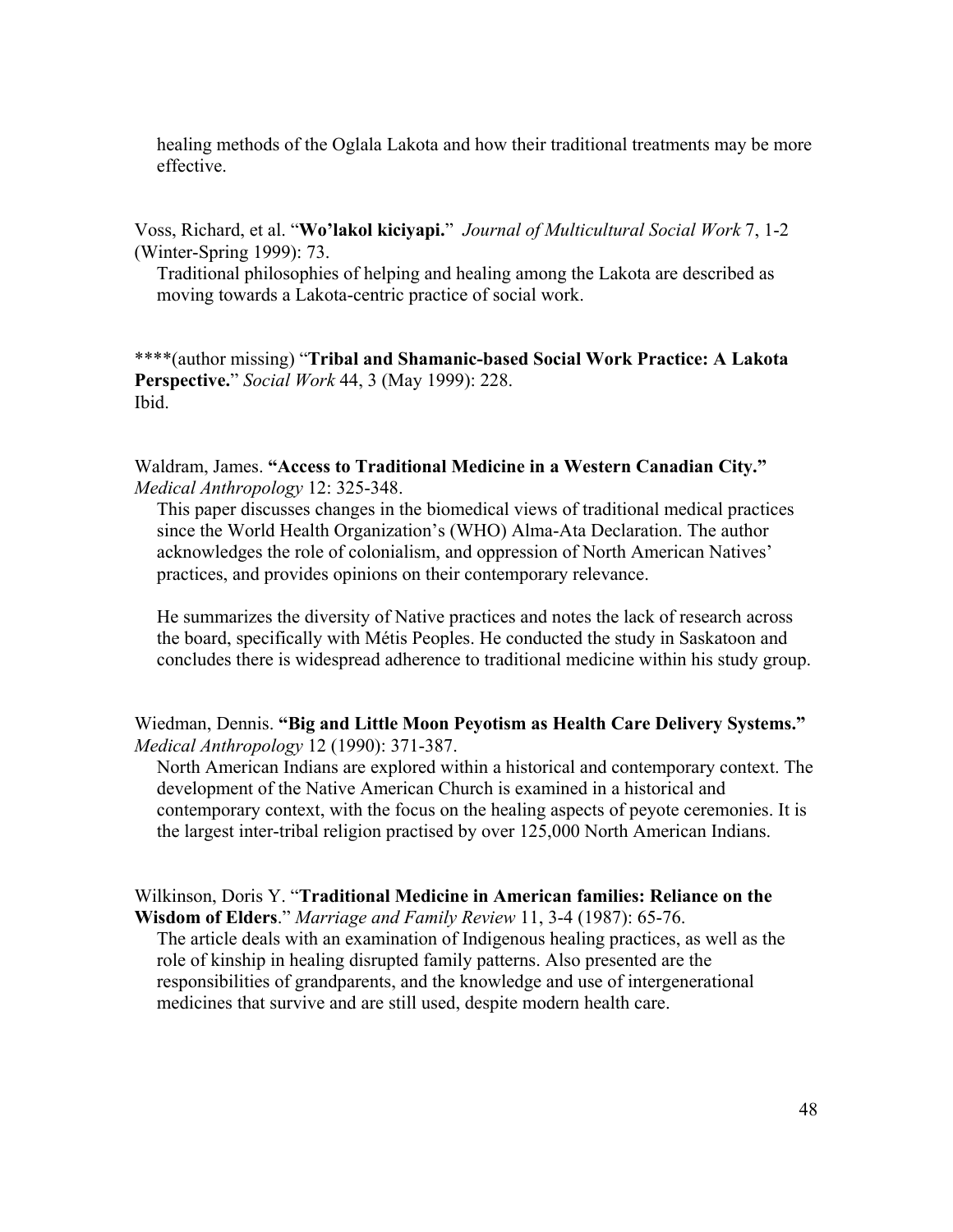healing methods of the Oglala Lakota and how their traditional treatments may be more effective.

Voss, Richard, et al. "**Wo'lakol kiciyapi.**" *Journal of Multicultural Social Work* 7, 1-2 (Winter-Spring 1999): 73.

Traditional philosophies of helping and healing among the Lakota are described as moving towards a Lakota-centric practice of social work.

\*\*\*\*(author missing) "**Tribal and Shamanic-based Social Work Practice: A Lakota Perspective.**" *Social Work* 44, 3 (May 1999): 228. Ibid.

Waldram, James. **"Access to Traditional Medicine in a Western Canadian City."** *Medical Anthropology* 12: 325-348.

This paper discusses changes in the biomedical views of traditional medical practices since the World Health Organization's (WHO) Alma-Ata Declaration. The author acknowledges the role of colonialism, and oppression of North American Natives' practices, and provides opinions on their contemporary relevance.

He summarizes the diversity of Native practices and notes the lack of research across the board, specifically with Métis Peoples. He conducted the study in Saskatoon and concludes there is widespread adherence to traditional medicine within his study group.

Wiedman, Dennis. **"Big and Little Moon Peyotism as Health Care Delivery Systems."** *Medical Anthropology* 12 (1990): 371-387.

North American Indians are explored within a historical and contemporary context. The development of the Native American Church is examined in a historical and contemporary context, with the focus on the healing aspects of peyote ceremonies. It is the largest inter-tribal religion practised by over 125,000 North American Indians.

Wilkinson, Doris Y. "**Traditional Medicine in American families: Reliance on the Wisdom of Elders**." *Marriage and Family Review* 11, 3-4 (1987): 65-76.

The article deals with an examination of Indigenous healing practices, as well as the role of kinship in healing disrupted family patterns. Also presented are the responsibilities of grandparents, and the knowledge and use of intergenerational medicines that survive and are still used, despite modern health care.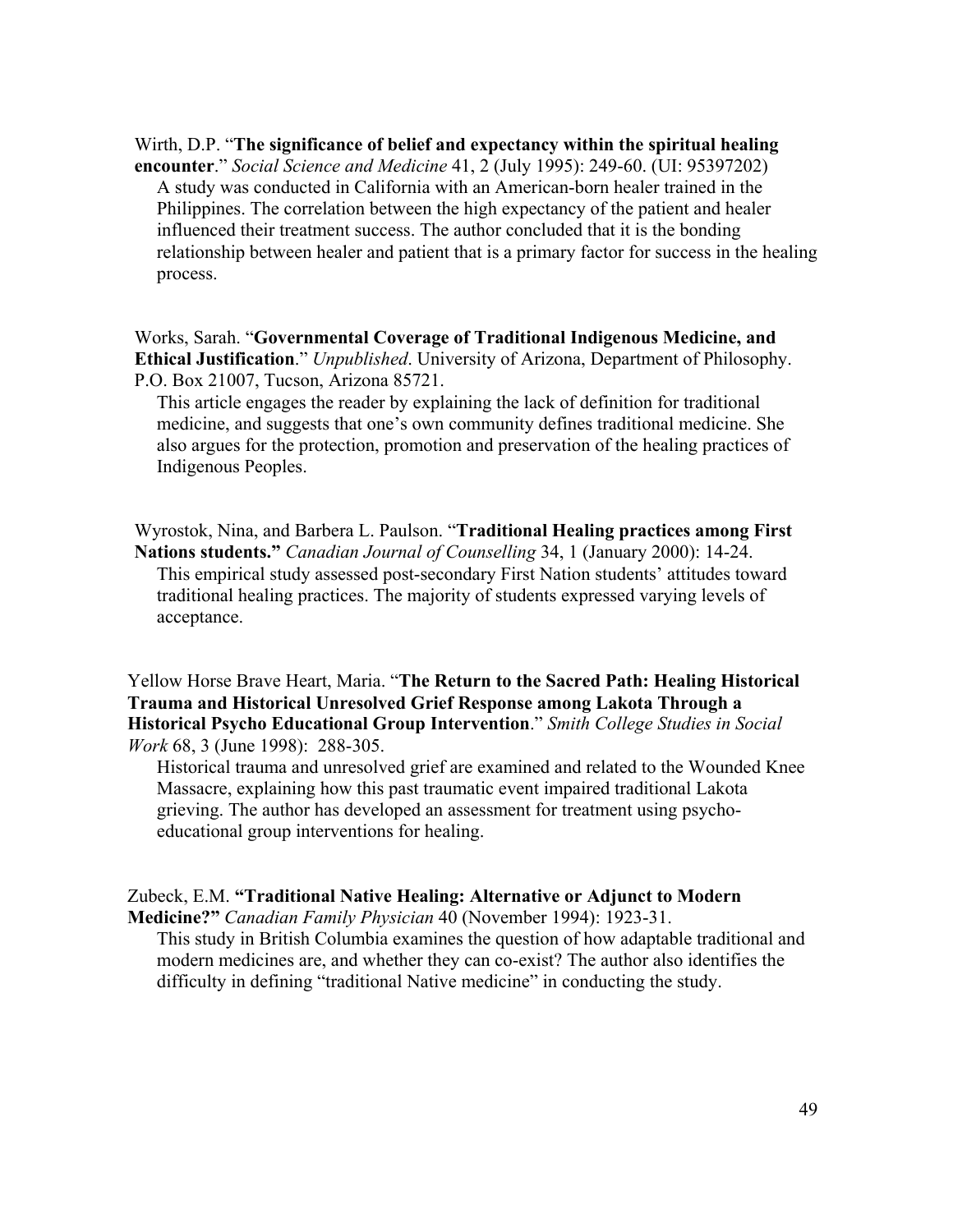Wirth, D.P. "**The significance of belief and expectancy within the spiritual healing encounter**." *Social Science and Medicine* 41, 2 (July 1995): 249-60. (UI: 95397202) A study was conducted in California with an American-born healer trained in the Philippines. The correlation between the high expectancy of the patient and healer influenced their treatment success. The author concluded that it is the bonding relationship between healer and patient that is a primary factor for success in the healing process.

Works, Sarah. "**Governmental Coverage of Traditional Indigenous Medicine, and Ethical Justification**." *Unpublished*. University of Arizona, Department of Philosophy. P.O. Box 21007, Tucson, Arizona 85721.

This article engages the reader by explaining the lack of definition for traditional medicine, and suggests that one's own community defines traditional medicine. She also argues for the protection, promotion and preservation of the healing practices of Indigenous Peoples.

Wyrostok, Nina, and Barbera L. Paulson. "**Traditional Healing practices among First Nations students."** *Canadian Journal of Counselling* 34, 1 (January 2000): 14-24. This empirical study assessed post-secondary First Nation students' attitudes toward traditional healing practices. The majority of students expressed varying levels of acceptance.

Yellow Horse Brave Heart, Maria. "**The Return to the Sacred Path: Healing Historical Trauma and Historical Unresolved Grief Response among Lakota Through a Historical Psycho Educational Group Intervention**." *Smith College Studies in Social Work* 68, 3 (June 1998): 288-305.

Historical trauma and unresolved grief are examined and related to the Wounded Knee Massacre, explaining how this past traumatic event impaired traditional Lakota grieving. The author has developed an assessment for treatment using psychoeducational group interventions for healing.

## Zubeck, E.M. **"Traditional Native Healing: Alternative or Adjunct to Modern**

**Medicine?"** *Canadian Family Physician* 40 (November 1994): 1923-31. This study in British Columbia examines the question of how adaptable traditional and modern medicines are, and whether they can co-exist? The author also identifies the difficulty in defining "traditional Native medicine" in conducting the study.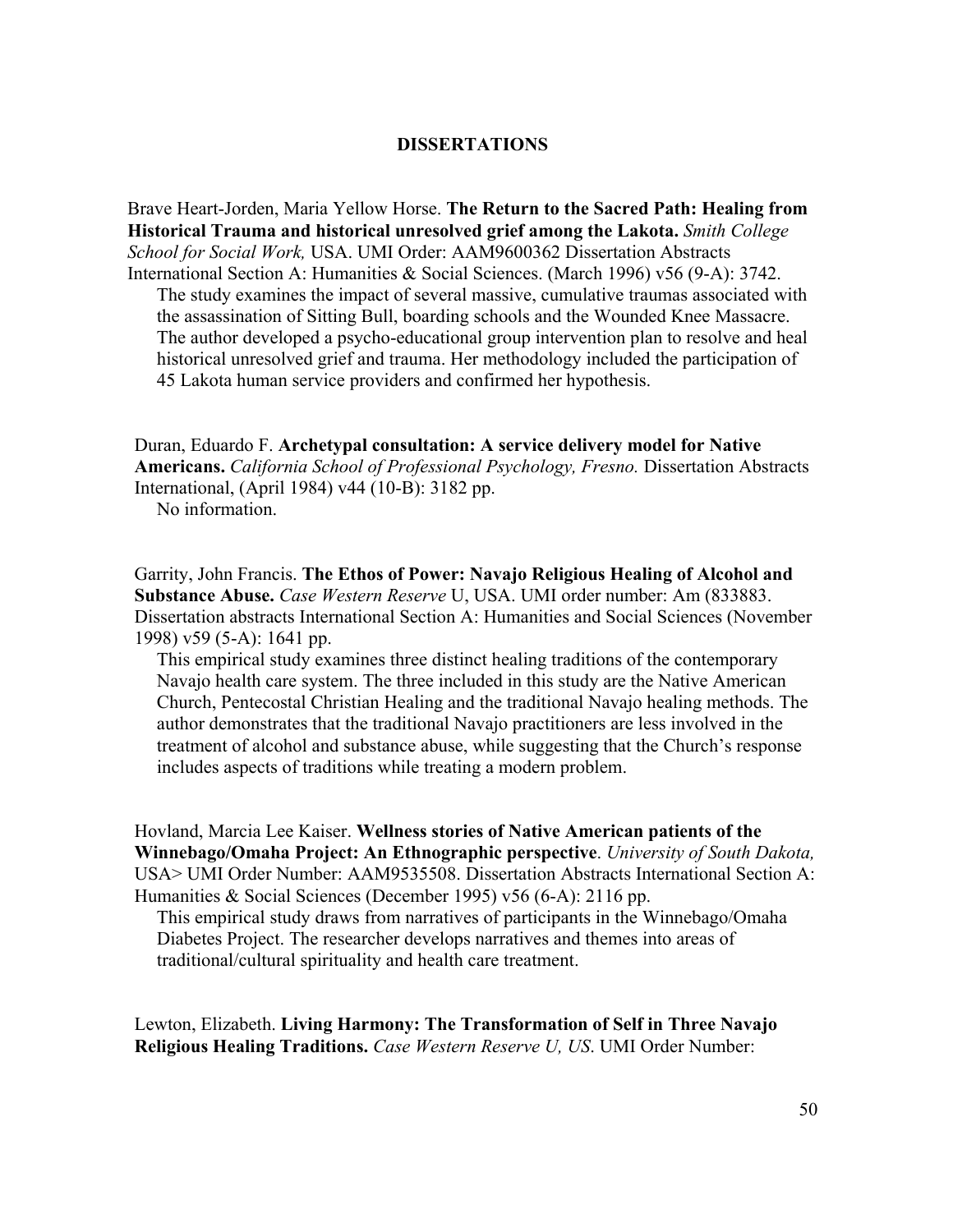#### **DISSERTATIONS**

Brave Heart-Jorden, Maria Yellow Horse. **The Return to the Sacred Path: Healing from Historical Trauma and historical unresolved grief among the Lakota.** *Smith College School for Social Work,* USA. UMI Order: AAM9600362 Dissertation Abstracts International Section A: Humanities & Social Sciences. (March 1996) v56 (9-A): 3742.

The study examines the impact of several massive, cumulative traumas associated with the assassination of Sitting Bull, boarding schools and the Wounded Knee Massacre. The author developed a psycho-educational group intervention plan to resolve and heal historical unresolved grief and trauma. Her methodology included the participation of 45 Lakota human service providers and confirmed her hypothesis.

Duran, Eduardo F. **Archetypal consultation: A service delivery model for Native Americans.** *California School of Professional Psychology, Fresno.* Dissertation Abstracts International, (April 1984) v44 (10-B): 3182 pp.

No information.

Garrity, John Francis. **The Ethos of Power: Navajo Religious Healing of Alcohol and Substance Abuse.** *Case Western Reserve* U, USA. UMI order number: Am (833883. Dissertation abstracts International Section A: Humanities and Social Sciences (November 1998) v59 (5-A): 1641 pp.

This empirical study examines three distinct healing traditions of the contemporary Navajo health care system. The three included in this study are the Native American Church, Pentecostal Christian Healing and the traditional Navajo healing methods. The author demonstrates that the traditional Navajo practitioners are less involved in the treatment of alcohol and substance abuse, while suggesting that the Church's response includes aspects of traditions while treating a modern problem.

Hovland, Marcia Lee Kaiser. **Wellness stories of Native American patients of the Winnebago/Omaha Project: An Ethnographic perspective**. *University of South Dakota,* USA> UMI Order Number: AAM9535508. Dissertation Abstracts International Section A: Humanities & Social Sciences (December 1995) v56 (6-A): 2116 pp.

This empirical study draws from narratives of participants in the Winnebago/Omaha Diabetes Project. The researcher develops narratives and themes into areas of traditional/cultural spirituality and health care treatment.

Lewton, Elizabeth. **Living Harmony: The Transformation of Self in Three Navajo Religious Healing Traditions.** *Case Western Reserve U, US*. UMI Order Number: